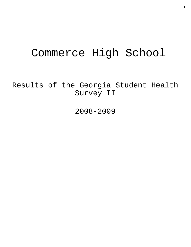# Commerce High School

Results of the Georgia Student Health Survey II

2008-2009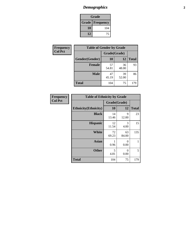# *Demographics* **2**

| Grade                    |     |  |  |  |
|--------------------------|-----|--|--|--|
| <b>Grade   Frequency</b> |     |  |  |  |
| 10                       | 104 |  |  |  |
| 12                       | 75  |  |  |  |

| Frequency      | <b>Table of Gender by Grade</b> |              |             |              |
|----------------|---------------------------------|--------------|-------------|--------------|
| <b>Col Pct</b> |                                 | Grade(Grade) |             |              |
|                | Gender(Gender)                  | 10           | 12          | <b>Total</b> |
|                | <b>Female</b>                   | 57<br>54.81  | 36<br>48.00 | 93           |
|                | <b>Male</b>                     | 47<br>45.19  | 39<br>52.00 | 86           |
|                | <b>Total</b>                    | 104          | 75          | 179          |

| <b>Frequency</b> |
|------------------|
| <b>Col Pct</b>   |

| <b>Table of Ethnicity by Grade</b> |              |                  |              |  |
|------------------------------------|--------------|------------------|--------------|--|
|                                    | Grade(Grade) |                  |              |  |
| <b>Ethnicity</b> (Ethnicity)       | 10           | 12               | <b>Total</b> |  |
| <b>Black</b>                       | 14<br>13.46  | 9<br>12.00       | 23           |  |
| <b>Hispanic</b>                    | 12<br>11.54  | 3<br>4.00        | 15           |  |
| White                              | 72<br>69.23  | 63<br>84.00      | 135          |  |
| <b>Asian</b>                       | 1<br>0.96    | $\Omega$<br>0.00 | 1            |  |
| <b>Other</b>                       | 5<br>4.81    | $\Omega$<br>0.00 | 5            |  |
| <b>Total</b>                       | 104          | 75               | 179          |  |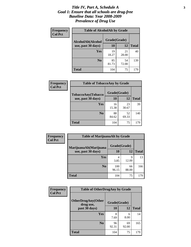#### *Title IV, Part A, Schedule A* **3** *Goal 1: Ensure that all schools are drug-free Baseline Data: Year 2008-2009 Prevalence of Drug Use*

| Frequency<br><b>Col Pct</b> | <b>Table of AlcoholAlt by Grade</b> |              |             |              |  |
|-----------------------------|-------------------------------------|--------------|-------------|--------------|--|
|                             | AlcoholAlt(Alcohol                  | Grade(Grade) |             |              |  |
|                             | use, past 30 days)                  | 10           | 12          | <b>Total</b> |  |
|                             | Yes                                 | 19<br>18.27  | 21<br>28.00 | 40           |  |
|                             | N <sub>0</sub>                      | 85<br>81.73  | 54<br>72.00 | 139          |  |
|                             | <b>Total</b>                        | 104          | 75          | 179          |  |

| Frequency      | <b>Table of TobaccoAny by Grade</b> |              |             |              |
|----------------|-------------------------------------|--------------|-------------|--------------|
| <b>Col Pct</b> | TobaccoAny(Tobacco                  | Grade(Grade) |             |              |
|                | use, past 30 days)                  | 10           | 12          | <b>Total</b> |
|                | Yes                                 | 16<br>15.38  | 23<br>30.67 | 39           |
|                | N <sub>0</sub>                      | 88<br>84.62  | 52<br>69.33 | 140          |
|                | <b>Total</b>                        | 104          | 75          | 179          |

| Frequency<br><b>Col Pct</b> | <b>Table of MarijuanaAlt by Grade</b> |              |             |              |  |
|-----------------------------|---------------------------------------|--------------|-------------|--------------|--|
|                             | MarijuanaAlt(Marijuana                | Grade(Grade) |             |              |  |
|                             | use, past 30 days)                    | 10           | 12          | <b>Total</b> |  |
|                             | Yes                                   | 4<br>3.85    | 9<br>12.00  | 13           |  |
|                             | N <sub>0</sub>                        | 100<br>96.15 | 66<br>88.00 | 166          |  |
|                             | <b>Total</b>                          | 104          | 75          | 179          |  |

| Frequency      | <b>Table of OtherDrugAny by Grade</b>  |              |             |              |
|----------------|----------------------------------------|--------------|-------------|--------------|
| <b>Col Pct</b> | <b>OtherDrugAny(Other</b><br>drug use, | Grade(Grade) |             |              |
|                | past 30 days)                          | 10           | 12          | <b>Total</b> |
|                | Yes                                    | 8<br>7.69    | 6<br>8.00   | 14           |
|                | N <sub>0</sub>                         | 96<br>92.31  | 69<br>92.00 | 165          |
|                | <b>Total</b>                           | 104          | 75          | 179          |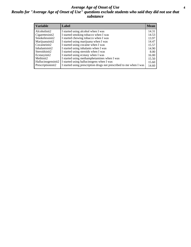#### *Average Age of Onset of Use* **4** *Results for "Average Age of Onset of Use" questions exclude students who said they did not use that substance*

| <b>Variable</b>    | Label                                                              | <b>Mean</b> |
|--------------------|--------------------------------------------------------------------|-------------|
| Alcoholinit2       | I started using alcohol when I was                                 | 14.31       |
| Cigarettesinit2    | I started smoking tobacco when I was                               | 14.53       |
| Smokelessinit2     | I started chewing tobacco when I was                               | 13.97       |
| Marijuanainit2     | I started using marijuana when I was                               | 14.47       |
| Cocaineinit2       | I started using cocaine when I was                                 | 15.57       |
| Inhalantsinit2     | I started using inhalants when I was                               | 14.90       |
| Steroidsinit2      | I started using steroids when I was                                | 8.00        |
| Ecstasyinit2       | I started using ecstasy when I was                                 | 16.00       |
| Methinit2          | I started using methamphetamines when I was                        | 15.50       |
| Hallucinogensinit2 | I started using hallucinogens when I was                           | 15.60       |
| Prescriptioninit2  | I started using prescription drugs not prescribed to me when I was | 14.60       |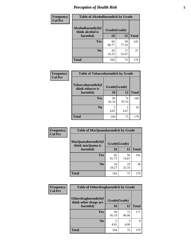# *Perception of Health Risk* **5**

| Frequency      | <b>Table of Alcoholharmdich by Grade</b> |              |             |              |
|----------------|------------------------------------------|--------------|-------------|--------------|
| <b>Col Pct</b> | Alcoholharmdich(I<br>think alcohol is    | Grade(Grade) |             |              |
|                | harmful)                                 | 10           | 12          | <b>Total</b> |
|                | Yes                                      | 84<br>80.77  | 58<br>77.33 | 142          |
|                | N <sub>0</sub>                           | 20<br>19.23  | 17<br>22.67 | 37           |
|                | <b>Total</b>                             | 104          | 75          | 179          |

| Frequency      | <b>Table of Tobaccoharmdich by Grade</b> |              |             |              |
|----------------|------------------------------------------|--------------|-------------|--------------|
| <b>Col Pct</b> | Tobaccoharmdich(I<br>think tobacco is    | Grade(Grade) |             |              |
|                | harmful)                                 | 10           | 12          | <b>Total</b> |
|                | Yes                                      | 99<br>95.19  | 70<br>93.33 | 169          |
|                | N <sub>0</sub>                           | 4.81         | 5<br>6.67   | 10           |
|                | <b>Total</b>                             | 104          | 75          | 179          |

| <b>Frequency</b> | <b>Table of Marijuanaharmdich by Grade</b> |              |             |              |
|------------------|--------------------------------------------|--------------|-------------|--------------|
| <b>Col Pct</b>   | Marijuanaharmdich(I<br>think marijuana is  | Grade(Grade) |             |              |
|                  | harmful)                                   | 10           | 12          | <b>Total</b> |
|                  | <b>Yes</b>                                 | 85<br>81.73  | 56<br>74.67 | 141          |
|                  | N <sub>0</sub>                             | 19<br>18.27  | 19<br>25.33 | 38           |
|                  | <b>Total</b>                               | 104          | 75          | 179          |

| <b>Frequency</b> | <b>Table of Otherdrugharmdich by Grade</b>   |              |             |              |  |  |
|------------------|----------------------------------------------|--------------|-------------|--------------|--|--|
| <b>Col Pct</b>   | Otherdrugharmdich(I<br>think other drugs are | Grade(Grade) |             |              |  |  |
|                  | harmful)                                     | 10           | 12          | <b>Total</b> |  |  |
|                  | <b>Yes</b>                                   | 99<br>95.19  | 72<br>96.00 | 171          |  |  |
|                  | N <sub>0</sub>                               | 4.81         | 3<br>4.00   | 8            |  |  |
|                  | <b>Total</b>                                 | 104          | 75          | 179          |  |  |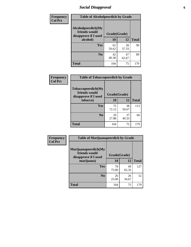# *Social Disapproval* **6**

| <b>Frequency</b> | <b>Table of Alcoholpeerdich by Grade</b>                    |              |             |              |
|------------------|-------------------------------------------------------------|--------------|-------------|--------------|
| <b>Col Pct</b>   | Alcoholpeerdich(My<br>friends would<br>disapprove if I used | Grade(Grade) |             |              |
|                  | alcohol)                                                    | 10           | 12          | <b>Total</b> |
|                  | <b>Yes</b>                                                  | 62<br>59.62  | 28<br>37.33 | 90           |
|                  | N <sub>0</sub>                                              | 42<br>40.38  | 47<br>62.67 | 89           |
|                  | <b>Total</b>                                                | 104          | 75          | 179          |

| <b>Frequency</b> |
|------------------|
| <b>Col Pct</b>   |

| <b>Table of Tobaccopeerdich by Grade</b>                    |              |             |              |  |  |
|-------------------------------------------------------------|--------------|-------------|--------------|--|--|
| Tobaccopeerdich(My<br>friends would<br>disapprove if I used | Grade(Grade) |             |              |  |  |
| tobacco)                                                    | 10           | 12          | <b>Total</b> |  |  |
| Yes                                                         | 75<br>72.12  | 38<br>50.67 | 113          |  |  |
| N <sub>0</sub>                                              | 29<br>27.88  | 37<br>49.33 | 66           |  |  |
| <b>Total</b>                                                | 104          | 75          |              |  |  |

| Frequency      |                                                                                                                                                                           |              |             |              |
|----------------|---------------------------------------------------------------------------------------------------------------------------------------------------------------------------|--------------|-------------|--------------|
| <b>Col Pct</b> | <b>Table of Marijuanapeerdich by Grade</b><br>Marijuanapeerdich(My<br>friends would<br>disapprove if I used<br>marijuana)<br><b>Yes</b><br>N <sub>0</sub><br><b>Total</b> | Grade(Grade) |             |              |
|                |                                                                                                                                                                           | 10           | 12          | <b>Total</b> |
|                |                                                                                                                                                                           | 78<br>75.00  | 49<br>65.33 | 127          |
|                |                                                                                                                                                                           | 26<br>25.00  | 26<br>34.67 | 52           |
|                |                                                                                                                                                                           | 104          | 75          | 179          |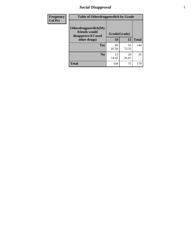# *Social Disapproval* **7**

| Frequency      | <b>Table of Otherdrugpeerdich by Grade</b>                    |              |             |              |  |  |  |
|----------------|---------------------------------------------------------------|--------------|-------------|--------------|--|--|--|
| <b>Col Pct</b> | Otherdrugpeerdich(My<br>friends would<br>disapprove if I used | Grade(Grade) |             |              |  |  |  |
|                | other drugs)                                                  | 10           | 12          | <b>Total</b> |  |  |  |
|                | Yes                                                           | 89<br>85.58  | 55<br>73.33 | 144          |  |  |  |
|                | N <sub>0</sub>                                                | 15<br>14.42  | 20<br>26.67 | 35           |  |  |  |
|                | <b>Total</b>                                                  | 104          | 75          | 179          |  |  |  |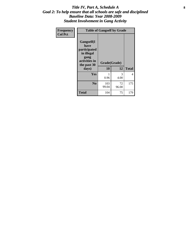#### Title IV, Part A, Schedule A **8** *Goal 2: To help ensure that all schools are safe and disciplined Baseline Data: Year 2008-2009 Student Involvement in Gang Activity*

| Frequency      |                                                                                                   | <b>Table of Gangself by Grade</b> |             |              |  |  |
|----------------|---------------------------------------------------------------------------------------------------|-----------------------------------|-------------|--------------|--|--|
| <b>Col Pct</b> | Gangself(I<br>have<br>participated<br>in illegal<br>gang<br>activities in<br>the past 30<br>days) | Grade(Grade)<br>10                | 12          | <b>Total</b> |  |  |
|                | Yes                                                                                               | 1<br>0.96                         | 3<br>4.00   | 4            |  |  |
|                | N <sub>0</sub>                                                                                    | 103<br>99.04                      | 72<br>96.00 | 175          |  |  |
|                | <b>Total</b>                                                                                      | 104                               | 75          | 179          |  |  |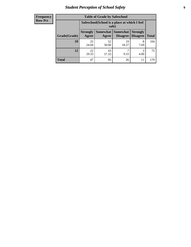# *Student Perception of School Safety* **9**

| <b>Frequency</b><br>Row Pct |
|-----------------------------|
|                             |

| <b>Table of Grade by Safeschool</b> |                          |                                                        |                             |                                    |              |  |  |
|-------------------------------------|--------------------------|--------------------------------------------------------|-----------------------------|------------------------------------|--------------|--|--|
|                                     |                          | Safeschool (School is a place at which I feel<br>safe) |                             |                                    |              |  |  |
| Grade(Grade)                        | <b>Strongly</b><br>Agree | <b>Somewhat</b><br>Agree                               | <b>Somewhat</b><br>Disagree | <b>Strongly</b><br><b>Disagree</b> | <b>Total</b> |  |  |
| 10                                  | 25<br>24.04              | 52<br>50.00                                            | 19<br>18.27                 | 8<br>7.69                          | 104          |  |  |
| 12                                  | 22<br>29.33              | 43<br>57.33                                            | 9.33                        | 3<br>4.00                          | 75           |  |  |
| <b>Total</b>                        | 47                       | 95                                                     | 26                          | 11                                 | 179          |  |  |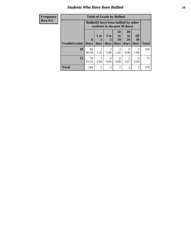### *Students Who Have Been Bullied* **10**

| <b>Frequency</b> | <b>Table of Grade by Bullied</b> |              |                        |                       |                                                                               |                        |                  |              |
|------------------|----------------------------------|--------------|------------------------|-----------------------|-------------------------------------------------------------------------------|------------------------|------------------|--------------|
| <b>Row Pct</b>   |                                  |              |                        |                       | <b>Bullied</b> (I have been bullied by other<br>students in the past 30 days) |                        |                  |              |
|                  |                                  | $\mathbf{0}$ | 1 or<br>2              | 3 <sub>to</sub><br>5  | 10<br>to  <br>19                                                              | <b>20</b><br>to<br>29  | All<br>30        |              |
|                  | Grade(Grade)                     | <b>Days</b>  | days                   | days                  | days                                                                          | days                   | days             | <b>Total</b> |
|                  | 10                               | 94<br>90.38  | $\overline{2}$<br>1.92 | $\mathcal{R}$<br>2.88 | $\mathfrak{D}$<br>1.92                                                        | 0<br>0.00              | 3<br>2.88        | 104          |
|                  | 12                               | 70<br>93.33  | 3<br>4.00              | $\Omega$<br>0.00      | $\Omega$<br>0.00                                                              | $\mathfrak{D}$<br>2.67 | $\Omega$<br>0.00 | 75           |
|                  | <b>Total</b>                     | 164          | 5                      | 3                     | $\mathfrak{D}$                                                                | $\overline{2}$         | 3                | 179          |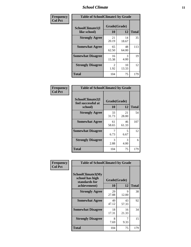#### *School Climate* **11**

| Frequency      | <b>Table of SchoolClimate1 by Grade</b> |                    |             |              |  |
|----------------|-----------------------------------------|--------------------|-------------|--------------|--|
| <b>Col Pct</b> | SchoolClimate1(I<br>like school)        | Grade(Grade)<br>10 | 12          | <b>Total</b> |  |
|                | <b>Strongly Agree</b>                   | 21<br>20.19        | 14<br>18.67 | 35           |  |
|                | <b>Somewhat Agree</b>                   | 65<br>62.50        | 48<br>64.00 | 113          |  |
|                | <b>Somewhat Disagree</b>                | 16<br>15.38        | 3<br>4.00   | 19           |  |
|                | <b>Strongly Disagree</b>                | 2<br>1.92          | 10<br>13.33 | 12           |  |
|                | <b>Total</b>                            | 104                | 75          | 179          |  |

| <b>Frequency</b> |  |
|------------------|--|
| <b>Col Pct</b>   |  |

| <b>Table of SchoolClimate2 by Grade</b>           |                    |             |              |  |
|---------------------------------------------------|--------------------|-------------|--------------|--|
| SchoolClimate2(I<br>feel successful at<br>school) | Grade(Grade)<br>10 | 12          | <b>Total</b> |  |
| <b>Strongly Agree</b>                             | 33<br>31.73        | 21<br>28.00 | 54           |  |
| <b>Somewhat Agree</b>                             | 61<br>58.65        | 46<br>61.33 | 107          |  |
| <b>Somewhat Disagree</b>                          | 7<br>6.73          | 5<br>6.67   | 12           |  |
| <b>Strongly Disagree</b>                          | 3<br>2.88          | 3<br>4.00   | 6            |  |
| <b>Total</b>                                      | 104                | 75          | 179          |  |

| Frequency      | <b>Table of SchoolClimate3 by Grade</b>               |              |             |              |  |
|----------------|-------------------------------------------------------|--------------|-------------|--------------|--|
| <b>Col Pct</b> | SchoolClimate3(My<br>school has high<br>standards for | Grade(Grade) |             |              |  |
|                | achievement)                                          | 10           | 12          | <b>Total</b> |  |
|                | <b>Strongly Agree</b>                                 | 29<br>27.88  | 9<br>12.00  | 38           |  |
|                | <b>Somewhat Agree</b>                                 | 49<br>47.12  | 43<br>57.33 | 92           |  |
|                | <b>Somewhat Disagree</b>                              | 18<br>17.31  | 16<br>21.33 | 34           |  |
|                | <b>Strongly Disagree</b>                              | 8<br>7.69    | 7<br>9.33   | 15           |  |
|                | Total                                                 | 104          | 75          | 179          |  |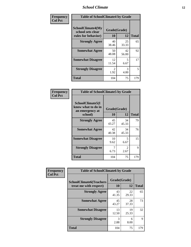### *School Climate* **12**

| Frequency      | <b>Table of SchoolClimate4 by Grade</b>                       |                       |             |              |
|----------------|---------------------------------------------------------------|-----------------------|-------------|--------------|
| <b>Col Pct</b> | SchoolClimate4(My<br>school sets clear<br>rules for behavior) | Grade(Grade)<br>10    | 12          | <b>Total</b> |
|                | <b>Strongly Agree</b>                                         | 40<br>38.46           | 25<br>33.33 | 65           |
|                | <b>Somewhat Agree</b>                                         | 50<br>48.08           | 42<br>56.00 | 92           |
|                | <b>Somewhat Disagree</b>                                      | 12<br>11.54           | 5<br>6.67   | 17           |
|                | <b>Strongly Disagree</b>                                      | $\mathcal{L}$<br>1.92 | 3<br>4.00   | 5            |
|                | <b>Total</b>                                                  | 104                   | 75          | 179          |

| <b>Table of SchoolClimate5 by Grade</b>                              |                    |             |              |  |  |
|----------------------------------------------------------------------|--------------------|-------------|--------------|--|--|
| SchoolClimate5(I<br>know what to do in<br>an emergency at<br>school) | Grade(Grade)<br>10 | 12          | <b>Total</b> |  |  |
| <b>Strongly Agree</b>                                                | 45<br>43.27        | 34<br>45.33 | 79           |  |  |
| <b>Somewhat Agree</b>                                                | 42<br>40.38        | 34<br>45.33 | 76           |  |  |
| <b>Somewhat Disagree</b>                                             | 10<br>9.62         | 5<br>6.67   | 15           |  |  |
| <b>Strongly Disagree</b>                                             | 7<br>6.73          | 2<br>2.67   | 9            |  |  |
| <b>Total</b>                                                         | 104                | 75          | 179          |  |  |

| Frequency      | <b>Table of SchoolClimate6 by Grade</b>                  |                           |             |              |  |
|----------------|----------------------------------------------------------|---------------------------|-------------|--------------|--|
| <b>Col Pct</b> | <b>SchoolClimate6(Teachers</b><br>treat me with respect) | Grade(Grade)<br><b>10</b> | 12          | <b>Total</b> |  |
|                | <b>Strongly Agree</b>                                    | 43<br>41.35               | 22<br>29.33 | 65           |  |
|                | <b>Somewhat Agree</b>                                    | 45<br>43.27               | 28<br>37.33 | 73           |  |
|                | <b>Somewhat Disagree</b>                                 | 13<br>12.50               | 19<br>25.33 | 32           |  |
|                | <b>Strongly Disagree</b>                                 | 3<br>2.88                 | 6<br>8.00   | 9            |  |
|                | <b>Total</b>                                             | 104                       | 75          | 179          |  |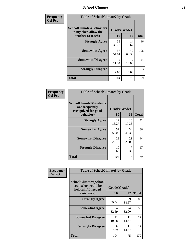### *School Climate* **13**

| Frequency      | <b>Table of SchoolClimate7 by Grade</b>                                       |                           |             |              |
|----------------|-------------------------------------------------------------------------------|---------------------------|-------------|--------------|
| <b>Col Pct</b> | <b>SchoolClimate7(Behaviors</b><br>in my class allow the<br>teacher to teach) | Grade(Grade)<br><b>10</b> | 12          | <b>Total</b> |
|                | <b>Strongly Agree</b>                                                         | 32<br>30.77               | 14<br>18.67 | 46           |
|                | <b>Somewhat Agree</b>                                                         | 57<br>54.81               | 49<br>65.33 | 106          |
|                | <b>Somewhat Disagree</b>                                                      | 12<br>11.54               | 12<br>16.00 | 24           |
|                | <b>Strongly Disagree</b>                                                      | 3<br>2.88                 | 0<br>0.00   | 3            |
|                | <b>Total</b>                                                                  | 104                       | 75          | 179          |

| Frequency      | <b>Table of SchoolClimate8 by Grade</b>                                              |                    |             |              |
|----------------|--------------------------------------------------------------------------------------|--------------------|-------------|--------------|
| <b>Col Pct</b> | <b>SchoolClimate8(Students</b><br>are frequently<br>recognized for good<br>behavior) | Grade(Grade)<br>10 | 12          | <b>Total</b> |
|                | <b>Strongly Agree</b>                                                                | 19<br>18.27        | 13<br>17.33 | 32           |
|                | <b>Somewhat Agree</b>                                                                | 52<br>50.00        | 34<br>45.33 | 86           |
|                | <b>Somewhat Disagree</b>                                                             | 23<br>22.12        | 21<br>28.00 | 44           |
|                | <b>Strongly Disagree</b>                                                             | 10<br>9.62         | 9.33        | 17           |
|                | <b>Total</b>                                                                         | 104                | 75          | 179          |

| Frequency<br><b>Col Pct</b> | <b>Table of SchoolClimate9 by Grade</b>                                           |                    |             |              |
|-----------------------------|-----------------------------------------------------------------------------------|--------------------|-------------|--------------|
|                             | SchoolClimate9(School<br>counselor would be<br>helpful if I needed<br>assistance) | Grade(Grade)<br>10 | 12          | <b>Total</b> |
|                             | <b>Strongly Agree</b>                                                             | 51<br>49.04        | 29<br>38.67 | 80           |
|                             | <b>Somewhat Agree</b>                                                             | 34<br>32.69        | 24<br>32.00 | 58           |
|                             | <b>Somewhat Disagree</b>                                                          | 11<br>10.58        | 11<br>14.67 | 22           |
|                             | <b>Strongly Disagree</b>                                                          | 8<br>7.69          | 11<br>14.67 | 19           |
|                             | Total                                                                             | 104                | 75          | 179          |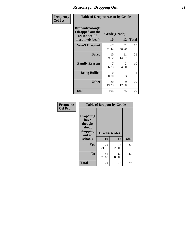### *Reasons for Dropping Out* **14**

| Frequency      |                                                                          | <b>Table of Dropoutreason by Grade</b> |                    |              |  |
|----------------|--------------------------------------------------------------------------|----------------------------------------|--------------------|--------------|--|
| <b>Col Pct</b> | Dropoutreason(If<br>I dropped out the<br>reason would<br>most likely be) | 10                                     | Grade(Grade)<br>12 | <b>Total</b> |  |
|                | <b>Won't Drop out</b>                                                    | 67<br>64.42                            | 51<br>68.00        | 118          |  |
|                | <b>Bored</b>                                                             | 10<br>9.62                             | 11<br>14.67        | 21           |  |
|                | <b>Family Reasons</b>                                                    | 7<br>6.73                              | 3<br>4.00          | 10           |  |
|                | <b>Being Bullied</b>                                                     | $\Omega$<br>0.00                       | 1.33               | 1            |  |
|                | <b>Other</b>                                                             | 20<br>19.23                            | 9<br>12.00         | 29           |  |
|                | <b>Total</b>                                                             | 104                                    | 75                 | 179          |  |

| Frequency      | <b>Table of Dropout by Grade</b>                                       |                    |             |              |  |
|----------------|------------------------------------------------------------------------|--------------------|-------------|--------------|--|
| <b>Col Pct</b> | Dropout(I<br>have<br>thought<br>about<br>dropping<br>out of<br>school) | Grade(Grade)<br>10 | 12          | <b>Total</b> |  |
|                | Yes                                                                    | 22<br>21.15        | 15<br>20.00 | 37           |  |
|                | N <sub>0</sub>                                                         | 82<br>78.85        | 60<br>80.00 | 142          |  |
|                | <b>Total</b>                                                           | 104                | 75          | 179          |  |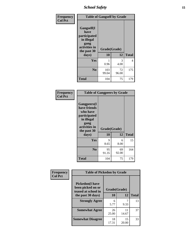*School Safety* **15**

| Frequency      |                                                                                                   | <b>Table of Gangself by Grade</b> |             |              |
|----------------|---------------------------------------------------------------------------------------------------|-----------------------------------|-------------|--------------|
| <b>Col Pct</b> | Gangself(I<br>have<br>participated<br>in illegal<br>gang<br>activities in<br>the past 30<br>days) | Grade(Grade)<br>10                | 12          | <b>Total</b> |
|                | Yes                                                                                               | 0.96                              | 3<br>4.00   | 4            |
|                | N <sub>0</sub>                                                                                    | 103<br>99.04                      | 72<br>96.00 | 175          |
|                | <b>Total</b>                                                                                      | 104                               | 75          | 179          |

| Frequency<br><b>Col Pct</b> | <b>Table of Gangpeers by Grade</b>                                                                                             |                    |             |              |  |
|-----------------------------|--------------------------------------------------------------------------------------------------------------------------------|--------------------|-------------|--------------|--|
|                             | <b>Gangpeers</b> (I<br>have friends<br>who have<br>participated<br>in illegal<br>gang<br>activities in<br>the past 30<br>days) | Grade(Grade)<br>10 | 12          | <b>Total</b> |  |
|                             | Yes                                                                                                                            | 9<br>8.65          | 6<br>8.00   | 15           |  |
|                             | N <sub>0</sub>                                                                                                                 | 95<br>91.35        | 69<br>92.00 | 164          |  |
|                             | <b>Total</b>                                                                                                                   | 104                | 75          | 179          |  |

| Frequency      |                                                                    | <b>Table of Pickedon by Grade</b> |             |              |  |  |  |
|----------------|--------------------------------------------------------------------|-----------------------------------|-------------|--------------|--|--|--|
| <b>Col Pct</b> | <b>Pickedon(I have</b><br>been picked on or<br>teased at school in | Grade(Grade)                      |             |              |  |  |  |
|                | the past 30 days)                                                  | 10                                | 12          | <b>Total</b> |  |  |  |
|                | <b>Strongly Agree</b>                                              | 6<br>5.77                         | 9.33        | 13           |  |  |  |
|                | <b>Somewhat Agree</b>                                              | 26<br>25.00                       | 11<br>14.67 | 37           |  |  |  |
|                | <b>Somewhat Disagree</b>                                           | 18<br>17.31                       | 15<br>20.00 | 33           |  |  |  |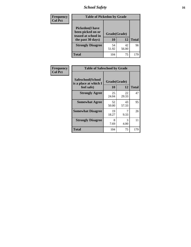*School Safety* **16**

| <b>Frequency</b> | <b>Table of Pickedon by Grade</b>                                                        |                    |             |              |  |  |  |  |  |  |
|------------------|------------------------------------------------------------------------------------------|--------------------|-------------|--------------|--|--|--|--|--|--|
| <b>Col Pct</b>   | <b>Pickedon</b> (I have<br>been picked on or<br>teased at school in<br>the past 30 days) | Grade(Grade)<br>10 | 12          | <b>Total</b> |  |  |  |  |  |  |
|                  | <b>Strongly Disagree</b>                                                                 | 54<br>51.92        | 42<br>56.00 | 96           |  |  |  |  |  |  |
|                  | Total                                                                                    | 104                | 75          | 179          |  |  |  |  |  |  |

| <b>Frequency</b> | <b>Table of Safeschool by Grade</b>        |              |             |              |  |  |  |  |  |  |
|------------------|--------------------------------------------|--------------|-------------|--------------|--|--|--|--|--|--|
| <b>Col Pct</b>   | Safeschool(School<br>is a place at which I | Grade(Grade) |             |              |  |  |  |  |  |  |
|                  | feel safe)                                 | 10           | 12          | <b>Total</b> |  |  |  |  |  |  |
|                  | <b>Strongly Agree</b>                      | 25<br>24.04  | 22<br>29.33 | 47           |  |  |  |  |  |  |
|                  | <b>Somewhat Agree</b>                      | 52<br>50.00  | 43<br>57.33 | 95           |  |  |  |  |  |  |
|                  | <b>Somewhat Disagree</b>                   | 19<br>18.27  | 9.33        | 26           |  |  |  |  |  |  |
|                  | <b>Strongly Disagree</b>                   | 8<br>7.69    | 3<br>4.00   | 11           |  |  |  |  |  |  |
|                  | <b>Total</b>                               | 104          | 75          | 179          |  |  |  |  |  |  |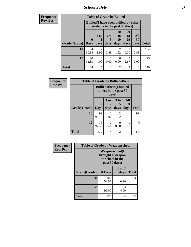*School Safety* **17**

| <b>Frequency</b> | <b>Table of Grade by Bullied</b> |                                                                               |                       |             |                        |                       |                  |              |  |  |
|------------------|----------------------------------|-------------------------------------------------------------------------------|-----------------------|-------------|------------------------|-----------------------|------------------|--------------|--|--|
| <b>Row Pct</b>   |                                  | <b>Bullied</b> (I have been bullied by other<br>students in the past 30 days) |                       |             |                        |                       |                  |              |  |  |
|                  | Grade(Grade)                     | $\mathbf{0}$                                                                  | 1 or                  | $3$ to<br>5 | 10<br>to<br>19         | <b>20</b><br>to<br>29 | All<br>30        | <b>Total</b> |  |  |
|                  |                                  | <b>Days</b>                                                                   | days                  | days        | days                   | days                  | days             |              |  |  |
|                  | 10                               | 94<br>90.38                                                                   | $\mathcal{D}$<br>1.92 | 3<br>2.88   | $\mathfrak{D}$<br>1.92 | $\Omega$<br>0.00      | 3<br>2.88        | 104          |  |  |
|                  | 12                               | 70<br>93.33                                                                   | 3<br>4.00             | 0<br>0.00   | 0<br>0.00              | 2<br>2.67             | $\Omega$<br>0.00 | 75           |  |  |
|                  | <b>Total</b>                     | 164                                                                           | 5                     | 3           | $\overline{2}$         | $\overline{2}$        | 3                | 179          |  |  |

| Frequency      | <b>Table of Grade by Bulliedothers</b> |                                                         |                        |                  |                   |              |  |  |  |
|----------------|----------------------------------------|---------------------------------------------------------|------------------------|------------------|-------------------|--------------|--|--|--|
| <b>Row Pct</b> |                                        | <b>Bulliedothers(I bullied</b><br>others in the past 30 |                        |                  |                   |              |  |  |  |
|                | Grade(Grade)                           | $\mathbf{0}$<br><b>Days</b>                             | 1 or<br>days           | 3 to<br>days     | All<br>30<br>days | <b>Total</b> |  |  |  |
|                | 10                                     | 99<br>95.19                                             | 2<br>1.92              | 2<br>1.92        | 0.96              | 104          |  |  |  |
|                | 12                                     | 73<br>97.33                                             | $\overline{2}$<br>2.67 | $\Omega$<br>0.00 | 0<br>0.00         | 75           |  |  |  |
|                | <b>Total</b>                           | 172                                                     | 4                      | $\overline{2}$   | 1                 | 179          |  |  |  |

| Frequency      | <b>Table of Grade by Weaponschool</b> |                                                                                 |                    |              |
|----------------|---------------------------------------|---------------------------------------------------------------------------------|--------------------|--------------|
| <b>Row Pct</b> |                                       | <b>Weaponschool</b> (I<br>brought a weapon<br>to school in the<br>past 30 days) |                    |              |
|                | Grade(Grade)                          | 0 Days                                                                          | $1$ or $2$<br>days | <b>Total</b> |
|                | 10                                    | 103<br>99.04                                                                    | 0.96               | 104          |
|                | 12                                    | 72<br>96.00                                                                     | 3<br>4.00          | 75           |
|                | <b>Total</b>                          | 175                                                                             | 4                  | 179          |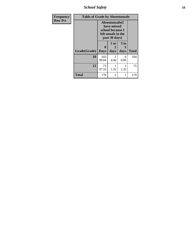*School Safety* **18**

| <b>Frequency</b> | <b>Table of Grade by Absentunsafe</b> |                             |                                                                                          |                   |              |  |  |  |  |
|------------------|---------------------------------------|-----------------------------|------------------------------------------------------------------------------------------|-------------------|--------------|--|--|--|--|
| <b>Row Pct</b>   |                                       |                             | Absentunsafe(I<br>have missed<br>school because I<br>felt unsafe in the<br>past 30 days) |                   |              |  |  |  |  |
|                  | Grade(Grade)                          | $\mathbf{0}$<br><b>Days</b> | 1 or<br>2<br>days                                                                        | 3 to<br>5<br>days | <b>Total</b> |  |  |  |  |
|                  | 10                                    | 103<br>99.04                | 0.96                                                                                     | 0<br>0.00         | 104          |  |  |  |  |
|                  | 12                                    | 73<br>97.33                 | 1.33                                                                                     | 1.33              | 75           |  |  |  |  |
|                  | <b>Total</b>                          | 176                         | $\overline{2}$                                                                           | 1                 | 179          |  |  |  |  |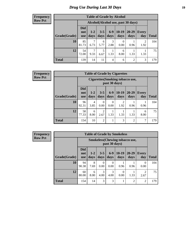# *Drug Use During Last 30 Days* **19**

#### **Frequency Row Pct**

| <b>Table of Grade by Alcohol</b> |                                 |                                    |                 |               |                 |                |              |       |  |
|----------------------------------|---------------------------------|------------------------------------|-----------------|---------------|-----------------|----------------|--------------|-------|--|
|                                  |                                 | Alcohol(Alcohol use, past 30 days) |                 |               |                 |                |              |       |  |
| Grade(Grade)                     | <b>Did</b><br>not<br><b>use</b> | $1-2$<br>days                      | $3 - 5$<br>days | $6-9$<br>days | $10-19$<br>days | 20-29<br>days  | Every<br>day | Total |  |
| 10                               | 85<br>81.73                     | 7<br>6.73                          | 6<br>5.77       | 3<br>2.88     | 0<br>0.00       | 0.96           | 2<br>1.92    | 104   |  |
| 12                               | 54<br>72.00                     | 7<br>9.33                          | 5<br>6.67       | 1<br>1.33     | 6<br>8.00       | 1.33           | 1.33         | 75    |  |
| <b>Total</b>                     | 139                             | 14                                 | 11              | 4             | 6               | $\overline{2}$ | 3            | 179   |  |

#### **Frequency Row Pct**

| <b>Table of Grade by Cigarettes</b> |                                 |                                                   |                  |                  |                 |                   |                     |              |  |
|-------------------------------------|---------------------------------|---------------------------------------------------|------------------|------------------|-----------------|-------------------|---------------------|--------------|--|
|                                     |                                 | Cigarettes (Smoking tobacco use,<br>past 30 days) |                  |                  |                 |                   |                     |              |  |
| Grade(Grade)                        | <b>Did</b><br>not<br><b>use</b> | $1 - 2$<br>days                                   | $3 - 5$<br>days  | $6-9$<br>days    | $10-19$<br>days | $20 - 29$<br>days | <b>Every</b><br>day | <b>Total</b> |  |
| 10                                  | 96<br>92.31                     | 4<br>3.85                                         | $\Omega$<br>0.00 | $\theta$<br>0.00 | 2<br>1.92       | 0.96              | 0.96                | 104          |  |
| 12                                  | 58<br>77.33                     | 6<br>8.00                                         | 2<br>2.67        | 1.33             | 1.33            | 1.33              | 6<br>8.00           | 75           |  |
| <b>Total</b>                        | 154                             | 10                                                | $\overline{2}$   |                  | 3               | $\overline{c}$    | 7                   | 179          |  |

**Frequency Row Pct**

| <b>Table of Grade by Smokeless</b> |                                 |                                                         |                 |                  |                  |                   |                     |              |  |
|------------------------------------|---------------------------------|---------------------------------------------------------|-----------------|------------------|------------------|-------------------|---------------------|--------------|--|
|                                    |                                 | <b>Smokeless</b> (Chewing tobacco use,<br>past 30 days) |                 |                  |                  |                   |                     |              |  |
| Grade(Grade)                       | <b>Did</b><br>not<br><b>use</b> | $1 - 2$<br>days                                         | $3 - 5$<br>days | $6-9$<br>days    | $10-19$<br>days  | $20 - 29$<br>days | <b>Every</b><br>day | <b>Total</b> |  |
| 10                                 | 94<br>90.38                     | 8<br>7.69                                               | 0<br>0.00       | $\Omega$<br>0.00 | 0.96             | 0.96              | $\theta$<br>0.00    | 104          |  |
| 12                                 | 60<br>80.00                     | 6<br>8.00                                               | 3<br>4.00       | 3<br>4.00        | $\Omega$<br>0.00 | 1.33              | 2.67                | 75           |  |
| <b>Total</b>                       | 154                             | 14                                                      | 3               | 3                | 1                | 2                 | $\overline{2}$      | 179          |  |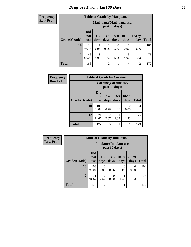**Frequency Row Pct**

| <b>Table of Grade by Marijuana</b> |                                                                                                                    |                                            |                |                  |           |                |     |  |  |  |
|------------------------------------|--------------------------------------------------------------------------------------------------------------------|--------------------------------------------|----------------|------------------|-----------|----------------|-----|--|--|--|
|                                    |                                                                                                                    | Marijuana (Marijuana use,<br>past 30 days) |                |                  |           |                |     |  |  |  |
| Grade(Grade)                       | Did<br>$6 - 9$<br>$3 - 5$<br>10-19<br>$1 - 2$<br>Every<br>not<br>days<br>days<br>day<br>days<br>days<br><b>use</b> |                                            |                |                  |           |                |     |  |  |  |
| 10                                 | 100<br>96.15                                                                                                       | 0.96                                       | 0.96           | $\Omega$<br>0.00 | 0.96      | 0.96           | 104 |  |  |  |
| 12                                 | 66<br>88.00                                                                                                        | 3<br>4.00                                  | 1.33           | 1.33             | 3<br>4.00 | 1.33           | 75  |  |  |  |
| <b>Total</b>                       | 166                                                                                                                | 4                                          | $\overline{2}$ |                  | 4         | $\overline{2}$ | 179 |  |  |  |

| Frequency      |              | <b>Table of Grade by Cocaine</b> |                                        |                 |                 |              |  |  |  |
|----------------|--------------|----------------------------------|----------------------------------------|-----------------|-----------------|--------------|--|--|--|
| <b>Row Pct</b> |              |                                  | Cocaine (Cocaine use,<br>past 30 days) |                 |                 |              |  |  |  |
|                | Grade(Grade) | Did<br>not<br><b>use</b>         | $1 - 2$<br>days                        | $3 - 5$<br>days | $10-19$<br>days | <b>Total</b> |  |  |  |
|                | 10           | 103<br>99.04                     | 0.96                                   | 0<br>0.00       | 0<br>0.00       | 104          |  |  |  |
|                | 12           | 71<br>94.67                      | $\overline{c}$<br>2.67                 | 1.33            | 1.33            | 75           |  |  |  |
|                | <b>Total</b> | 174                              | 3                                      |                 | 1               | 179          |  |  |  |

| Frequency      | <b>Table of Grade by Inhalants</b> |                                 |                        |                  |                  |                   |              |
|----------------|------------------------------------|---------------------------------|------------------------|------------------|------------------|-------------------|--------------|
| <b>Row Pct</b> |                                    | <b>Inhalants</b> (Inhalant use, |                        |                  |                  |                   |              |
|                | Grade(Grade)                       | <b>Did</b><br>not<br><b>use</b> | $1 - 2$<br>days        | $3 - 5$<br>days  | $10-19$<br>days  | $20 - 29$<br>days | <b>Total</b> |
|                | 10                                 | 103<br>99.04                    | 0<br>0.00              | 0.96             | $\theta$<br>0.00 | 0<br>0.00         | 104          |
|                | 12                                 | 71<br>94.67                     | $\mathfrak{D}$<br>2.67 | $\theta$<br>0.00 | 1.33             | 1.33              | 75           |
|                | <b>Total</b>                       | 174                             | $\mathfrak{D}$         |                  |                  |                   | 179          |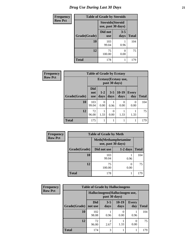# *Drug Use During Last 30 Days* **21**

| <b>Frequency</b> | <b>Table of Grade by Steroids</b> |                                                |                 |              |  |
|------------------|-----------------------------------|------------------------------------------------|-----------------|--------------|--|
| <b>Row Pct</b>   |                                   | <b>Steroids</b> (Steroid<br>use, past 30 days) |                 |              |  |
|                  | Grade(Grade)                      | Did not<br><b>use</b>                          | $3 - 5$<br>days | <b>Total</b> |  |
|                  | 10                                | 103<br>99.04                                   | 0.96            | 104          |  |
|                  | 12                                | 75<br>100.00                                   | 0<br>0.00       | 75           |  |
|                  | <b>Total</b>                      | 178                                            |                 | 179          |  |

| Frequency      | <b>Table of Grade by Ecstasy</b>       |                                 |               |                  |                       |                     |              |
|----------------|----------------------------------------|---------------------------------|---------------|------------------|-----------------------|---------------------|--------------|
| <b>Row Pct</b> | Ecstasy (Ecstasy use,<br>past 30 days) |                                 |               |                  |                       |                     |              |
|                | Grade(Grade)                           | <b>Did</b><br>not<br><b>use</b> | $1-2$<br>days | $3 - 5$<br>days  | $10-19$<br>days       | <b>Every</b><br>day | <b>Total</b> |
|                | 10                                     | 103<br>99.04                    | 0.00          | 0.96             | $\mathcal{O}$<br>0.00 | $\Omega$<br>0.00    | 104          |
|                | 12                                     | 72<br>96.00                     | 1.33          | $\Omega$<br>0.00 | 1.33                  | 1.33                | 75           |
|                | <b>Total</b>                           | 175                             |               |                  |                       | 1                   | 179          |

| <b>Frequency</b> |              | <b>Table of Grade by Meth</b> |                               |              |
|------------------|--------------|-------------------------------|-------------------------------|--------------|
| <b>Row Pct</b>   |              | use, past 30 days)            | <b>Meth</b> (Methamphetamine) |              |
|                  | Grade(Grade) | Did not use                   | $1-2$ days                    | <b>Total</b> |
|                  | 10           | 103<br>99.04                  | 0.96                          | 104          |
|                  | 12           | 75<br>100.00                  | 0.00                          | 75           |
|                  | <b>Total</b> | 178                           |                               | 179          |

| <b>Frequency</b> |              | <b>Table of Grade by Hallucinogens</b> |                 |                 |                     |              |
|------------------|--------------|----------------------------------------|-----------------|-----------------|---------------------|--------------|
| <b>Row Pct</b>   |              | Hallucinogens(Hallucinogen use,        |                 |                 |                     |              |
|                  | Grade(Grade) | Did<br>not use                         | $3 - 5$<br>days | $10-19$<br>days | <b>Every</b><br>day | <b>Total</b> |
|                  | 10           | 102<br>98.08                           | 0.96            | 0<br>0.00       | 0.96                | 104          |
|                  | 12           | 72<br>96.00                            | 2<br>2.67       | 1.33            | $\Omega$<br>0.00    | 75           |
|                  | <b>Total</b> | 174                                    | 3               |                 |                     | 179          |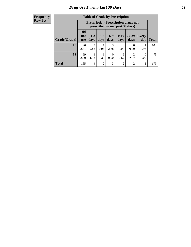#### **Frequency Row Pct**

| <b>Table of Grade by Prescription</b> |                                 |                                                                                |                 |                  |                        |                   |                     |       |
|---------------------------------------|---------------------------------|--------------------------------------------------------------------------------|-----------------|------------------|------------------------|-------------------|---------------------|-------|
|                                       |                                 | <b>Prescription</b> (Prescription drugs not<br>prescribed to me, past 30 days) |                 |                  |                        |                   |                     |       |
| Grade(Grade)                          | <b>Did</b><br>not<br><b>use</b> | $1 - 2$<br>days                                                                | $3 - 5$<br>days | $6-9$<br>days    | $10-19$<br>days        | $20 - 29$<br>days | <b>Every</b><br>day | Total |
| 10                                    | 96<br>92.31                     | $\mathcal{R}$<br>2.88                                                          | 0.96            | 3<br>2.88        | 0<br>0.00              | $\Omega$<br>0.00  | 0.96                | 104   |
| 12                                    | 69<br>92.00                     | 1.33                                                                           | 1.33            | $\Omega$<br>0.00 | $\mathfrak{D}$<br>2.67 | 2.67              | $\theta$<br>0.00    | 75    |
| <b>Total</b>                          | 165                             | 4                                                                              | 2               | 3                | $\overline{2}$         | $\mathfrak{D}$    |                     | 179   |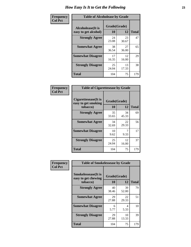| Frequency      | <b>Table of Alcoholease by Grade</b>              |                    |             |              |  |
|----------------|---------------------------------------------------|--------------------|-------------|--------------|--|
| <b>Col Pct</b> | <b>Alcoholease</b> (It is<br>easy to get alcohol) | Grade(Grade)<br>10 | 12          | <b>Total</b> |  |
|                | <b>Strongly Agree</b>                             | 24<br>23.08        | 23<br>30.67 | 47           |  |
|                | <b>Somewhat Agree</b>                             | 38<br>36.54        | 27<br>36.00 | 65           |  |
|                | <b>Somewhat Disagree</b>                          | 17<br>16.35        | 12<br>16.00 | 29           |  |
|                | <b>Strongly Disagree</b>                          | 25<br>24.04        | 13<br>17.33 | 38           |  |
|                | <b>Total</b>                                      | 104                | 75          | 179          |  |

| Frequency      | <b>Table of Cigarettesease by Grade</b>                 |                           |             |              |  |
|----------------|---------------------------------------------------------|---------------------------|-------------|--------------|--|
| <b>Col Pct</b> | Cigarettesease(It is<br>easy to get smoking<br>tobacco) | Grade(Grade)<br><b>10</b> | 12          | <b>Total</b> |  |
|                | <b>Strongly Agree</b>                                   | 35<br>33.65               | 34<br>45.33 | 69           |  |
|                | <b>Somewhat Agree</b>                                   | 34<br>32.69               | 22<br>29.33 | 56           |  |
|                | <b>Somewhat Disagree</b>                                | 10<br>9.62                | 9.33        | 17           |  |
|                | <b>Strongly Disagree</b>                                | 25<br>24.04               | 12<br>16.00 | 37           |  |
|                | <b>Total</b>                                            | 104                       | 75          | 179          |  |

| Frequency      | <b>Table of Smokelessease by Grade</b>             |              |             |              |  |  |  |
|----------------|----------------------------------------------------|--------------|-------------|--------------|--|--|--|
| <b>Col Pct</b> | <b>Smokelessease</b> (It is<br>easy to get chewing | Grade(Grade) |             |              |  |  |  |
|                | tobacco)                                           | <b>10</b>    | 12          | <b>Total</b> |  |  |  |
|                | <b>Strongly Agree</b>                              | 40<br>38.46  | 39<br>52.00 | 79           |  |  |  |
|                | <b>Somewhat Agree</b>                              | 29<br>27.88  | 22<br>29.33 | 51           |  |  |  |
|                | <b>Somewhat Disagree</b>                           | 6<br>5.77    | 4<br>5.33   | 10           |  |  |  |
|                | <b>Strongly Disagree</b>                           | 29<br>27.88  | 10<br>13.33 | 39           |  |  |  |
|                | Total                                              | 104          | 75          | 179          |  |  |  |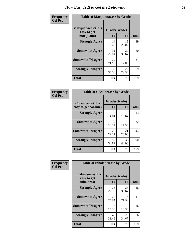| Frequency      | <b>Table of Marijuanaease by Grade</b>           |                    |             |              |  |
|----------------|--------------------------------------------------|--------------------|-------------|--------------|--|
| <b>Col Pct</b> | Marijuanaease(It is<br>easy to get<br>marijuana) | Grade(Grade)<br>10 | 12          | <b>Total</b> |  |
|                | <b>Strongly Agree</b>                            | 14<br>13.46        | 15<br>20.00 | 29           |  |
|                | <b>Somewhat Agree</b>                            | 31<br>29.81        | 29<br>38.67 | 60           |  |
|                | <b>Somewhat Disagree</b>                         | 22<br>21.15        | 9<br>12.00  | 31           |  |
|                | <b>Strongly Disagree</b>                         | 37<br>35.58        | 22<br>29.33 | 59           |  |
|                | <b>Total</b>                                     | 104                | 75          | 179          |  |

| <b>Table of Cocaineease by Grade</b>              |             |                    |                    |  |  |  |  |
|---------------------------------------------------|-------------|--------------------|--------------------|--|--|--|--|
| <b>Cocaineease</b> (It is<br>easy to get cocaine) | 10          | Grade(Grade)<br>12 |                    |  |  |  |  |
| <b>Strongly Agree</b>                             | 5<br>4.81   | 8<br>10.67         | <b>Total</b><br>13 |  |  |  |  |
| <b>Somewhat Agree</b>                             | 19<br>18.27 | 13<br>17.33        | 32                 |  |  |  |  |
| <b>Somewhat Disagree</b>                          | 23<br>22.12 | 21<br>28.00        | 44                 |  |  |  |  |
| <b>Strongly Disagree</b>                          | 57<br>54.81 | 33<br>44.00        | 90                 |  |  |  |  |
| <b>Total</b>                                      | 104         | 75                 | 179                |  |  |  |  |

| Frequency      | <b>Table of Inhalantsease by Grade</b>     |              |             |              |
|----------------|--------------------------------------------|--------------|-------------|--------------|
| <b>Col Pct</b> | <b>Inhalantsease</b> (It is<br>easy to get | Grade(Grade) |             |              |
|                | inhalants)                                 | 10           | 12          | <b>Total</b> |
|                | <b>Strongly Agree</b>                      | 23<br>22.12  | 23<br>30.67 | 46           |
|                | <b>Somewhat Agree</b>                      | 25<br>24.04  | 16<br>21.33 | 41           |
|                | <b>Somewhat Disagree</b>                   | 16<br>15.38  | 10<br>13.33 | 26           |
|                | <b>Strongly Disagree</b>                   | 40<br>38.46  | 26<br>34.67 | 66           |
|                | <b>Total</b>                               | 104          | 75          | 179          |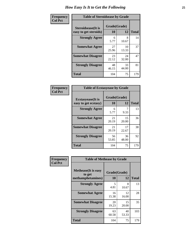| Frequency      | <b>Table of Steroidsease by Grade</b>               |                    |              |     |  |  |  |
|----------------|-----------------------------------------------------|--------------------|--------------|-----|--|--|--|
| <b>Col Pct</b> | <b>Steroidsease</b> (It is<br>easy to get steroids) | Grade(Grade)<br>10 | <b>Total</b> |     |  |  |  |
|                | <b>Strongly Agree</b>                               | 6<br>5.77          | 8<br>10.67   | 14  |  |  |  |
|                | <b>Somewhat Agree</b>                               | 27<br>25.96        | 10<br>13.33  | 37  |  |  |  |
|                | <b>Somewhat Disagree</b>                            | 23<br>22.12        | 24<br>32.00  | 47  |  |  |  |
|                | <b>Strongly Disagree</b>                            | 48<br>46.15        | 33<br>44.00  | 81  |  |  |  |
|                | <b>Total</b>                                        | 104                | 75           | 179 |  |  |  |

| Frequency      | <b>Table of Ecstasyease by Grade</b>              |                           |             |              |
|----------------|---------------------------------------------------|---------------------------|-------------|--------------|
| <b>Col Pct</b> | <b>Ecstasyease</b> (It is<br>easy to get ecstasy) | Grade(Grade)<br><b>10</b> | 12          | <b>Total</b> |
|                | <b>Strongly Agree</b>                             | 6<br>5.77                 | 9.33        | 13           |
|                | <b>Somewhat Agree</b>                             | 21<br>20.19               | 15<br>20.00 | 36           |
|                | <b>Somewhat Disagree</b>                          | 21<br>20.19               | 17<br>22.67 | 38           |
|                | <b>Strongly Disagree</b>                          | 56<br>53.85               | 36<br>48.00 | 92           |
|                | <b>Total</b>                                      | 104                       | 75          | 179          |

| Frequency      | <b>Table of Methease by Grade</b>                          |                    |             |              |
|----------------|------------------------------------------------------------|--------------------|-------------|--------------|
| <b>Col Pct</b> | <b>Methease</b> (It is easy<br>to get<br>methamphetamines) | Grade(Grade)<br>10 | 12          | <b>Total</b> |
|                | <b>Strongly Agree</b>                                      | 5<br>4.81          | 8<br>10.67  | 13           |
|                | <b>Somewhat Agree</b>                                      | 16<br>15.38        | 12<br>16.00 | 28           |
|                | <b>Somewhat Disagree</b>                                   | 20<br>19.23        | 15<br>20.00 | 35           |
|                | <b>Strongly Disagree</b>                                   | 63<br>60.58        | 40<br>53.33 | 103          |
|                | <b>Total</b>                                               | 104                | 75          | 179          |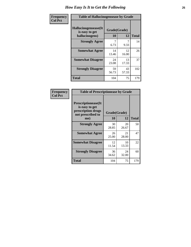| <b>Frequency</b> | <b>Table of Hallucinogensease by Grade</b>                |                    |             |              |  |  |  |
|------------------|-----------------------------------------------------------|--------------------|-------------|--------------|--|--|--|
| <b>Col Pct</b>   | Hallucinogensease(It)<br>is easy to get<br>hallucinogens) | Grade(Grade)<br>10 | 12          | <b>Total</b> |  |  |  |
|                  | <b>Strongly Agree</b>                                     | 7<br>6.73          | 7<br>9.33   | 14           |  |  |  |
|                  | <b>Somewhat Agree</b>                                     | 14<br>13.46        | 12<br>16.00 | 26           |  |  |  |
|                  | <b>Somewhat Disagree</b>                                  | 24<br>23.08        | 13<br>17.33 | 37           |  |  |  |
|                  | <b>Strongly Disagree</b>                                  | 59<br>56.73        | 43<br>57.33 | 102          |  |  |  |
|                  | <b>Total</b>                                              | 104                | 75          | 179          |  |  |  |

| <b>Table of Prescriptionease by Grade</b>                                                |              |             |              |  |  |  |  |
|------------------------------------------------------------------------------------------|--------------|-------------|--------------|--|--|--|--|
| <b>Prescriptionease</b> (It<br>is easy to get<br>prescription drugs<br>not prescribed to | Grade(Grade) |             |              |  |  |  |  |
| me)                                                                                      | 10           | 12          | <b>Total</b> |  |  |  |  |
| <b>Strongly Agree</b>                                                                    | 30<br>28.85  | 20<br>26.67 | 50           |  |  |  |  |
| <b>Somewhat Agree</b>                                                                    | 26<br>25.00  | 21<br>28.00 | 47           |  |  |  |  |
| <b>Somewhat Disagree</b>                                                                 | 12<br>11.54  | 10<br>13.33 | 22           |  |  |  |  |
| <b>Strongly Disagree</b>                                                                 | 36<br>34.62  | 24<br>32.00 | 60           |  |  |  |  |
| <b>Total</b>                                                                             | 104          | 75          | 179          |  |  |  |  |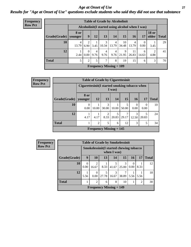#### *Age at Onset of Use* **27** *Results for "Age at Onset of Use" questions exclude students who said they did not use that substance*

| <b>Frequency</b> | <b>Table of Grade by Alcoholinit</b>             |                        |                |           |                        |                                             |             |             |                  |                               |    |
|------------------|--------------------------------------------------|------------------------|----------------|-----------|------------------------|---------------------------------------------|-------------|-------------|------------------|-------------------------------|----|
| <b>Row Pct</b>   | Alcoholinit (I started using alcohol when I was) |                        |                |           |                        |                                             |             |             |                  |                               |    |
|                  | Grade(Grade)                                     | <b>8 or</b><br>younger | 9 <sup>1</sup> | 12        | 13                     | 14                                          | 15          | 16          | 17               | <b>18 or</b><br>older   Total |    |
|                  | 10                                               | 4<br>13.79             | ာ<br>6.90      | 3.45      | 3<br>10.34             | $\overline{4}$<br>13.79                     | 10<br>34.48 | 4<br>13.79  | $\Omega$<br>0.00 | 3.45                          | 29 |
|                  | 12                                               | 2.44                   | 0<br>$0.00\,$  | 4<br>9.76 | $\overline{4}$<br>9.76 | $\overline{4}$<br>9.76                      | 9<br>21.95  | 11<br>26.83 | 6<br>14.63       | $\overline{2}$<br>4.88        | 41 |
|                  | <b>Total</b>                                     |                        | 2              | 5         | 7                      | 8                                           | 19          | 15          | 6                | 3                             | 70 |
|                  |                                                  |                        |                |           |                        | <b>Frequency Missing = <math>109</math></b> |             |             |                  |                               |    |

| <b>Frequency</b> | <b>Table of Grade by Cigarettesinit</b> |                  |                                                         |            |            |       |                  |                  |              |
|------------------|-----------------------------------------|------------------|---------------------------------------------------------|------------|------------|-------|------------------|------------------|--------------|
| <b>Row Pct</b>   |                                         |                  | Cigarettesinit(I started smoking tobacco when<br>I was) |            |            |       |                  |                  |              |
|                  | Grade(Grade)   younger                  | 8 or             | 12                                                      | 13         | 14         | 15    | <b>16</b>        | 17               | <b>Total</b> |
|                  | 10                                      | $\Omega$<br>0.00 | 10.00                                                   | 3<br>30.00 | 10.00      | 50.00 | $\Omega$<br>0.00 | $\theta$<br>0.00 | 10           |
|                  | 12                                      | 4.17             | 4.17                                                    | 2<br>8.33  | 5<br>20.83 | 29.17 | 3<br>12.50       | 5<br>20.83       | 24           |
|                  | <b>Total</b>                            |                  | $\overline{2}$                                          | 5          | 6          | 12    | 3                | 5                | 34           |
|                  |                                         |                  | <b>Frequency Missing = 145</b>                          |            |            |       |                  |                  |              |

| <b>Frequency</b>                                                          | <b>Table of Grade by Smokelessinit</b> |                  |                         |       |                                             |            |           |      |              |
|---------------------------------------------------------------------------|----------------------------------------|------------------|-------------------------|-------|---------------------------------------------|------------|-----------|------|--------------|
| <b>Row Pct</b><br>Smokelessinit (I started chewing tobacco<br>when I was) |                                        |                  |                         |       |                                             |            |           |      |              |
|                                                                           | Grade(Grade)                           | 9                | 10                      | 13    | 14                                          | 15         | <b>16</b> | 17   | <b>Total</b> |
|                                                                           | 10                                     | $\Omega$<br>0.00 | $\mathfrak{D}$<br>16.67 | 8.33  | 41.67                                       | 3<br>25.00 | 0.00      | 8.33 | 12           |
|                                                                           | 12                                     | 5.56             | 0.00                    | 27.78 | 3<br>16.67                                  | 38.89      | 5.56      | 5.56 | 18           |
|                                                                           | <b>Total</b>                           |                  | $\overline{c}$          | 6     | 8                                           | 10         |           | 2    | 30           |
|                                                                           |                                        |                  |                         |       | <b>Frequency Missing <math>= 149</math></b> |            |           |      |              |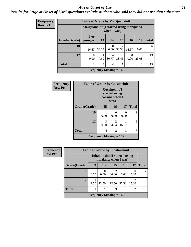#### *Age at Onset of Use* **28**

### *Results for "Age at Onset of Use" questions exclude students who said they did not use that substance*

| Frequency      |                        | <b>Table of Grade by Marijuanainit</b>                  |                         |                           |                         |                  |                  |              |
|----------------|------------------------|---------------------------------------------------------|-------------------------|---------------------------|-------------------------|------------------|------------------|--------------|
| <b>Row Pct</b> |                        | Marijuanainit (I started using marijuana<br>when I was) |                         |                           |                         |                  |                  |              |
|                | Grade(Grade)   younger | 8 or                                                    | 13                      | 14                        | 15                      | 16               | 17               | <b>Total</b> |
|                | 10                     | 16.67                                                   | $\overline{2}$<br>33.33 | $\Omega$<br>0.00          | $\overline{2}$<br>33.33 | 16.67            | $\Omega$<br>0.00 | 6            |
|                | 12                     | $\Omega$<br>0.00                                        | 7.69                    | 4<br>30.77                | 5<br>38.46              | $\Omega$<br>0.00 | 3<br>23.08       | 13           |
|                | <b>Total</b>           |                                                         | 3                       | 4                         | 7                       |                  | 3                | 19           |
|                |                        |                                                         |                         | Frequency Missing $= 160$ |                         |                  |                  |              |

| <b>Frequency</b> | <b>Table of Grade by Cocaineinit</b> |                                                  |            |           |              |
|------------------|--------------------------------------|--------------------------------------------------|------------|-----------|--------------|
| <b>Row Pct</b>   |                                      | Cocaineinit(I<br>started using<br>cocaine when I |            |           |              |
|                  | Grade(Grade)                         | 15                                               | 16         | 17        | <b>Total</b> |
|                  | 10                                   | 100.00                                           | 0.00       | 0<br>0.00 |              |
|                  | 12                                   | 3<br>50.00                                       | 2<br>33.33 | 16.67     | 6            |
|                  | <b>Total</b>                         | 4                                                | 2          | 1         |              |
|                  |                                      | <b>Frequency Missing = 172</b>                   |            |           |              |

| <b>Frequency</b> | <b>Table of Grade by Inhalantsinit</b> |                  |                                                         |                           |                  |            |                |  |  |  |
|------------------|----------------------------------------|------------------|---------------------------------------------------------|---------------------------|------------------|------------|----------------|--|--|--|
| <b>Row Pct</b>   |                                        |                  | Inhalantsinit (I started using<br>inhalants when I was) |                           |                  |            |                |  |  |  |
|                  | Grade(Grade)                           | 9                | 13                                                      | 15                        | 16               | 17         | <b>Total</b>   |  |  |  |
|                  | 10                                     | $\theta$<br>0.00 | 0<br>0.00                                               | 2<br>100.00               | $\theta$<br>0.00 | 0.00       | $\overline{2}$ |  |  |  |
|                  | 12                                     | 12.50            | 12.50                                                   | 12.50                     | 3<br>37.50       | ി<br>25.00 | 8              |  |  |  |
|                  | <b>Total</b>                           |                  |                                                         | 3                         | 3                | 2          | 10             |  |  |  |
|                  |                                        |                  |                                                         | Frequency Missing $= 169$ |                  |            |                |  |  |  |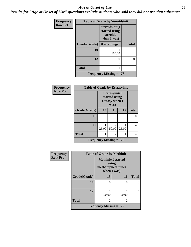#### *Age at Onset of Use* **29**

*Results for "Age at Onset of Use" questions exclude students who said they did not use that substance*

| Frequency      | <b>Table of Grade by Steroidsinit</b> |                                                            |              |  |  |  |  |
|----------------|---------------------------------------|------------------------------------------------------------|--------------|--|--|--|--|
| <b>Row Pct</b> |                                       | Steroidsinit(I<br>started using<br>steroids<br>when I was) |              |  |  |  |  |
|                | Grade(Grade)                          | 8 or younger                                               | <b>Total</b> |  |  |  |  |
|                | 10                                    | 100.00                                                     |              |  |  |  |  |
|                | 12                                    | 0                                                          | 0            |  |  |  |  |
|                | <b>Total</b>                          |                                                            |              |  |  |  |  |
|                |                                       | <b>Frequency Missing <math>= 178</math></b>                |              |  |  |  |  |

| <b>Frequency</b> | <b>Table of Grade by Ecstasyinit</b> |                                                          |                         |       |              |
|------------------|--------------------------------------|----------------------------------------------------------|-------------------------|-------|--------------|
| <b>Row Pct</b>   |                                      | Ecstasyinit(I<br>started using<br>ecstasy when I<br>was) |                         |       |              |
|                  | Grade(Grade)                         | 15                                                       | 16                      | 17    | <b>Total</b> |
|                  | 10                                   | 0                                                        | 0                       | 0     | ∩            |
|                  |                                      | ٠                                                        |                         |       |              |
|                  | 12                                   | 25.00                                                    | $\mathfrak{D}$<br>50.00 | 25.00 | 4            |
|                  | <b>Total</b>                         |                                                          | 2                       |       | 4            |
|                  | Frequency Missing $= 175$            |                                                          |                         |       |              |

| <b>Frequency</b> | <b>Table of Grade by Methinit</b> |                                                                       |                         |              |  |
|------------------|-----------------------------------|-----------------------------------------------------------------------|-------------------------|--------------|--|
| <b>Row Pct</b>   |                                   | <b>Methinit(I started</b><br>using<br>methamphetamines<br>when I was) |                         |              |  |
|                  | Grade(Grade)                      | 15                                                                    | 16                      | <b>Total</b> |  |
|                  | 10                                | $\Omega$                                                              | $\Omega$                |              |  |
|                  | 12                                | $\mathcal{D}_{\mathcal{L}}$<br>50.00                                  | $\mathfrak{D}$<br>50.00 | 4            |  |
|                  | <b>Total</b>                      | $\mathfrak{D}$                                                        | $\mathfrak{D}$          | 4            |  |
|                  |                                   | Frequency Missing $= 175$                                             |                         |              |  |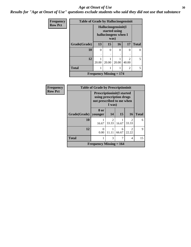#### Age at Onset of Use **30**

*Results for "Age at Onset of Use" questions exclude students who said they did not use that substance*

| <b>Frequency</b> | <b>Table of Grade by Hallucinogensinit</b> |                                                                      |       |               |                |              |
|------------------|--------------------------------------------|----------------------------------------------------------------------|-------|---------------|----------------|--------------|
| <b>Row Pct</b>   |                                            | Hallucinogensinit(I<br>started using<br>hallucinogens when I<br>was) |       |               |                |              |
|                  | Grade(Grade)                               | 13                                                                   | 15    | 16            | 17             | <b>Total</b> |
|                  | 10                                         | 0                                                                    | 0     | $\mathcal{O}$ | 0              |              |
|                  |                                            | ٠                                                                    |       | ٠             |                |              |
|                  | 12                                         |                                                                      |       |               | $\mathcal{D}$  | 5            |
|                  |                                            | 20.00                                                                | 20.00 | 20.00         | 40.00          |              |
|                  | <b>Total</b>                               |                                                                      | 1     |               | $\overline{c}$ |              |
|                  |                                            | <b>Frequency Missing <math>= 174</math></b>                          |       |               |                |              |

| Frequency      | <b>Table of Grade by Prescriptioninit</b> |                                                                                                      |                         |            |                         |              |
|----------------|-------------------------------------------|------------------------------------------------------------------------------------------------------|-------------------------|------------|-------------------------|--------------|
| <b>Row Pct</b> |                                           | <b>Prescriptioninit(I started</b><br>using prescription drugs<br>not prescribed to me when<br>I was) |                         |            |                         |              |
|                | Grade(Grade)                              | 8 or<br>younger                                                                                      | 14                      | <b>15</b>  | 16                      | <b>Total</b> |
|                | 10                                        | 16.67                                                                                                | $\overline{2}$<br>33.33 | 16.67      | $\mathfrak{D}$<br>33.33 | 6            |
|                | 12                                        | $\Omega$<br>0.00                                                                                     | 11.11                   | 6<br>66.67 | 22.22                   | $\mathbf Q$  |
|                | <b>Total</b>                              |                                                                                                      | 3                       |            | 4                       | 15           |
|                |                                           | <b>Frequency Missing = 164</b>                                                                       |                         |            |                         |              |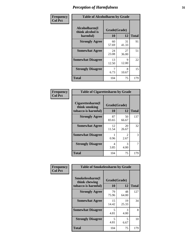| Frequency      | <b>Table of Alcoholharm by Grade</b>          |                    |             |              |  |
|----------------|-----------------------------------------------|--------------------|-------------|--------------|--|
| <b>Col Pct</b> | Alcoholharm(I<br>think alcohol is<br>harmful) | Grade(Grade)<br>10 | 12          | <b>Total</b> |  |
|                | <b>Strongly Agree</b>                         | 60<br>57.69        | 31<br>41.33 | 91           |  |
|                | <b>Somewhat Agree</b>                         | 24<br>23.08        | 27<br>36.00 | 51           |  |
|                | <b>Somewhat Disagree</b>                      | 13<br>12.50        | 9<br>12.00  | 22           |  |
|                | <b>Strongly Disagree</b>                      | 6.73               | 8<br>10.67  | 15           |  |
|                | <b>Total</b>                                  | 104                | 75          | 179          |  |

| <b>Table of Cigarettesharm by Grade</b>                  |                    |                        |              |  |  |  |
|----------------------------------------------------------|--------------------|------------------------|--------------|--|--|--|
| Cigarettesharm(I<br>think smoking<br>tobacco is harmful) | Grade(Grade)<br>10 | 12                     | <b>Total</b> |  |  |  |
| <b>Strongly Agree</b>                                    | 87<br>83.65        | 50<br>66.67            | 137          |  |  |  |
| <b>Somewhat Agree</b>                                    | 12<br>11.54        | 20<br>26.67            | 32           |  |  |  |
| <b>Somewhat Disagree</b>                                 | 0.96               | $\mathfrak{D}$<br>2.67 | 3            |  |  |  |
| <b>Strongly Disagree</b>                                 | 4<br>3.85          | 3<br>4.00              | 7            |  |  |  |
| <b>Total</b>                                             | 104                | 75                     | 179          |  |  |  |

| Frequency      | <b>Table of Smokelessharm by Grade</b>                  |             |                    |              |
|----------------|---------------------------------------------------------|-------------|--------------------|--------------|
| <b>Col Pct</b> | Smokelessharm(I<br>think chewing<br>tobacco is harmful) | 10          | Grade(Grade)<br>12 | <b>Total</b> |
|                | <b>Strongly Agree</b>                                   | 79<br>75.96 | 48<br>64.00        | 127          |
|                | <b>Somewhat Agree</b>                                   | 15<br>14.42 | 19<br>25.33        | 34           |
|                | <b>Somewhat Disagree</b>                                | 5<br>4.81   | 3<br>4.00          | 8            |
|                | <b>Strongly Disagree</b>                                | 5<br>4.81   | 5<br>6.67          | 10           |
|                | <b>Total</b>                                            | 104         | 75                 | 179          |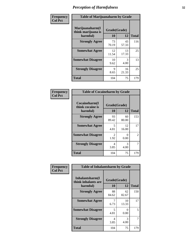| Frequency      | <b>Table of Marijuanaharm by Grade</b>            |                    |             |              |  |
|----------------|---------------------------------------------------|--------------------|-------------|--------------|--|
| <b>Col Pct</b> | Marijuanaharm(I<br>think marijuana is<br>harmful) | Grade(Grade)<br>10 | 12          | <b>Total</b> |  |
|                | <b>Strongly Agree</b>                             | 73<br>70.19        | 43<br>57.33 | 116          |  |
|                | <b>Somewhat Agree</b>                             | 12<br>11.54        | 13<br>17.33 | 25           |  |
|                | <b>Somewhat Disagree</b>                          | 10<br>9.62         | 3<br>4.00   | 13           |  |
|                | <b>Strongly Disagree</b>                          | 9<br>8.65          | 16<br>21.33 | 25           |  |
|                | <b>Total</b>                                      | 104                | 75          | 179          |  |

| <b>Table of Cocaineharm by Grade</b>          |                    |             |              |  |  |  |
|-----------------------------------------------|--------------------|-------------|--------------|--|--|--|
| Cocaineharm(I<br>think cocaine is<br>harmful) | Grade(Grade)<br>10 | 12          | <b>Total</b> |  |  |  |
| <b>Strongly Agree</b>                         | 93<br>89.42        | 60<br>80.00 | 153          |  |  |  |
| <b>Somewhat Agree</b>                         | 5<br>4.81          | 12<br>16.00 | 17           |  |  |  |
| <b>Somewhat Disagree</b>                      | 2<br>1.92          | 0<br>0.00   | 2            |  |  |  |
| <b>Strongly Disagree</b>                      | 4<br>3.85          | 3<br>4.00   | 7            |  |  |  |
| <b>Total</b>                                  | 104                | 75          | 179          |  |  |  |

| Frequency      | <b>Table of Inhalantsharm by Grade</b>             |                           |             |              |
|----------------|----------------------------------------------------|---------------------------|-------------|--------------|
| <b>Col Pct</b> | Inhalantsharm(I<br>think inhalants are<br>harmful) | Grade(Grade)<br><b>10</b> | 12          | <b>Total</b> |
|                | <b>Strongly Agree</b>                              | 88<br>84.62               | 62<br>82.67 | 150          |
|                | <b>Somewhat Agree</b>                              | 7<br>6.73                 | 10<br>13.33 | 17           |
|                | <b>Somewhat Disagree</b>                           | 5<br>4.81                 | 0<br>0.00   | 5            |
|                | <b>Strongly Disagree</b>                           | 4<br>3.85                 | 3<br>4.00   | 7            |
|                | <b>Total</b>                                       | 104                       | 75          | 179          |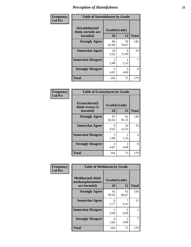| Frequency      | <b>Table of Steroidsharm by Grade</b>            |                    |             |              |  |
|----------------|--------------------------------------------------|--------------------|-------------|--------------|--|
| <b>Col Pct</b> | Steroidsharm(I<br>think steroids are<br>harmful) | Grade(Grade)<br>10 | 12          | <b>Total</b> |  |
|                | <b>Strongly Agree</b>                            | 86<br>82.69        | 59<br>78.67 | 145          |  |
|                | <b>Somewhat Agree</b>                            | 10<br>9.62         | 9<br>12.00  | 19           |  |
|                | <b>Somewhat Disagree</b>                         | 3<br>2.88          | 4<br>5.33   | 7            |  |
|                | <b>Strongly Disagree</b>                         | 5<br>4.81          | 3<br>4.00   | 8            |  |
|                | <b>Total</b>                                     | 104                | 75          | 179          |  |

| <b>Table of Ecstasyharm by Grade</b>          |                    |             |              |  |  |  |
|-----------------------------------------------|--------------------|-------------|--------------|--|--|--|
| Ecstasyharm(I<br>think ecstasy is<br>harmful) | Grade(Grade)<br>10 | 12          | <b>Total</b> |  |  |  |
| <b>Strongly Agree</b>                         | 87<br>83.65        | 61<br>81.33 | 148          |  |  |  |
| <b>Somewhat Agree</b>                         | 9<br>8.65          | 10<br>13.33 | 19           |  |  |  |
| <b>Somewhat Disagree</b>                      | 3<br>2.88          | 1.33        | 4            |  |  |  |
| <b>Strongly Disagree</b>                      | 5<br>4.81          | 3<br>4.00   | 8            |  |  |  |
| <b>Total</b>                                  | 104                | 75          | 179          |  |  |  |

| Frequency      | <b>Table of Methharm by Grade</b>                            |                    |             |              |
|----------------|--------------------------------------------------------------|--------------------|-------------|--------------|
| <b>Col Pct</b> | <b>Methharm</b> (I think<br>methamphetamines<br>are harmful) | Grade(Grade)<br>10 | 12          | <b>Total</b> |
|                | <b>Strongly Agree</b>                                        | 93<br>89.42        | 65<br>86.67 | 158          |
|                | <b>Somewhat Agree</b>                                        | 6<br>5.77          | 9.33        | 13           |
|                | <b>Somewhat Disagree</b>                                     | 0.96               | 0<br>0.00   |              |
|                | <b>Strongly Disagree</b>                                     | 4<br>3.85          | 3<br>4.00   | 7            |
|                | <b>Total</b>                                                 | 104                | 75          | 179          |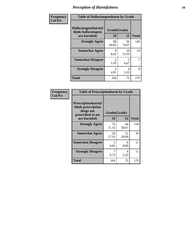| Frequency      | <b>Table of Hallucinogensharm by Grade</b>                 |                    |                                  |                |
|----------------|------------------------------------------------------------|--------------------|----------------------------------|----------------|
| <b>Col Pct</b> | Hallucinogensharm(I<br>think hallucinogens<br>are harmful) | Grade(Grade)<br>10 | 12                               | <b>Total</b>   |
|                | <b>Strongly Agree</b>                                      | 88<br>84.62        | 56<br>74.67                      | 144            |
|                | <b>Somewhat Agree</b>                                      | 9<br>8.65          | 10<br>13.33                      | 19             |
|                | <b>Somewhat Disagree</b>                                   | 2<br>1.92          | $\overline{\phantom{0}}$<br>6.67 | $\overline{7}$ |
|                | <b>Strongly Disagree</b>                                   | 5<br>4.81          | 4<br>5.33                        | 9              |
|                | <b>Total</b>                                               | 104                | 75                               | 179            |

| <b>Table of Prescriptionharm by Grade</b>                                         |              |             |              |  |  |
|-----------------------------------------------------------------------------------|--------------|-------------|--------------|--|--|
| <b>Prescriptionharm</b> (I<br>think prescription<br>drugs not<br>prescribed to me | Grade(Grade) |             |              |  |  |
| are harmful)                                                                      | 10           | 12          | <b>Total</b> |  |  |
| <b>Strongly Agree</b>                                                             | 74<br>71.15  | 44<br>58.67 | 118          |  |  |
| <b>Somewhat Agree</b>                                                             | 18<br>17.31  | 21<br>28.00 | 39           |  |  |
| <b>Somewhat Disagree</b>                                                          | 5<br>4.81    | 6<br>8.00   | 11           |  |  |
| <b>Strongly Disagree</b>                                                          | 7<br>6.73    | 4<br>5.33   | 11           |  |  |
| <b>Total</b>                                                                      | 104          | 75          | 179          |  |  |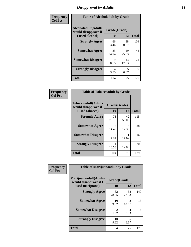# *Disapproval by Adults* **35**

| Frequency      | <b>Table of Alcoholadult by Grade</b>                                 |                    |             |              |
|----------------|-----------------------------------------------------------------------|--------------------|-------------|--------------|
| <b>Col Pct</b> | <b>Alcoholadult</b> (Adults<br>would disapprove if<br>I used alcohol) | Grade(Grade)<br>10 | 12          | <b>Total</b> |
|                | <b>Strongly Agree</b>                                                 | 66<br>63.46        | 38<br>50.67 | 104          |
|                | <b>Somewhat Agree</b>                                                 | 25<br>24.04        | 19<br>25.33 | 44           |
|                | <b>Somewhat Disagree</b>                                              | 9<br>8.65          | 13<br>17.33 | 22           |
|                | <b>Strongly Disagree</b>                                              | 4<br>3.85          | 5<br>6.67   | 9            |
|                | <b>Total</b>                                                          | 104                | 75          | 179          |

| <b>Table of Tobaccoadult by Grade</b>                         |                                  |              |     |  |  |
|---------------------------------------------------------------|----------------------------------|--------------|-----|--|--|
| Tobaccoadult(Adults<br>would disapprove if<br>I used tobacco) | Grade(Grade)<br>10               | <b>Total</b> |     |  |  |
| <b>Strongly Agree</b>                                         | 73<br>70.19                      | 42<br>56.00  | 115 |  |  |
| <b>Somewhat Agree</b>                                         | 15<br>14.42                      | 13<br>17.33  | 28  |  |  |
| <b>Somewhat Disagree</b>                                      | $\overline{\phantom{1}}$<br>4.81 | 11<br>14.67  | 16  |  |  |
| <b>Strongly Disagree</b>                                      | 11<br>10.58                      | 9<br>12.00   | 20  |  |  |
| Total                                                         | 104                              | 75           | 179 |  |  |

| Frequency      | <b>Table of Marijuanaadult by Grade</b>                           |                        |             |              |
|----------------|-------------------------------------------------------------------|------------------------|-------------|--------------|
| <b>Col Pct</b> | Marijuanaadult(Adults<br>would disapprove if I<br>used marijuana) | Grade(Grade)<br>10     | 12          | <b>Total</b> |
|                | <b>Strongly Agree</b>                                             | 82<br>78.85            | 58<br>77.33 | 140          |
|                | <b>Somewhat Agree</b>                                             | 10<br>9.62             | 8<br>10.67  | 18           |
|                | <b>Somewhat Disagree</b>                                          | $\mathfrak{D}$<br>1.92 | 4<br>5.33   | 6            |
|                | <b>Strongly Disagree</b>                                          | 10<br>9.62             | 5<br>6.67   | 15           |
|                | <b>Total</b>                                                      | 104                    | 75          | 179          |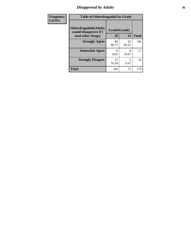# *Disapproval by Adults* **36**

| Frequency      | <b>Table of Otherdrugadult by Grade</b>                                     |                    |             |              |
|----------------|-----------------------------------------------------------------------------|--------------------|-------------|--------------|
| <b>Col Pct</b> | <b>Otherdrugadult</b> (Adults<br>would disapprove if I<br>used other drugs) | Grade(Grade)<br>10 | 12          | <b>Total</b> |
|                | <b>Strongly Agree</b>                                                       | 84<br>80.77        | 62<br>82.67 | 146          |
|                | <b>Somewhat Agree</b>                                                       | 9<br>8.65          | 8<br>10.67  | 17           |
|                | <b>Strongly Disagree</b>                                                    | 11<br>10.58        | 5<br>6.67   | 16           |
|                | <b>Total</b>                                                                | 104                | 75          | 179          |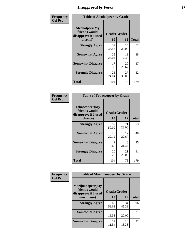# *Disapproval by Peers* **37**

| Frequency      | <b>Table of Alcoholpeer by Grade</b>                    |              |             |              |  |
|----------------|---------------------------------------------------------|--------------|-------------|--------------|--|
| <b>Col Pct</b> | Alcoholpeer(My<br>friends would<br>disapprove if I used | Grade(Grade) |             |              |  |
|                | alcohol)                                                | 10           | 12          | <b>Total</b> |  |
|                | <b>Strongly Agree</b>                                   | 37<br>35.58  | 15<br>20.00 | 52           |  |
|                | <b>Somewhat Agree</b>                                   | 25<br>24.04  | 13<br>17.33 | 38           |  |
|                | <b>Somewhat Disagree</b>                                | 17<br>16.35  | 20<br>26.67 | 37           |  |
|                | <b>Strongly Disagree</b>                                | 25<br>24.04  | 27<br>36.00 | 52           |  |
|                | Total                                                   | 104          | 75          | 179          |  |

| Frequency      | <b>Table of Tobaccopeer by Grade</b>                                |                    |             |              |
|----------------|---------------------------------------------------------------------|--------------------|-------------|--------------|
| <b>Col Pct</b> | Tobaccopeer(My<br>friends would<br>disapprove if I used<br>tobacco) | Grade(Grade)<br>10 | 12          | <b>Total</b> |
|                | <b>Strongly Agree</b>                                               | 52<br>50.00        | 21<br>28.00 | 73           |
|                | <b>Somewhat Agree</b>                                               | 23<br>22.12        | 17<br>22.67 | 40           |
|                | <b>Somewhat Disagree</b>                                            | 9<br>8.65          | 16<br>21.33 | 25           |
|                | <b>Strongly Disagree</b>                                            | 20<br>19.23        | 21<br>28.00 | 41           |
|                | Total                                                               | 104                | 75          | 179          |

| Frequency      | <b>Table of Marijuanapeer by Grade</b>                    |              |             |              |  |
|----------------|-----------------------------------------------------------|--------------|-------------|--------------|--|
| <b>Col Pct</b> | Marijuanapeer(My<br>friends would<br>disapprove if I used | Grade(Grade) |             |              |  |
|                | marijuana)                                                | 10           | 12          | <b>Total</b> |  |
|                | <b>Strongly Agree</b>                                     | 62<br>59.62  | 34<br>45.33 | 96           |  |
|                | <b>Somewhat Agree</b>                                     | 16<br>15.38  | 15<br>20.00 | 31           |  |
|                | <b>Somewhat Disagree</b>                                  | 12<br>11.54  | 10<br>13.33 | 22           |  |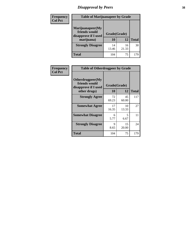# *Disapproval by Peers* **38**

| <b>Frequency</b> | <b>Table of Marijuanapeer by Grade</b>                                  |                    |             |              |
|------------------|-------------------------------------------------------------------------|--------------------|-------------|--------------|
| <b>Col Pct</b>   | Marijuanapeer(My<br>friends would<br>disapprove if I used<br>marijuana) | Grade(Grade)<br>10 | 12          | <b>Total</b> |
|                  | <b>Strongly Disagree</b>                                                | 14<br>13.46        | 16<br>21.33 | 30           |
|                  | <b>Total</b>                                                            | 104                | 75          | 179          |

| Frequency      | <b>Table of Otherdrugpeer by Grade</b>                                    |                           |             |              |
|----------------|---------------------------------------------------------------------------|---------------------------|-------------|--------------|
| <b>Col Pct</b> | Otherdrugpeer(My<br>friends would<br>disapprove if I used<br>other drugs) | Grade(Grade)<br><b>10</b> | 12          | <b>Total</b> |
|                | <b>Strongly Agree</b>                                                     | 72<br>69.23               | 45<br>60.00 | 117          |
|                | <b>Somewhat Agree</b>                                                     | 17<br>16.35               | 10<br>13.33 | 27           |
|                | <b>Somewhat Disagree</b>                                                  | 6<br>5.77                 | 5<br>6.67   | 11           |
|                | <b>Strongly Disagree</b>                                                  | 9<br>8.65                 | 15<br>20.00 | 24           |
|                | <b>Total</b>                                                              | 104                       | 75          | 179          |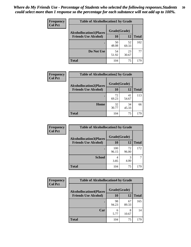| Frequency<br><b>Col Pct</b> | <b>Table of Alcohollocation1 by Grade</b> |              |             |              |
|-----------------------------|-------------------------------------------|--------------|-------------|--------------|
|                             | <b>Alcohollocation1(Places</b>            | Grade(Grade) |             |              |
|                             | <b>Friends Use Alcohol)</b>               | 10           | 12          | <b>Total</b> |
|                             |                                           | 50<br>48.08  | 52<br>69.33 | 102          |
|                             | Do Not Use                                | 54<br>51.92  | 23<br>30.67 | 77           |
|                             | <b>Total</b>                              | 104          | 75          | 179          |

| Frequency      | <b>Table of Alcohollocation2 by Grade</b>                     |                           |             |              |
|----------------|---------------------------------------------------------------|---------------------------|-------------|--------------|
| <b>Col Pct</b> | <b>Alcohollocation2(Places</b><br><b>Friends Use Alcohol)</b> | Grade(Grade)<br><b>10</b> | <b>12</b>   | <b>Total</b> |
|                |                                                               | 72<br>69.23               | 41<br>54.67 | 113          |
|                | Home                                                          | 32<br>30.77               | 34<br>45.33 | 66           |
|                | <b>Total</b>                                                  | 104                       | 75          | 179          |

| Frequency<br><b>Col Pct</b> | <b>Table of Alcohollocation 3 by Grade</b>                    |                    |             |              |
|-----------------------------|---------------------------------------------------------------|--------------------|-------------|--------------|
|                             | <b>Alcohollocation3(Places</b><br><b>Friends Use Alcohol)</b> | Grade(Grade)<br>10 | 12          | <b>Total</b> |
|                             |                                                               | 100<br>96.15       | 72<br>96.00 | 172          |
|                             | <b>School</b>                                                 | 4<br>3.85          | 3<br>4.00   |              |
|                             | <b>Total</b>                                                  | 104                | 75          | 179          |

| <b>Frequency</b> | <b>Table of Alcohollocation4 by Grade</b> |              |             |              |  |
|------------------|-------------------------------------------|--------------|-------------|--------------|--|
| <b>Col Pct</b>   | <b>Alcohollocation4(Places</b>            | Grade(Grade) |             |              |  |
|                  | <b>Friends Use Alcohol)</b>               | 10           | 12          | <b>Total</b> |  |
|                  |                                           | 98<br>94.23  | 67<br>89.33 | 165          |  |
|                  | Car                                       | 6<br>5.77    | 8<br>10.67  | 14           |  |
|                  | <b>Total</b>                              | 104          | 75          | 179          |  |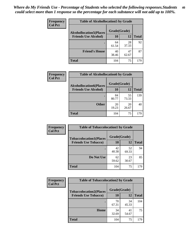| Frequency<br><b>Col Pct</b> | <b>Table of Alcohollocation5 by Grade</b> |              |             |              |
|-----------------------------|-------------------------------------------|--------------|-------------|--------------|
|                             | <b>Alcohollocation5(Places</b>            | Grade(Grade) |             |              |
|                             | <b>Friends Use Alcohol)</b>               | 10           | 12          | <b>Total</b> |
|                             |                                           | 64<br>61.54  | 28<br>37.33 | 92           |
|                             | <b>Friend's House</b>                     | 40<br>38.46  | 47<br>62.67 | 87           |
|                             | <b>Total</b>                              | 104          | 75          | 179          |

| <b>Frequency</b> | <b>Table of Alcohollocation6 by Grade</b> |              |             |              |
|------------------|-------------------------------------------|--------------|-------------|--------------|
| <b>Col Pct</b>   | <b>Alcohollocation6(Places</b>            | Grade(Grade) |             |              |
|                  | <b>Friends Use Alcohol)</b>               | 10           | 12          | <b>Total</b> |
|                  |                                           | 84<br>80.77  | 55<br>73.33 | 139          |
|                  | <b>Other</b>                              | 20<br>19.23  | 20<br>26.67 | 40           |
|                  | <b>Total</b>                              | 104          | 75          | 179          |

| <b>Frequency</b> | <b>Table of Tobaccolocation1 by Grade</b> |              |             |              |
|------------------|-------------------------------------------|--------------|-------------|--------------|
| <b>Col Pct</b>   | <b>Tobaccolocation1(Places</b>            | Grade(Grade) |             |              |
|                  | <b>Friends Use Tobacco)</b>               | 10           | 12          | <b>Total</b> |
|                  |                                           | 42<br>40.38  | 52<br>69.33 | 94           |
|                  | Do Not Use                                | 62<br>59.62  | 23<br>30.67 | 85           |
|                  | <b>Total</b>                              | 104          | 75          | 179          |

| <b>Frequency</b> | <b>Table of Tobaccolocation2 by Grade</b> |              |             |              |
|------------------|-------------------------------------------|--------------|-------------|--------------|
| <b>Col Pct</b>   | <b>Tobaccolocation2(Places</b>            | Grade(Grade) |             |              |
|                  | <b>Friends Use Tobacco)</b>               | 10           | 12          | <b>Total</b> |
|                  |                                           | 70<br>67.31  | 34<br>45.33 | 104          |
|                  | Home                                      | 34<br>32.69  | 41<br>54.67 | 75           |
|                  | <b>Total</b>                              | 104          | 75          | 179          |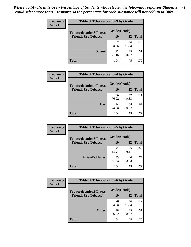| Frequency      | <b>Table of Tobaccolocation 3 by Grade</b> |              |             |              |  |
|----------------|--------------------------------------------|--------------|-------------|--------------|--|
| <b>Col Pct</b> | <b>Tobaccolocation3(Places</b>             | Grade(Grade) |             |              |  |
|                | <b>Friends Use Tobacco)</b>                | <b>10</b>    | 12          | <b>Total</b> |  |
|                |                                            | 82<br>78.85  | 46<br>61.33 | 128          |  |
|                | <b>School</b>                              | 22<br>21.15  | 29<br>38.67 | 51           |  |
|                | <b>Total</b>                               | 104          | 75          | 179          |  |

| Frequency      | <b>Table of Tobaccolocation4 by Grade</b>                     |                    |             |              |
|----------------|---------------------------------------------------------------|--------------------|-------------|--------------|
| <b>Col Pct</b> | <b>Tobaccolocation4(Places</b><br><b>Friends Use Tobacco)</b> | Grade(Grade)<br>10 | 12          | <b>Total</b> |
|                |                                                               |                    |             |              |
|                |                                                               | 80<br>76.92        | 37<br>49.33 | 117          |
|                | Car                                                           | 24<br>23.08        | 38<br>50.67 | 62           |
|                | <b>Total</b>                                                  | 104                | 75          | 179          |

| Frequency      | <b>Table of Tobaccolocation5 by Grade</b> |              |             |              |
|----------------|-------------------------------------------|--------------|-------------|--------------|
| <b>Col Pct</b> | <b>Tobaccolocation5(Places</b>            | Grade(Grade) |             |              |
|                | <b>Friends Use Tobacco)</b>               | 10           | <b>12</b>   | <b>Total</b> |
|                |                                           | 71<br>68.27  | 35<br>46.67 | 106          |
|                | <b>Friend's House</b>                     | 33<br>31.73  | 40<br>53.33 | 73           |
|                | <b>Total</b>                              | 104          | 75          | 179          |

| <b>Frequency</b> | <b>Table of Tobaccolocation6 by Grade</b> |              |             |              |  |
|------------------|-------------------------------------------|--------------|-------------|--------------|--|
| <b>Col Pct</b>   | <b>Tobaccolocation6(Places</b>            | Grade(Grade) |             |              |  |
|                  | <b>Friends Use Tobacco)</b>               | 10           | 12          | <b>Total</b> |  |
|                  |                                           | 76<br>73.08  | 46<br>61.33 | 122          |  |
|                  | <b>Other</b>                              | 28<br>26.92  | 29<br>38.67 | 57           |  |
|                  | <b>Total</b>                              | 104          | 75          | 179          |  |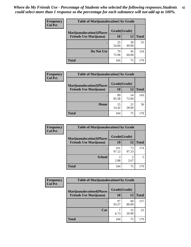| <b>Frequency</b><br><b>Col Pct</b> | <b>Table of Marijuanalocation1 by Grade</b> |              |             |              |
|------------------------------------|---------------------------------------------|--------------|-------------|--------------|
|                                    | <b>Marijuanalocation1(Places</b>            | Grade(Grade) |             |              |
|                                    | <b>Friends Use Marijuana</b> )              | 10           | 12          | <b>Total</b> |
|                                    |                                             | 25<br>24.04  | 30<br>40.00 | 55           |
|                                    | Do Not Use                                  | 79<br>75.96  | 45<br>60.00 | 124          |
|                                    | <b>Total</b>                                | 104          | 75          | 179          |

| Frequency      | <b>Table of Marijuanalocation2 by Grade</b> |              |             |              |
|----------------|---------------------------------------------|--------------|-------------|--------------|
| <b>Col Pct</b> | <b>Marijuanalocation2(Places</b>            | Grade(Grade) |             |              |
|                | <b>Friends Use Marijuana</b> )              | <b>10</b>    | 12          | <b>Total</b> |
|                |                                             | 89<br>85.58  | 54<br>72.00 | 143          |
|                | Home                                        | 15<br>14.42  | 21<br>28.00 | 36           |
|                | <b>Total</b>                                | 104          | 75          | 179          |

| Frequency<br><b>Col Pct</b> | <b>Table of Marijuanalocation3 by Grade</b> |              |             |       |
|-----------------------------|---------------------------------------------|--------------|-------------|-------|
|                             | <b>Marijuanalocation3</b> (Places           | Grade(Grade) |             |       |
|                             | <b>Friends Use Marijuana</b> )              | 10           | 12          | Total |
|                             |                                             | 101<br>97.12 | 73<br>97.33 | 174   |
|                             | <b>School</b>                               | 2.88         | 2.67        |       |
|                             | <b>Total</b>                                | 104          | 75          | 179   |

| <b>Frequency</b> | <b>Table of Marijuanalocation4 by Grade</b> |              |             |              |  |
|------------------|---------------------------------------------|--------------|-------------|--------------|--|
| <b>Col Pct</b>   | <b>Marijuanalocation4(Places</b>            | Grade(Grade) |             |              |  |
|                  | <b>Friends Use Marijuana</b> )              | 10           | 12          | <b>Total</b> |  |
|                  |                                             | 97<br>93.27  | 60<br>80.00 | 157          |  |
|                  | Car                                         | 6.73         | 15<br>20.00 | 22           |  |
|                  | <b>Total</b>                                | 104          | 75          | 179          |  |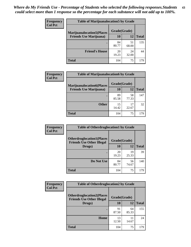| <b>Frequency</b> | <b>Table of Marijuanalocation5 by Grade</b> |              |             |              |
|------------------|---------------------------------------------|--------------|-------------|--------------|
| <b>Col Pct</b>   | <b>Marijuanalocation5</b> (Places           | Grade(Grade) |             |              |
|                  | <b>Friends Use Marijuana</b> )              | 10           | 12          | <b>Total</b> |
|                  |                                             | 84<br>80.77  | 51<br>68.00 | 135          |
|                  | <b>Friend's House</b>                       | 20<br>19.23  | 24<br>32.00 | 44           |
|                  | <b>Total</b>                                | 104          | 75          | 179          |

| <b>Frequency</b> | <b>Table of Marijuanalocation6 by Grade</b>                        |                    |             |              |
|------------------|--------------------------------------------------------------------|--------------------|-------------|--------------|
| <b>Col Pct</b>   | <b>Marijuanalocation6(Places</b><br><b>Friends Use Marijuana</b> ) | Grade(Grade)<br>10 | 12          | <b>Total</b> |
|                  |                                                                    | 89<br>85.58        | 58<br>77.33 | 147          |
|                  | <b>Other</b>                                                       | 15<br>14.42        | 17<br>22.67 | 32           |
|                  | <b>Total</b>                                                       | 104                | 75          | 179          |

| <b>Frequency</b> | <b>Table of Otherdruglocation1 by Grade</b> |              |             |              |
|------------------|---------------------------------------------|--------------|-------------|--------------|
| <b>Col Pct</b>   | <b>Otherdruglocation1(Places</b>            | Grade(Grade) |             |              |
|                  | <b>Friends Use Other Illegal</b><br>Drugs)  | 10           | 12          | <b>Total</b> |
|                  |                                             | 20<br>19.23  | 19<br>25.33 | 39           |
|                  | Do Not Use                                  | 84<br>80.77  | 56<br>74.67 | 140          |
|                  | <b>Total</b>                                | 104          | 75          | 179          |

| Frequency      | <b>Table of Otherdruglocation2 by Grade</b>                          |              |             |              |
|----------------|----------------------------------------------------------------------|--------------|-------------|--------------|
| <b>Col Pct</b> | <b>Otherdruglocation2(Places</b><br><b>Friends Use Other Illegal</b> | Grade(Grade) |             |              |
|                | Drugs)                                                               | 10           | 12          | <b>Total</b> |
|                |                                                                      | 91<br>87.50  | 64<br>85.33 | 155          |
|                | Home                                                                 | 13<br>12.50  | 11<br>14.67 | 24           |
|                | <b>Total</b>                                                         | 104          | 75          | 179          |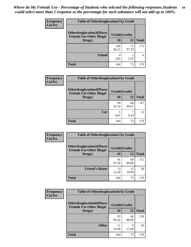| <b>Frequency</b> | <b>Table of Otherdruglocation 3 by Grade</b>                         |              |                        |              |
|------------------|----------------------------------------------------------------------|--------------|------------------------|--------------|
| <b>Col Pct</b>   | <b>Otherdruglocation3(Places</b><br><b>Friends Use Other Illegal</b> | Grade(Grade) |                        |              |
|                  | Drugs)                                                               | 10           | 12                     | <b>Total</b> |
|                  |                                                                      | 100<br>96.15 | 73<br>97.33            | 173          |
|                  | <b>School</b>                                                        | 4<br>3.85    | $\mathfrak{D}$<br>2.67 | 6            |
|                  | Total                                                                | 104          | 75                     | 179          |

| <b>Frequency</b> | <b>Table of Otherdruglocation4 by Grade</b>                          |             |              |              |
|------------------|----------------------------------------------------------------------|-------------|--------------|--------------|
| <b>Col Pct</b>   | <b>Otherdruglocation4(Places</b><br><b>Friends Use Other Illegal</b> |             | Grade(Grade) |              |
|                  | Drugs)                                                               | 10          | 12           | <b>Total</b> |
|                  |                                                                      | 99<br>95.19 | 68<br>90.67  | 167          |
|                  | Car                                                                  | 5<br>4.81   | 9.33         | 12           |
|                  | <b>Total</b>                                                         | 104         | 75           | 179          |

| Frequency      | <b>Table of Otherdruglocation5 by Grade</b>                          |              |             |              |
|----------------|----------------------------------------------------------------------|--------------|-------------|--------------|
| <b>Col Pct</b> | <b>Otherdruglocation5(Places</b><br><b>Friends Use Other Illegal</b> | Grade(Grade) |             |              |
|                | Drugs)                                                               | 10           | 12          | <b>Total</b> |
|                |                                                                      | 91<br>87.50  | 60<br>80.00 | 151          |
|                | <b>Friend's House</b>                                                | 13<br>12.50  | 15<br>20.00 | 28           |
|                | <b>Total</b>                                                         | 104          | 75          | 179          |

| <b>Frequency</b> | <b>Table of Otherdruglocation6 by Grade</b>                          |              |             |              |
|------------------|----------------------------------------------------------------------|--------------|-------------|--------------|
| <b>Col Pct</b>   | <b>Otherdruglocation6(Places</b><br><b>Friends Use Other Illegal</b> | Grade(Grade) |             |              |
|                  | Drugs)                                                               | <b>10</b>    | 12          | <b>Total</b> |
|                  |                                                                      | 93<br>89.42  | 66<br>88.00 | 159          |
|                  | <b>Other</b>                                                         | 11<br>10.58  | 9<br>12.00  | 20           |
|                  | <b>Total</b>                                                         | 104          | 75          | 179          |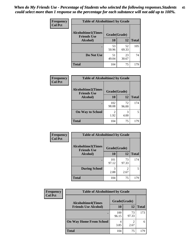| Frequency      | <b>Table of Alcoholtime1 by Grade</b>           |              |             |              |
|----------------|-------------------------------------------------|--------------|-------------|--------------|
| <b>Col Pct</b> | <b>Alcoholtime1(Times</b><br><b>Friends Use</b> | Grade(Grade) |             |              |
|                | Alcohol)                                        | 10           | 12          | <b>Total</b> |
|                |                                                 | 53<br>50.96  | 52<br>69.33 | 105          |
|                | Do Not Use                                      | 51<br>49.04  | 23<br>30.67 | 74           |
|                | <b>Total</b>                                    | 104          | 75          | 179          |

| Frequency      | <b>Table of Alcoholtime2 by Grade</b>                           |              |             |              |
|----------------|-----------------------------------------------------------------|--------------|-------------|--------------|
| <b>Col Pct</b> | <b>Alcoholtime2(Times</b><br>Grade(Grade)<br><b>Friends Use</b> |              |             |              |
|                | Alcohol)                                                        | 10           | 12          | <b>Total</b> |
|                |                                                                 | 102<br>98.08 | 72<br>96.00 | 174          |
|                | <b>On Way to School</b>                                         | 1.92         | 3<br>4.00   | 5            |
|                | <b>Total</b>                                                    | 104          | 75          | 179          |

| Frequency<br><b>Col Pct</b> | <b>Table of Alcoholtime3 by Grade</b>                           |              |             |              |
|-----------------------------|-----------------------------------------------------------------|--------------|-------------|--------------|
|                             | <b>Alcoholtime3(Times</b><br>Grade(Grade)<br><b>Friends Use</b> |              |             |              |
|                             | <b>Alcohol</b> )                                                | 10           | 12          | <b>Total</b> |
|                             |                                                                 | 101<br>97.12 | 73<br>97.33 | 174          |
|                             | <b>During School</b>                                            | 3<br>2.88    | 2<br>2.67   | 5            |
|                             | <b>Total</b>                                                    | 104          | 75          | 179          |

| <b>Frequency</b> | <b>Table of Alcoholtime4 by Grade</b> |              |             |              |
|------------------|---------------------------------------|--------------|-------------|--------------|
| <b>Col Pct</b>   | <b>Alcoholtime4(Times</b>             | Grade(Grade) |             |              |
|                  | <b>Friends Use Alcohol)</b>           | 10           | 12          | <b>Total</b> |
|                  | ٠                                     | 100<br>96.15 | 73<br>97.33 | 173          |
|                  | <b>On Way Home From School</b>        | 4<br>3.85    | 2.67        |              |
|                  | <b>Total</b>                          | 104          | 75          | 179          |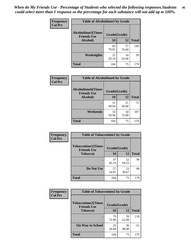*When do My Friends Use - Percentage of Students who selected the following responses.Students could select more than 1 response so the percentage for each substance will not add up to 100%.* **46**

| <b>Frequency</b> | <b>Table of Alcoholtime5 by Grade</b>           |              |             |              |
|------------------|-------------------------------------------------|--------------|-------------|--------------|
| <b>Col Pct</b>   | <b>Alcoholtime5(Times</b><br><b>Friends Use</b> | Grade(Grade) |             |              |
|                  | Alcohol)                                        | 10           | 12          | <b>Total</b> |
|                  |                                                 | 83<br>79.81  | 57<br>76.00 | 140          |
|                  | Weeknights                                      | 21<br>20.19  | 18<br>24.00 | 39           |
|                  | <b>Total</b>                                    | 104          | 75          | 179          |

| Frequency      | <b>Table of Alcoholtime6 by Grade</b>           |              |             |              |
|----------------|-------------------------------------------------|--------------|-------------|--------------|
| <b>Col Pct</b> | <b>Alcoholtime6(Times</b><br><b>Friends Use</b> | Grade(Grade) |             |              |
|                | Alcohol)                                        | 10           | 12          | <b>Total</b> |
|                |                                                 | 51<br>49.04  | 21<br>28.00 | 72           |
|                | Weekends                                        | 53<br>50.96  | 54<br>72.00 | 107          |
|                | <b>Total</b>                                    | 104          | 75          | 179          |

| Frequency      | <b>Table of Tobaccotime1 by Grade</b>           |              |             |              |
|----------------|-------------------------------------------------|--------------|-------------|--------------|
| <b>Col Pct</b> | <b>Tobaccotime1(Times</b><br><b>Friends Use</b> | Grade(Grade) |             |              |
|                | <b>Tobacco</b> )                                | 10           | 12          | <b>Total</b> |
|                | ٠                                               | 47<br>45.19  | 52<br>69.33 | 99           |
|                | Do Not Use                                      | 57<br>54.81  | 23<br>30.67 | 80           |
|                | <b>Total</b>                                    | 104          | 75          | 179          |

| Frequency      | <b>Table of Tobaccotime2 by Grade</b>                           |             |             |              |  |
|----------------|-----------------------------------------------------------------|-------------|-------------|--------------|--|
| <b>Col Pct</b> | <b>Tobaccotime2(Times</b><br>Grade(Grade)<br><b>Friends Use</b> |             |             |              |  |
|                | <b>Tobacco</b> )                                                | 10          | 12          | <b>Total</b> |  |
|                |                                                                 | 79<br>75.96 | 39<br>52.00 | 118          |  |
|                | <b>On Way to School</b>                                         | 25<br>24.04 | 36<br>48.00 | 61           |  |
|                | <b>Total</b>                                                    | 104         | 75          | 179          |  |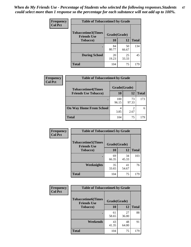*When do My Friends Use - Percentage of Students who selected the following responses.Students could select more than 1 response so the percentage for each substance will not add up to 100%.* **47**

| <b>Frequency</b> | <b>Table of Tobaccotime3 by Grade</b>           |              |             |              |  |
|------------------|-------------------------------------------------|--------------|-------------|--------------|--|
| <b>Col Pct</b>   | <b>Tobaccotime3(Times</b><br><b>Friends Use</b> | Grade(Grade) |             |              |  |
|                  | <b>Tobacco</b> )                                | 10           | 12          | <b>Total</b> |  |
|                  |                                                 | 84<br>80.77  | 50<br>66.67 | 134          |  |
|                  | <b>During School</b>                            | 20<br>19.23  | 25<br>33.33 | 45           |  |
|                  | <b>Total</b>                                    | 104          | 75          | 179          |  |

| <b>Frequency</b> | <b>Table of Tobaccotime4 by Grade</b> |              |             |              |
|------------------|---------------------------------------|--------------|-------------|--------------|
| <b>Col Pct</b>   | <b>Tobaccotime4(Times</b>             | Grade(Grade) |             |              |
|                  | <b>Friends Use Tobacco)</b>           | 10           | 12          | <b>Total</b> |
|                  |                                       | 100<br>96.15 | 73<br>97.33 | 173          |
|                  | <b>On Way Home From School</b>        | 4<br>3.85    | 2.67        |              |
|                  | <b>Total</b>                          | 104          | 75          | 179          |

| Frequency      | <b>Table of Tobaccotime5 by Grade</b>            |              |             |              |  |
|----------------|--------------------------------------------------|--------------|-------------|--------------|--|
| <b>Col Pct</b> | <b>Tobaccotime5</b> (Times<br><b>Friends Use</b> | Grade(Grade) |             |              |  |
|                | <b>Tobacco</b> )                                 | 10           | 12          | <b>Total</b> |  |
|                |                                                  | 69<br>66.35  | 34<br>45.33 | 103          |  |
|                | Weeknights                                       | 35<br>33.65  | 41<br>54.67 | 76           |  |
|                | <b>Total</b>                                     | 104          | 75          | 179          |  |

| Frequency<br><b>Col Pct</b> | <b>Table of Tobaccotime6 by Grade</b>                           |             |             |              |
|-----------------------------|-----------------------------------------------------------------|-------------|-------------|--------------|
|                             | <b>Tobaccotime6(Times</b><br>Grade(Grade)<br><b>Friends Use</b> |             |             |              |
|                             | <b>Tobacco</b> )                                                | 10          | 12          | <b>Total</b> |
|                             |                                                                 | 61<br>58.65 | 27<br>36.00 | 88           |
|                             | Weekends                                                        | 43<br>41.35 | 48<br>64.00 | 91           |
|                             | <b>Total</b>                                                    | 104         | 75          | 179          |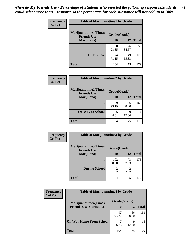| Frequency      | <b>Table of Marijuanatime1 by Grade</b>           |              |             |              |
|----------------|---------------------------------------------------|--------------|-------------|--------------|
| <b>Col Pct</b> | <b>Marijuanatime1(Times</b><br><b>Friends Use</b> | Grade(Grade) |             |              |
|                | Marijuana)                                        | 10           | 12          | <b>Total</b> |
|                |                                                   | 30<br>28.85  | 26<br>34.67 | 56           |
|                | Do Not Use                                        | 74<br>71.15  | 49<br>65.33 | 123          |
|                | <b>Total</b>                                      | 104          | 75          | 179          |

| <b>Frequency</b> | <b>Table of Marijuanatime2 by Grade</b>           |              |             |              |
|------------------|---------------------------------------------------|--------------|-------------|--------------|
| <b>Col Pct</b>   | <b>Marijuanatime2(Times</b><br><b>Friends Use</b> | Grade(Grade) |             |              |
|                  | Marijuana)                                        | 10           | 12          | <b>Total</b> |
|                  |                                                   | 99<br>95.19  | 66<br>88.00 | 165          |
|                  | <b>On Way to School</b>                           | 5<br>4.81    | 9<br>12.00  | 14           |
|                  | <b>Total</b>                                      | 104          | 75          | 179          |

| Frequency      | <b>Table of Marijuanatime3 by Grade</b>    |                                     |                        |              |
|----------------|--------------------------------------------|-------------------------------------|------------------------|--------------|
| <b>Col Pct</b> | Marijuanatime3(Times<br><b>Friends Use</b> | Grade(Grade)                        |                        |              |
|                | Marijuana)                                 | 10                                  | 12                     | <b>Total</b> |
|                |                                            | 102<br>98.08                        | 73<br>97.33            | 175          |
|                | <b>During School</b>                       | $\mathcal{D}_{\mathcal{A}}$<br>1.92 | $\mathfrak{D}$<br>2.67 | 4            |
|                | <b>Total</b>                               | 104                                 | 75                     | 179          |

| <b>Frequency</b><br><b>Col Pct</b> | <b>Table of Marijuanatime4 by Grade</b> |              |             |              |
|------------------------------------|-----------------------------------------|--------------|-------------|--------------|
|                                    | <b>Marijuanatime4(Times</b>             | Grade(Grade) |             |              |
|                                    | <b>Friends Use Marijuana</b> )          | 10           | 12          | <b>Total</b> |
|                                    |                                         | 97<br>93.27  | 66<br>88.00 | 163          |
|                                    | <b>On Way Home From School</b>          | 6.73         | q<br>12.00  | 16           |
|                                    | <b>Total</b>                            | 104          | 75          | 179          |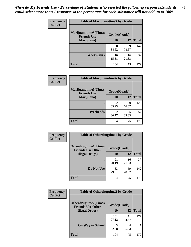| Frequency      | <b>Table of Marijuanatime5 by Grade</b>            |              |             |              |
|----------------|----------------------------------------------------|--------------|-------------|--------------|
| <b>Col Pct</b> | <b>Marijuanatime5</b> (Times<br><b>Friends Use</b> | Grade(Grade) |             |              |
|                | Marijuana)                                         | 10           | 12          | <b>Total</b> |
|                |                                                    | 88<br>84.62  | 59<br>78.67 | 147          |
|                | Weeknights                                         | 16<br>15.38  | 16<br>21.33 | 32           |
|                | <b>Total</b>                                       | 104          | 75          | 179          |

| Frequency      | <b>Table of Marijuanatime6 by Grade</b>            |              |             |              |
|----------------|----------------------------------------------------|--------------|-------------|--------------|
| <b>Col Pct</b> | <b>Marijuanatime6</b> (Times<br><b>Friends Use</b> | Grade(Grade) |             |              |
|                | Marijuana)                                         | 10           | 12          | <b>Total</b> |
|                |                                                    | 72<br>69.23  | 50<br>66.67 | 122          |
|                | Weekends                                           | 32<br>30.77  | 25<br>33.33 | 57           |
|                | <b>Total</b>                                       | 104          | 75          | 179          |

| Frequency      | <b>Table of Otherdrugtime1 by Grade</b>                 |              |             |              |
|----------------|---------------------------------------------------------|--------------|-------------|--------------|
| <b>Col Pct</b> | <b>Otherdrugtime1(Times</b><br><b>Friends Use Other</b> | Grade(Grade) |             |              |
|                | <b>Illegal Drugs</b> )                                  | 10           | 12          | <b>Total</b> |
|                |                                                         | 21<br>20.19  | 16<br>21.33 | 37           |
|                | Do Not Use                                              | 83<br>79.81  | 59<br>78.67 | 142          |
|                | <b>Total</b>                                            | 104          | 75          | 179          |

| <b>Frequency</b> | <b>Table of Otherdrugtime2 by Grade</b>                 |              |             |              |  |  |
|------------------|---------------------------------------------------------|--------------|-------------|--------------|--|--|
| <b>Col Pct</b>   | <b>Otherdrugtime2(Times</b><br><b>Friends Use Other</b> | Grade(Grade) |             |              |  |  |
|                  | <b>Illegal Drugs</b> )                                  |              | 12          | <b>Total</b> |  |  |
|                  |                                                         | 101<br>97.12 | 71<br>94.67 | 172          |  |  |
|                  | <b>On Way to School</b>                                 | 3<br>2.88    | 4<br>5.33   | 7            |  |  |
|                  | <b>Total</b>                                            | 104          | 75          | 179          |  |  |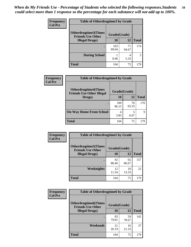| <b>Frequency</b> | <b>Table of Otherdrugtime3 by Grade</b>                 |              |             |              |  |  |
|------------------|---------------------------------------------------------|--------------|-------------|--------------|--|--|
| <b>Col Pct</b>   | <b>Otherdrugtime3(Times</b><br><b>Friends Use Other</b> | Grade(Grade) |             |              |  |  |
|                  | <b>Illegal Drugs</b> )                                  | 10           | 12          | <b>Total</b> |  |  |
|                  |                                                         | 103<br>99.04 | 71<br>94.67 | 174          |  |  |
|                  | <b>During School</b>                                    | 0.96         | 4<br>5.33   | 5            |  |  |
|                  | <b>Total</b>                                            | 104          | 75          | 179          |  |  |

| <b>Frequency</b> | <b>Table of Otherdrugtime4 by Grade</b>                         |              |             |              |  |  |
|------------------|-----------------------------------------------------------------|--------------|-------------|--------------|--|--|
| <b>Col Pct</b>   | <b>Otherdrugtime4(Times</b><br><b>Friends Use Other Illegal</b> | Grade(Grade) |             |              |  |  |
|                  | Drugs)                                                          | 10           | 12          | <b>Total</b> |  |  |
|                  | ٠                                                               | 100<br>96.15 | 70<br>93.33 | 170          |  |  |
|                  | <b>On Way Home From School</b>                                  | 4<br>3.85    | 6.67        | 9            |  |  |
|                  | <b>Total</b>                                                    | 104          | 75          | 179          |  |  |

| Frequency      | <b>Table of Otherdrugtime5 by Grade</b>                  |              |             |              |  |  |
|----------------|----------------------------------------------------------|--------------|-------------|--------------|--|--|
| <b>Col Pct</b> | <b>Otherdrugtime5</b> (Times<br><b>Friends Use Other</b> | Grade(Grade) |             |              |  |  |
|                | <b>Illegal Drugs</b> )                                   | 10           | 12          | <b>Total</b> |  |  |
|                |                                                          | 92<br>88.46  | 65<br>86.67 | 157          |  |  |
|                | Weeknights                                               | 12<br>11.54  | 10<br>13.33 | 22           |  |  |
|                | Total                                                    | 104          | 75          | 179          |  |  |

| Frequency      | <b>Table of Otherdrugtime6 by Grade</b>                 |              |             |              |  |  |
|----------------|---------------------------------------------------------|--------------|-------------|--------------|--|--|
| <b>Col Pct</b> | <b>Otherdrugtime6(Times</b><br><b>Friends Use Other</b> | Grade(Grade) |             |              |  |  |
|                | <b>Illegal Drugs</b> )                                  | 10           | 12          | <b>Total</b> |  |  |
|                |                                                         | 83<br>79.81  | 59<br>78.67 | 142          |  |  |
|                | Weekends                                                | 21<br>20.19  | 16<br>21.33 | 37           |  |  |
|                | Total                                                   | 104          | 75          | 179          |  |  |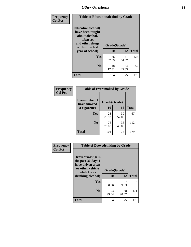| Frequency      | <b>Table of Educationalcohol by Grade</b>                                                                  |              |             |              |  |
|----------------|------------------------------------------------------------------------------------------------------------|--------------|-------------|--------------|--|
| <b>Col Pct</b> | Educationalcohol(I<br>have been taught<br>about alcohol,<br>tobacco,<br>and other drugs<br>within the last | Grade(Grade) |             |              |  |
|                | year at school)                                                                                            | 10           | 12          | <b>Total</b> |  |
|                | Yes                                                                                                        | 86<br>82.69  | 41<br>54.67 | 127          |  |
|                | N <sub>0</sub>                                                                                             | 18<br>17.31  | 34<br>45.33 | 52           |  |
|                | <b>Total</b>                                                                                               | 104          | 75          | 179          |  |

| Frequency      | <b>Table of Eversmoked by Grade</b> |              |             |              |  |  |
|----------------|-------------------------------------|--------------|-------------|--------------|--|--|
| <b>Col Pct</b> | Eversmoked(I<br>have smoked         | Grade(Grade) |             |              |  |  |
|                | a cigarette)                        | 10           | 12          | <b>Total</b> |  |  |
|                | Yes                                 | 28<br>26.92  | 39<br>52.00 | 67           |  |  |
|                | N <sub>0</sub>                      | 76<br>73.08  | 36<br>48.00 | 112          |  |  |
|                | <b>Total</b>                        | 104          | 75          | 179          |  |  |

| Frequency<br><b>Col Pct</b> | <b>Table of Drovedrinking by Grade</b>                                                                              |                    |             |              |
|-----------------------------|---------------------------------------------------------------------------------------------------------------------|--------------------|-------------|--------------|
|                             | Drovedrinking(In<br>the past 30 days I<br>have driven a car<br>or other vehicle<br>while I was<br>drinking alcohol) | Grade(Grade)<br>10 | 12          | <b>Total</b> |
|                             | <b>Yes</b>                                                                                                          | 0.96               | 9.33        | 8            |
|                             | N <sub>0</sub>                                                                                                      | 103<br>99.04       | 68<br>90.67 | 171          |
|                             | <b>Total</b>                                                                                                        | 104                | 75          | 179          |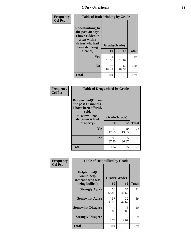| Frequency<br><b>Col Pct</b> | <b>Table of Rodedrinking by Grade</b>                                                                             |             |              |              |  |  |
|-----------------------------|-------------------------------------------------------------------------------------------------------------------|-------------|--------------|--------------|--|--|
|                             | <b>Rodedrinking(In</b><br>the past 30 days<br>I have ridden in<br>a car with a<br>driver who had<br>been drinking |             | Grade(Grade) |              |  |  |
|                             | alcohol)                                                                                                          | 10          | 12           | <b>Total</b> |  |  |
|                             | Yes                                                                                                               | 11<br>10.58 | 8<br>10.67   | 19           |  |  |
|                             | N <sub>0</sub>                                                                                                    | 93<br>89.42 | 67<br>89.33  | 160          |  |  |
|                             | <b>Total</b>                                                                                                      | 104         | 75           | 179          |  |  |

#### **Frequency Col Pct**

|                                                                                                                           | <b>Table of Drugsschool by Grade</b> |             |              |  |  |  |  |
|---------------------------------------------------------------------------------------------------------------------------|--------------------------------------|-------------|--------------|--|--|--|--|
| <b>Drugsschool</b> (During<br>the past 12 months,<br>I have been offered,<br>sold,<br>or given illegal<br>drugs on school | Grade(Grade)                         |             |              |  |  |  |  |
| property)                                                                                                                 | 10                                   | 12          | <b>Total</b> |  |  |  |  |
| Yes                                                                                                                       | 13<br>12.50                          | 10<br>13.33 | 23           |  |  |  |  |
| N <sub>0</sub>                                                                                                            | 91<br>87.50                          | 65<br>86.67 | 156          |  |  |  |  |
| Total                                                                                                                     | 104                                  | 75          | 179          |  |  |  |  |

| Frequency      | <b>Table of Helpbullied by Grade</b>                                   |                          |             |              |  |
|----------------|------------------------------------------------------------------------|--------------------------|-------------|--------------|--|
| <b>Col Pct</b> | $Helpb$ ullied $(I$<br>would help<br>someone who was<br>being bullied) | Grade(Grade)<br>10<br>12 |             | <b>Total</b> |  |
|                | <b>Strongly Agree</b>                                                  | 56<br>53.85              | 35<br>46.67 | 91           |  |
|                | <b>Somewhat Agree</b>                                                  | 37<br>35.58              | 32<br>42.67 | 69           |  |
|                | <b>Somewhat Disagree</b>                                               | 4<br>3.85                | 6<br>8.00   | 10           |  |
|                | <b>Strongly Disagree</b>                                               | 6.73                     | 2<br>2.67   | 9            |  |
|                | <b>Total</b>                                                           | 104                      | 75          | 179          |  |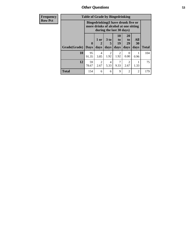*Other Questions* **53**

| <b>Frequency</b> | <b>Table of Grade by Bingedrinking</b> |                         |                        |                                                                                                         |                          |                               |                   |              |
|------------------|----------------------------------------|-------------------------|------------------------|---------------------------------------------------------------------------------------------------------|--------------------------|-------------------------------|-------------------|--------------|
| <b>Row Pct</b>   |                                        |                         |                        | Bingedrinking(I have drunk five or<br>more drinks of alcohol at one sitting<br>during the last 30 days) |                          |                               |                   |              |
|                  | Grade(Grade)                           | $\bf{0}$<br><b>Days</b> | 1 or<br>days           | $3$ to $ $<br>5<br>days                                                                                 | 10<br>to l<br>19<br>days | <b>20</b><br>to<br>29<br>days | All<br>30<br>days | <b>Total</b> |
|                  | 10                                     | 95<br>91.35             | $\overline{4}$<br>3.85 | $\overline{c}$<br>1.92                                                                                  | 2<br>1.92                | $\Omega$<br>0.00              | 0.96              | 104          |
|                  | 12                                     | 59<br>78.67             | $\mathcal{D}$<br>2.67  | 4<br>5.33                                                                                               | 7<br>9.33                | $\mathfrak{D}$<br>2.67        | 1.33              | 75           |
|                  | <b>Total</b>                           | 154                     | 6                      | 6                                                                                                       | 9                        | $\overline{2}$                | $\overline{2}$    | 179          |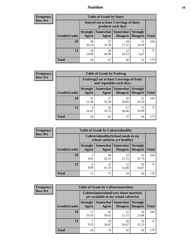## *Nutrition* **54**

| <b>Frequency</b><br>Row Pct |  |
|-----------------------------|--|
|                             |  |

| <b>Table of Grade by Dairy</b> |                                                                                                                                           |                                                                 |             |             |     |  |  |
|--------------------------------|-------------------------------------------------------------------------------------------------------------------------------------------|-----------------------------------------------------------------|-------------|-------------|-----|--|--|
|                                |                                                                                                                                           | Dairy (I eat at least 3 servings of dairy<br>products each day) |             |             |     |  |  |
| Grade(Grade)                   | <b>Somewhat</b><br>Somewhat<br><b>Strongly</b><br><b>Strongly</b><br><b>Disagree</b><br><b>Disagree</b><br><b>Total</b><br>Agree<br>Agree |                                                                 |             |             |     |  |  |
| 10                             | 38<br>36.54                                                                                                                               | 37<br>35.58                                                     | 18<br>17.31 | 11<br>10.58 | 104 |  |  |
| 12                             | 18<br>24.00                                                                                                                               | 30<br>40.00                                                     | 22<br>29.33 | 5<br>6.67   | 75  |  |  |
| <b>Total</b>                   | 56                                                                                                                                        | 67                                                              | 40          | 16          | 179 |  |  |

| <b>Frequency</b> |
|------------------|
| <b>Row Pct</b>   |

| y | <b>Table of Grade by Fruitveg</b> |                                                                                                              |                                                                          |             |             |              |  |  |
|---|-----------------------------------|--------------------------------------------------------------------------------------------------------------|--------------------------------------------------------------------------|-------------|-------------|--------------|--|--|
|   |                                   |                                                                                                              | Fruitveg(I eat at least 5 servings of fruits<br>and vegetables each day) |             |             |              |  |  |
|   | Grade(Grade)                      | Somewhat   Somewhat  <br><b>Strongly</b><br><b>Strongly</b><br><b>Disagree</b><br>Agree<br>Disagree<br>Agree |                                                                          |             |             | <b>Total</b> |  |  |
|   | 10                                | 16<br>15.38                                                                                                  | 37<br>35.58                                                              | 30<br>28.85 | 21<br>20.19 | 104          |  |  |
|   | 12                                | 8<br>10.67                                                                                                   | 25<br>33.33                                                              | 27<br>36.00 | 15<br>20.00 | 75           |  |  |
|   | <b>Total</b>                      | 24                                                                                                           | 62                                                                       | 57          | 36          | 179          |  |  |

| <b>Frequency</b> | <b>Table of Grade by Cafeteriahealthy</b> |                                                                       |             |                                   |                                    |              |  |  |
|------------------|-------------------------------------------|-----------------------------------------------------------------------|-------------|-----------------------------------|------------------------------------|--------------|--|--|
| <b>Row Pct</b>   |                                           | Cafeteriahealthy (School meals in my<br>school cafeteria are healthy) |             |                                   |                                    |              |  |  |
|                  | Grade(Grade)                              | <b>Strongly</b><br>Agree                                              | Agree       | Somewhat   Somewhat  <br>Disagree | <b>Strongly</b><br><b>Disagree</b> | <b>Total</b> |  |  |
|                  | 10                                        | 4.81                                                                  | 44<br>42.31 | 22<br>21.15                       | 33<br>31.73                        | 104          |  |  |
|                  | 12                                        | 6<br>8.00                                                             | 31<br>41.33 | 12<br>16.00                       | 26<br>34.67                        | 75           |  |  |
|                  | Total                                     | 11                                                                    | 75          | 34                                | 59                                 | 179          |  |  |

| <b>Frequency</b> |
|------------------|
| <b>Row Pct</b>   |

| <b>Table of Grade by Cafeterianutrition</b> |                                                                                                                 |                                                                                           |             |             |     |  |  |
|---------------------------------------------|-----------------------------------------------------------------------------------------------------------------|-------------------------------------------------------------------------------------------|-------------|-------------|-----|--|--|
|                                             |                                                                                                                 | <b>Cafeterianutrition</b> (Facts about nutrition<br>are available in my school cafeteria) |             |             |     |  |  |
| Grade(Grade)                                | Somewhat Somewhat<br><b>Strongly</b><br><b>Strongly</b><br><b>Disagree</b><br>Agree<br><b>Disagree</b><br>Agree |                                                                                           |             |             |     |  |  |
| 10                                          | 17<br>16.35                                                                                                     | 41<br>39.42                                                                               | 22<br>21.15 | 24<br>23.08 | 104 |  |  |
| 12                                          | 9.33                                                                                                            | 29<br>38.67                                                                               | 20<br>26.67 | 19<br>25.33 | 75  |  |  |
| <b>Total</b>                                | 24                                                                                                              | 70                                                                                        | 42          | 43          | 179 |  |  |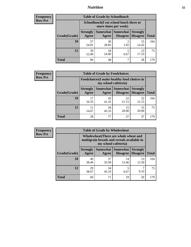## *Nutrition* **55**

| <b>Frequency</b> |
|------------------|
| Kow Pct          |

| <b>Table of Grade by Schoollunch</b> |                                                                                                                                                                                                         |             |           |             |     |  |  |
|--------------------------------------|---------------------------------------------------------------------------------------------------------------------------------------------------------------------------------------------------------|-------------|-----------|-------------|-----|--|--|
|                                      | Schoollunch(I eat school lunch three or<br>more times per week)<br>Somewhat  <br><b>Somewhat</b><br><b>Strongly</b><br><b>Strongly</b><br><b>Disagree</b><br>Agree<br>Disagree<br><b>Total</b><br>Agree |             |           |             |     |  |  |
| Grade(Grade)                         |                                                                                                                                                                                                         |             |           |             |     |  |  |
| <b>10</b>                            | 57<br>54.81                                                                                                                                                                                             | 30<br>28.85 | 2<br>1.92 | 15<br>14.42 | 104 |  |  |
| 12                                   | 39<br>52.00                                                                                                                                                                                             | 18<br>24.00 | 5<br>6.67 | 13<br>17.33 | 75  |  |  |
| <b>Total</b>                         | 96                                                                                                                                                                                                      | 48          | ┑         | 28          | 179 |  |  |

| <b>Frequency</b> |  |
|------------------|--|
| <b>Row Pct</b>   |  |

| <b>Table of Grade by Foodchoices</b> |                                                                            |             |                                   |                                    |              |  |
|--------------------------------------|----------------------------------------------------------------------------|-------------|-----------------------------------|------------------------------------|--------------|--|
|                                      | <b>Foodchoices</b> (I make healthy food choices in<br>my school cafeteria) |             |                                   |                                    |              |  |
| Grade(Grade)                         | <b>Strongly</b><br>Agree                                                   | Agree       | Somewhat   Somewhat  <br>Disagree | <b>Strongly</b><br><b>Disagree</b> | <b>Total</b> |  |
| 10                                   | 17<br>16.35                                                                | 43<br>41.35 | 22<br>21.15                       | 22<br>21.15                        | 104          |  |
| 12                                   | 11<br>14.67                                                                | 34<br>45.33 | 15<br>20.00                       | 15<br>20.00                        | 75           |  |
| <b>Total</b>                         | 28                                                                         | 77          | 37                                | 37                                 | 179          |  |

**Total**

104

75

**Strongly Disagree**

6.67

13 12.50

> 7 9.33

| Frequency      | <b>Table of Grade by Wholewheat</b> |                          |                                                                                                             |                     |                   |  |  |
|----------------|-------------------------------------|--------------------------|-------------------------------------------------------------------------------------------------------------|---------------------|-------------------|--|--|
| <b>Row Pct</b> |                                     |                          | Wholewheat (There are whole wheat and<br>multigrain breads and cereals available in<br>my school cafeteria) |                     |                   |  |  |
|                | Grade(Grade)                        | <b>Strongly</b><br>Agree | <b>Somewhat Somewhat</b><br>Agree                                                                           | Disagree   Disagree | <b>Strongly</b>   |  |  |
|                | 10                                  | 40<br>38.46              | 37<br>35.58                                                                                                 | 14<br>13.46         | 12.5 <sup>0</sup> |  |  |
|                | 12                                  | 29                       | 34                                                                                                          | 5                   |                   |  |  |

38.67

45.33

**Total** 69 71 19 20 179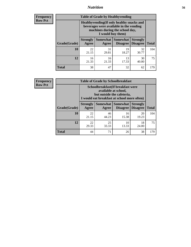## *Nutrition* **56**

**Frequency Row Pct**

| <b>Table of Grade by Healthyvending</b> |                                                                                                                                               |                          |                                    |                                    |              |  |
|-----------------------------------------|-----------------------------------------------------------------------------------------------------------------------------------------------|--------------------------|------------------------------------|------------------------------------|--------------|--|
|                                         | Healthyvending (If only healthy snacks and<br>beverages were available in the vending<br>machines during the school day,<br>I would buy them) |                          |                                    |                                    |              |  |
| Grade(Grade)                            | <b>Strongly</b><br>Agree                                                                                                                      | <b>Somewhat</b><br>Agree | <b>Somewhat</b><br><b>Disagree</b> | <b>Strongly</b><br><b>Disagree</b> | <b>Total</b> |  |
| 10                                      | 22<br>21.15                                                                                                                                   | 31<br>29.81              | 19<br>18.27                        | 32<br>30.77                        | 104          |  |
| 12                                      | 16<br>21.33                                                                                                                                   | 16<br>21.33              | 13<br>17.33                        | 30<br>40.00                        | 75           |  |
| <b>Total</b>                            | 38                                                                                                                                            | 47                       | 32                                 | 62                                 | 179          |  |

**Frequency Row Pct**

| <b>Table of Grade by Schoolbreakfast</b> |                                                                                                                                         |             |                                        |                                    |              |  |
|------------------------------------------|-----------------------------------------------------------------------------------------------------------------------------------------|-------------|----------------------------------------|------------------------------------|--------------|--|
|                                          | Schoolbreakfast (If breakfast were<br>available at school,<br>but outside the cafeteria,<br>I would eat breakfast at school more often) |             |                                        |                                    |              |  |
| Grade(Grade)                             | <b>Strongly</b><br>Agree                                                                                                                | Agree       | Somewhat   Somewhat<br><b>Disagree</b> | <b>Strongly</b><br><b>Disagree</b> | <b>Total</b> |  |
| 10                                       | 22<br>21.15                                                                                                                             | 46<br>44.23 | 16<br>15.38                            | 20<br>19.23                        | 104          |  |
| 12                                       | 22<br>29.33                                                                                                                             | 25<br>33.33 | 10<br>13.33                            | 18<br>24.00                        | 75           |  |
| <b>Total</b>                             | 44                                                                                                                                      | 71          | 26                                     | 38                                 | 179          |  |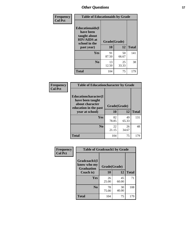| Frequency<br><b>Col Pct</b> | <b>Table of Educationaids by Grade</b>                                                                    |                    |             |              |
|-----------------------------|-----------------------------------------------------------------------------------------------------------|--------------------|-------------|--------------|
|                             | <b>Educationaids</b> (I<br>have been<br>taught about<br><b>HIV/AIDS</b> at<br>school in the<br>past year) | Grade(Grade)<br>10 | 12          | <b>Total</b> |
|                             | <b>Yes</b>                                                                                                | 91<br>87.50        | 50<br>66.67 | 141          |
|                             | N <sub>0</sub>                                                                                            | 13<br>12.50        | 25<br>33.33 | 38           |
|                             | <b>Total</b>                                                                                              | 104                | 75          | 179          |

| <b>Frequency</b> | <b>Table of Educationcharacter by Grade</b>                                          |              |             |              |
|------------------|--------------------------------------------------------------------------------------|--------------|-------------|--------------|
| <b>Col Pct</b>   | Educationcharacter(I<br>have been taught<br>about character<br>education in the past | Grade(Grade) |             |              |
|                  | year at school)                                                                      | 10           | 12          | <b>Total</b> |
|                  | <b>Yes</b>                                                                           | 82<br>78.85  | 49<br>65.33 | 131          |
|                  | N <sub>0</sub>                                                                       | 22<br>21.15  | 26<br>34.67 | 48           |
|                  | <b>Total</b>                                                                         | 104          | 75          | 179          |

| Frequency      | <b>Table of Gradcoach1 by Grade</b> |              |             |              |
|----------------|-------------------------------------|--------------|-------------|--------------|
| <b>Col Pct</b> | Gradcoach1(I<br>know who my         | Grade(Grade) |             |              |
|                | <b>Graduation</b><br>Coach is)      | 10           | 12          | <b>Total</b> |
|                | Yes                                 | 26<br>25.00  | 45<br>60.00 | 71           |
|                | N <sub>0</sub>                      | 78<br>75.00  | 30<br>40.00 | 108          |
|                | <b>Total</b>                        | 104          | 75          | 179          |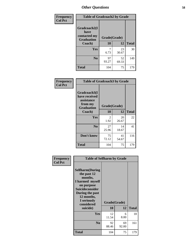| Frequency      | <b>Table of Gradcoach2 by Grade</b> |              |             |              |
|----------------|-------------------------------------|--------------|-------------|--------------|
| <b>Col Pct</b> |                                     |              |             |              |
|                | Gradcoach2(I<br>have                |              |             |              |
|                | contacted my<br><b>Graduation</b>   | Grade(Grade) |             |              |
|                | Coach)                              | 10           | 12          | <b>Total</b> |
|                | Yes                                 | 7<br>6.73    | 23<br>30.67 | 30           |
|                | N <sub>0</sub>                      | 97<br>93.27  | 52<br>69.33 | 149          |
|                | <b>Total</b>                        | 104          | 75          | 179          |

| Frequency<br><b>Col Pct</b> | <b>Table of Gradcoach3 by Grade</b>                                         |              |             |              |
|-----------------------------|-----------------------------------------------------------------------------|--------------|-------------|--------------|
|                             | Gradcoach3(I<br>have received<br>assistance<br>from my<br><b>Graduation</b> | Grade(Grade) |             |              |
|                             | Coach)                                                                      | 10           | 12          | <b>Total</b> |
|                             | Yes                                                                         | 2<br>1.92    | 20<br>26.67 | 22           |
|                             | N <sub>0</sub>                                                              | 27<br>25.96  | 14<br>18.67 | 41           |
|                             | Don't know                                                                  | 75<br>72.12  | 41<br>54.67 | 116          |
|                             | <b>Total</b>                                                                | 104          | 75          | 179          |

| Frequency      | <b>Table of Selfharm by Grade</b>                                                  |              |             |              |
|----------------|------------------------------------------------------------------------------------|--------------|-------------|--------------|
| <b>Col Pct</b> | <b>Selfharm</b> (During<br>the past 12<br>months,<br>I harmed myself<br>on purpose |              |             |              |
|                | <b>Suicideconsider</b><br>During the past                                          |              |             |              |
|                | 12 months,<br>I seriously                                                          | Grade(Grade) |             |              |
|                | considered                                                                         |              |             |              |
|                | suicide)                                                                           | 10           | 12          | <b>Total</b> |
|                | Yes                                                                                | 12<br>11.54  | 6<br>8.00   | 18           |
|                | N <sub>0</sub>                                                                     | 92<br>88.46  | 69<br>92.00 | 161          |
|                | <b>Total</b>                                                                       | 104          | 75          | 179          |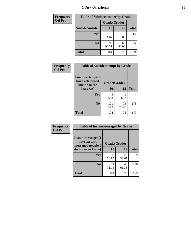| <b>Frequency</b> | <b>Table of Suicideconsider by Grade</b> |              |             |              |
|------------------|------------------------------------------|--------------|-------------|--------------|
| <b>Col Pct</b>   |                                          | Grade(Grade) |             |              |
|                  | Suicideconsider                          | <b>10</b>    | 12          | <b>Total</b> |
|                  | Yes                                      | 8<br>7.69    | 6<br>8.00   | 14           |
|                  | N <sub>0</sub>                           | 96<br>92.31  | 69<br>92.00 | 165          |
|                  | <b>Total</b>                             | 104          | 75          | 179          |

| Frequency<br><b>Col Pct</b> | <b>Table of Suicideattempt by Grade</b>              |              |             |              |
|-----------------------------|------------------------------------------------------|--------------|-------------|--------------|
|                             | Suicideattempt(I<br>have attempted<br>suicide in the | Grade(Grade) |             |              |
|                             | last year)                                           | <b>10</b>    | 12          | <b>Total</b> |
|                             | Yes                                                  | 3<br>2.88    | 1.33        | 4            |
|                             | N <sub>0</sub>                                       | 101<br>97.12 | 74<br>98.67 | 175          |
|                             | <b>Total</b>                                         | 104          | 75          | 179          |

| Frequency      | <b>Table of Instantmessaged by Grade</b>               |              |             |              |
|----------------|--------------------------------------------------------|--------------|-------------|--------------|
| <b>Col Pct</b> | Instantmessaged(I<br>have instant<br>messaged people I | Grade(Grade) |             |              |
|                | do not even know)                                      | 10           | 12          | <b>Total</b> |
|                | Yes                                                    | 30<br>28.85  | 29<br>38.67 | 59           |
|                | N <sub>0</sub>                                         | 74<br>71.15  | 46<br>61.33 | 120          |
|                | <b>Total</b>                                           | 104          | 75          | 179          |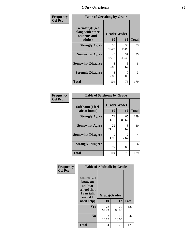| Frequency      | <b>Table of Getsalong by Grade</b>                          |              |             |              |
|----------------|-------------------------------------------------------------|--------------|-------------|--------------|
| <b>Col Pct</b> | <b>Getsalong</b> (I get<br>along with other<br>students and | Grade(Grade) |             |              |
|                | adults)                                                     | 10           | 12          | <b>Total</b> |
|                | <b>Strongly Agree</b>                                       | 50<br>48.08  | 33<br>44.00 | 83           |
|                | <b>Somewhat Agree</b>                                       | 48<br>46.15  | 37<br>49.33 | 85           |
|                | <b>Somewhat Disagree</b>                                    | 3<br>2.88    | 5<br>6.67   | 8            |
|                | <b>Strongly Disagree</b>                                    | 3<br>2.88    | 0<br>0.00   | 3            |
|                | <b>Total</b>                                                | 104          | 75          | 179          |

| Frequency      | <b>Table of Safehome by Grade</b> |                    |             |              |
|----------------|-----------------------------------|--------------------|-------------|--------------|
| <b>Col Pct</b> | Safehome(I feel<br>safe at home)  | Grade(Grade)<br>10 | 12          | <b>Total</b> |
|                | <b>Strongly Agree</b>             | 74<br>71.15        | 65<br>86.67 | 139          |
|                | <b>Somewhat Agree</b>             | 22<br>21.15        | 8<br>10.67  | 30           |
|                | <b>Somewhat Disagree</b>          | 2<br>1.92          | 2.67        | 4            |
|                | <b>Strongly Disagree</b>          | 6<br>5.77          | 0<br>0.00   | 6            |
|                | <b>Total</b>                      | 104                | 75          | 179          |

| Frequency      |                                                                                                    |                    |             | <b>Table of Adulttalk by Grade</b> |  |  |  |
|----------------|----------------------------------------------------------------------------------------------------|--------------------|-------------|------------------------------------|--|--|--|
| <b>Col Pct</b> | <b>Adulttalk</b> (I<br>know an<br>adult at<br>school that<br>I can talk<br>with if I<br>need help) | Grade(Grade)<br>10 | 12          | <b>Total</b>                       |  |  |  |
|                | Yes                                                                                                | 72<br>69.23        | 60<br>80.00 | 132                                |  |  |  |
|                | N <sub>0</sub>                                                                                     | 32<br>30.77        | 15<br>20.00 | 47                                 |  |  |  |
|                | <b>Total</b>                                                                                       | 104                | 75          | 179                                |  |  |  |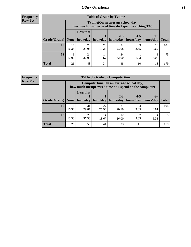**Frequency Row Pct**

| <b>Table of Grade by Tytime</b> |             |                                                                                                                               |             |             |      |            |     |  |  |
|---------------------------------|-------------|-------------------------------------------------------------------------------------------------------------------------------|-------------|-------------|------|------------|-----|--|--|
|                                 |             | Tvtime(On an average school day,<br>how much unsupervised time do I spend watching TV)                                        |             |             |      |            |     |  |  |
| Grade(Grade)   None             |             | <b>Less that</b><br>$2 - 3$<br>$4 - 5$<br>$6+$<br>hour/day   hour/day   hours/day<br>hours/day<br>  hours/day<br><b>Total</b> |             |             |      |            |     |  |  |
| 10                              | 17<br>16.35 | 24<br>23.08                                                                                                                   | 20<br>19.23 | 24<br>23.08 | 8.65 | 10<br>9.62 | 104 |  |  |
| 12                              | Q<br>12.00  | 24<br>32.00                                                                                                                   | 14<br>18.67 | 24<br>32.00 | 1.33 | 4.00       | 75  |  |  |
| <b>Total</b>                    | 26          | 48                                                                                                                            | 34          | 48          | 10   | 13         | 179 |  |  |

**Frequency Row Pct**

| <b>Table of Grade by Computertime</b> |             |                                                                                                                               |             |             |           |           |     |  |  |
|---------------------------------------|-------------|-------------------------------------------------------------------------------------------------------------------------------|-------------|-------------|-----------|-----------|-----|--|--|
|                                       |             | Computertime(On an average school day,<br>how much unsupervised time do I spend on the computer)                              |             |             |           |           |     |  |  |
| Grade(Grade)                          | None        | <b>Less that</b><br>$4 - 5$<br>$2 - 3$<br>$6+$<br>hour/day<br>hours/day<br>hours/day<br>hour/day<br>hours/day<br><b>Total</b> |             |             |           |           |     |  |  |
| 10                                    | 16<br>15.38 | 31<br>29.81                                                                                                                   | 27<br>25.96 | 21<br>20.19 | 4<br>3.85 | 4.81      | 104 |  |  |
| 12                                    | 10<br>13.33 | 28<br>37.33                                                                                                                   | 14<br>18.67 | 12<br>16.00 | 9.33      | 4<br>5.33 | 75  |  |  |
| <b>Total</b>                          | 26          | 59                                                                                                                            | 41          | 33          | 11        | 9         | 179 |  |  |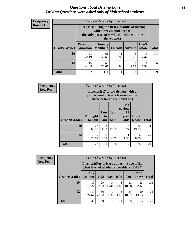#### *Questions about Driving Laws* **62** *Driving Questions were asked only of high school students.*

| <b>Frequency</b> |
|------------------|
| <b>Row Pct</b>   |

| <b>Table of Grade by License1</b> |                                                                           |                                                                                                                                           |         |           |               |              |  |  |  |
|-----------------------------------|---------------------------------------------------------------------------|-------------------------------------------------------------------------------------------------------------------------------------------|---------|-----------|---------------|--------------|--|--|--|
|                                   |                                                                           | License1(During the first 6 months of driving<br>with a provisional license,<br>the only passengers who can ride with the<br>driver are:) |         |           |               |              |  |  |  |
| <b>Grade</b> (Grade)              | <b>Parent or</b><br><b>Guardian</b>                                       | Family<br>  Members                                                                                                                       | Friends | Anyone    | Don't<br>Know | <b>Total</b> |  |  |  |
| <b>10</b>                         | 21<br>20.19                                                               | 61<br>58.65                                                                                                                               | 0.96    | 6<br>5.77 | 15<br>14.42   | 104          |  |  |  |
| 12                                | 53<br>16<br>$\overline{2}$<br>4<br>21.33<br>0.00<br>2.67<br>70.67<br>5.33 |                                                                                                                                           |         |           |               |              |  |  |  |
| <b>Total</b>                      | 37                                                                        | 114                                                                                                                                       |         | 8         | 19            | 179          |  |  |  |

| Frequency      |              | <b>Table of Grade by License2</b>                                                                        |                              |                         |                                                      |                      |              |  |  |
|----------------|--------------|----------------------------------------------------------------------------------------------------------|------------------------------|-------------------------|------------------------------------------------------|----------------------|--------------|--|--|
| <b>Row Pct</b> |              | License2(17 yr old drivers with a<br>provisional driver's license cannot<br>drive between the hours of:) |                              |                         |                                                      |                      |              |  |  |
|                | Grade(Grade) | <b>Midnight</b><br>to 6am                                                                                | 1am<br>t <sub>0</sub><br>5am | 1am<br>to<br><b>6am</b> | N <sub>0</sub><br>curfew<br>for $17$<br>year<br>olds | Don't<br><b>Know</b> | <b>Total</b> |  |  |
|                | 10           | 63<br>60.58                                                                                              | 2<br>1.92                    | 13<br>12.50             | 6<br>5.77                                            | 20<br>19.23          | 104          |  |  |
|                | 12           | 59<br>78.67                                                                                              | 6<br>8.00                    | 3<br>4.00               | 1.33                                                 | 6<br>8.00            | 75           |  |  |
|                | <b>Total</b> | 122                                                                                                      | 8                            | 16                      | 7                                                    | 26                   | 179          |  |  |

| Frequency      |              | <b>Table of Grade by License3</b> |                                                                                        |             |           |             |               |              |
|----------------|--------------|-----------------------------------|----------------------------------------------------------------------------------------|-------------|-----------|-------------|---------------|--------------|
| <b>Row Pct</b> |              |                                   | License3(For drivers under the age of 21,<br>what level of alcohol is considered DUI?) |             |           |             |               |              |
|                | Grade(Grade) | Any<br><b>Amount</b>              | 0.02                                                                                   | 0.04        | 0.06      | 0.08        | Don't<br>know | <b>Total</b> |
|                | 10           | 19<br>18.27                       | 29<br>27.88                                                                            | 14<br>13.46 | 8<br>7.69 | 11<br>10.58 | 23<br>22.12   | 104          |
|                | 12           | 17<br>22.67                       | 30<br>40.00                                                                            | 1.33        | 3<br>4.00 | 14<br>18.67 | 10<br>13.33   | 75           |
|                | <b>Total</b> | 36                                | 59                                                                                     | 15          | 11        | 25          | 33            | 179          |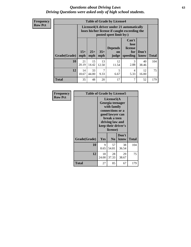#### *Questions about Driving Laws* **63** *Driving Questions were asked only of high school students.*

**Frequency Row Pct**

| <b>Table of Grade by License4</b> |              |                                                                                                                                                      |                        |             |           |             |     |  |
|-----------------------------------|--------------|------------------------------------------------------------------------------------------------------------------------------------------------------|------------------------|-------------|-----------|-------------|-----|--|
|                                   |              | License4(A driver under 21 automatically<br>loses his/her license if caught exceeding the<br>posted speet limit by:)                                 |                        |             |           |             |     |  |
| <b>Grade(Grade)</b>               | $15+$<br>mph | Can't<br>lose<br><b>Depends</b><br>license<br>$25+$<br>$35+$<br>Don't<br>for<br><b>on</b><br>mph<br>speeding<br><b>Total</b><br>know<br>mph<br>judge |                        |             |           |             |     |  |
| 10                                | 21<br>20.19  | 15<br>14.42                                                                                                                                          | 13<br>12.50            | 12<br>11.54 | 3<br>2.88 | 40<br>38.46 | 104 |  |
| 12                                | 14<br>18.67  | 33<br>44.00                                                                                                                                          | $\overline{7}$<br>9.33 | 5<br>6.67   | 4<br>5.33 | 12<br>16.00 | 75  |  |
| <b>Total</b>                      | 35           | 48                                                                                                                                                   | 20                     | 17          | 7         | 52          | 179 |  |

| Frequency      | <b>Table of Grade by License5</b> |             |                                                                                                                                      |                     |              |  |
|----------------|-----------------------------------|-------------|--------------------------------------------------------------------------------------------------------------------------------------|---------------------|--------------|--|
| <b>Row Pct</b> |                                   |             | License5(A)<br>Georgia teenager<br>with family<br>connections or a<br>good lawyer can<br>break a teen<br>driving law and<br>license) | keep their driver's |              |  |
|                | Grade(Grade)                      | Yes         | N <sub>0</sub>                                                                                                                       | Don't<br>know       | <b>Total</b> |  |
|                | 10                                | 9<br>8.65   | 57<br>54.81                                                                                                                          | 38<br>36.54         | 104          |  |
|                | 12                                | 18<br>24.00 | 28<br>37.33                                                                                                                          | 29<br>38.67         | 75           |  |
|                | Total                             | 27          | 85                                                                                                                                   | 67                  | 179          |  |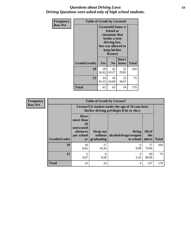#### *Questions about Driving Laws* **64** *Driving Questions were asked only of high school students.*

| <b>Frequency</b><br><b>Row Pct</b> | <b>Table of Grade by License6</b> |             |                                                                                                                           |                    |              |  |
|------------------------------------|-----------------------------------|-------------|---------------------------------------------------------------------------------------------------------------------------|--------------------|--------------|--|
|                                    |                                   |             | License <sub>6</sub> (I know a<br>friend or<br>classmate that<br>broke a teen<br>driving law,<br>keep his/her<br>license) | but was allowed to |              |  |
|                                    | Grade(Grade)                      | <b>Yes</b>  | N <sub>0</sub>                                                                                                            | Don't<br>know      | <b>Total</b> |  |
|                                    | 10                                | 28<br>26.92 | 45<br>43.27                                                                                                               | 31<br>29.81        | 104          |  |
|                                    | 12                                | 34<br>45.33 | 18<br>24.00                                                                                                               | 23<br>30.67        | 75           |  |
|                                    | <b>Total</b>                      | 62          | 63                                                                                                                        | 54                 | 179          |  |

| <b>Frequency</b> |              |                                                                             | <b>Table of Grade by License7</b>   |                                                                                               |                        |              |
|------------------|--------------|-----------------------------------------------------------------------------|-------------------------------------|-----------------------------------------------------------------------------------------------|------------------------|--------------|
| <b>Row Pct</b>   |              |                                                                             |                                     | License7(A student under the age of 18 cam loser<br>his/her driving privileges if he or she:) |                        |              |
|                  | Grade(Grade) | <b>Have</b><br>more than<br>10<br>unexcused<br>absences<br>per school<br>yr | Drop out<br>without  <br>graduating | <b>Bring</b><br>alcohol/drugs/weapon<br>to school                                             | All of<br>the<br>above | <b>Total</b> |
|                  | 10           | 10<br>9.62                                                                  | 17<br>16.35                         | $\Omega$<br>0.00                                                                              | 77<br>74.04            | 104          |
|                  | 12           | 5<br>6.67                                                                   | 6<br>8.00                           | 4<br>5.33                                                                                     | 60<br>80.00            | 75           |
|                  | <b>Total</b> | 15                                                                          | 23                                  | 4                                                                                             | 137                    | 179          |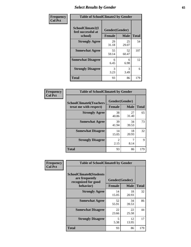# *Select Results by Gender* **65**

| Frequency      | <b>Table of SchoolClimate2 by Gender</b>          |               |                               |              |  |
|----------------|---------------------------------------------------|---------------|-------------------------------|--------------|--|
| <b>Col Pct</b> | SchoolClimate2(I<br>feel successful at<br>school) | <b>Female</b> | Gender(Gender)<br><b>Male</b> | <b>Total</b> |  |
|                | <b>Strongly Agree</b>                             | 29<br>31.18   | 25<br>29.07                   | 54           |  |
|                | <b>Somewhat Agree</b>                             | 55<br>59.14   | 52<br>60.47                   | 107          |  |
|                | <b>Somewhat Disagree</b>                          | 6<br>6.45     | 6<br>6.98                     | 12           |  |
|                | <b>Strongly Disagree</b>                          | 3<br>3.23     | 3<br>3.49                     | 6            |  |
|                | <b>Total</b>                                      | 93            | 86                            | 179          |  |

| Frequency      | <b>Table of SchoolClimate6 by Gender</b>                 |                                 |             |              |  |
|----------------|----------------------------------------------------------|---------------------------------|-------------|--------------|--|
| <b>Col Pct</b> | <b>SchoolClimate6(Teachers</b><br>treat me with respect) | Gender(Gender)<br><b>Female</b> | <b>Male</b> | <b>Total</b> |  |
|                | <b>Strongly Agree</b>                                    | 38<br>40.86                     | 27<br>31.40 | 65           |  |
|                | <b>Somewhat Agree</b>                                    | 39<br>41.94                     | 34<br>39.53 | 73           |  |
|                | <b>Somewhat Disagree</b>                                 | 14<br>15.05                     | 18<br>20.93 | 32           |  |
|                | <b>Strongly Disagree</b>                                 | 2<br>2.15                       | 7<br>8.14   | 9            |  |
|                | <b>Total</b>                                             | 93                              | 86          | 179          |  |

| Frequency      | <b>Table of SchoolClimate8 by Gender</b>                                             |                                 |             |              |
|----------------|--------------------------------------------------------------------------------------|---------------------------------|-------------|--------------|
| <b>Col Pct</b> | <b>SchoolClimate8(Students</b><br>are frequently<br>recognized for good<br>behavior) | Gender(Gender)<br><b>Female</b> | <b>Male</b> | <b>Total</b> |
|                | <b>Strongly Agree</b>                                                                | 14<br>15.05                     | 18<br>20.93 | 32           |
|                | <b>Somewhat Agree</b>                                                                | 52<br>55.91                     | 34<br>39.53 | 86           |
|                | <b>Somewhat Disagree</b>                                                             | 22<br>23.66                     | 22<br>25.58 | 44           |
|                | <b>Strongly Disagree</b>                                                             | 5<br>5.38                       | 12<br>13.95 | 17           |
|                | Total                                                                                | 93                              | 86          | 179          |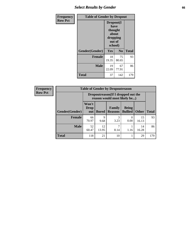# *Select Results by Gender* **66**

| <b>Frequency</b> | <b>Table of Gender by Dropout</b> |                                                                        |                |              |
|------------------|-----------------------------------|------------------------------------------------------------------------|----------------|--------------|
| <b>Row Pct</b>   |                                   | Dropout(I<br>have<br>thought<br>about<br>dropping<br>out of<br>school) |                |              |
|                  | Gender(Gender)                    | Yes                                                                    | N <sub>0</sub> | <b>Total</b> |
|                  | <b>Female</b>                     | 18<br>19.35                                                            | 75<br>80.65    | 93           |
|                  | <b>Male</b>                       | 19<br>22.09                                                            | 67<br>77.91    | 86           |
|                  | <b>Total</b>                      | 37                                                                     | 142            | 179          |

| <b>Frequency</b> |                | <b>Table of Gender by Dropoutreason</b>                            |              |                          |                                |              |              |
|------------------|----------------|--------------------------------------------------------------------|--------------|--------------------------|--------------------------------|--------------|--------------|
| <b>Row Pct</b>   |                | Dropoutreason(If I dropped out the<br>reason would most likely be) |              |                          |                                |              |              |
|                  | Gender(Gender) | Won't<br>Drop<br>out                                               | <b>Bored</b> | Family<br><b>Reasons</b> | <b>Being</b><br><b>Bullied</b> | <b>Other</b> | <b>Total</b> |
|                  | Female         | 66<br>70.97                                                        | 9<br>9.68    | 3<br>3.23                | 0.00                           | 15<br>16.13  | 93           |
|                  | <b>Male</b>    | 52<br>60.47                                                        | 12<br>13.95  | 8.14                     | 1.16                           | 14<br>16.28  | 86           |
|                  | <b>Total</b>   | 118                                                                | 21           | 10                       |                                | 29           | 179          |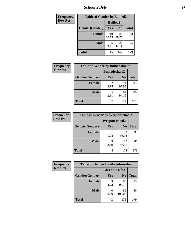*School Safety* **67**

| Frequency      | <b>Table of Gender by Bullied2</b> |                 |                |              |
|----------------|------------------------------------|-----------------|----------------|--------------|
| <b>Row Pct</b> |                                    | <b>Bullied2</b> |                |              |
|                | Gender(Gender)                     | Yes             | N <sub>0</sub> | <b>Total</b> |
|                | <b>Female</b>                      | 10<br>10.75     | 83<br>89.25    | 93           |
|                | <b>Male</b>                        | 5.81            | 81<br>94.19    | 86           |
|                | <b>Total</b>                       | 15              | 164            | 179          |

| Frequency      | <b>Table of Gender by Bulliedothers2</b> |                       |                |              |
|----------------|------------------------------------------|-----------------------|----------------|--------------|
| <b>Row Pct</b> |                                          | <b>Bulliedothers2</b> |                |              |
|                | Gender(Gender)                           | Yes                   | N <sub>0</sub> | <b>Total</b> |
|                | <b>Female</b>                            | 2.15                  | 91<br>97.85    | 93           |
|                | <b>Male</b>                              | 5<br>5.81             | 81<br>94.19    | 86           |
|                | <b>Total</b>                             |                       | 172            | 179          |

| Frequency      | <b>Table of Gender by Weaponschool2</b> |               |                |              |
|----------------|-----------------------------------------|---------------|----------------|--------------|
| <b>Row Pct</b> |                                         | Weaponschool2 |                |              |
|                | Gender(Gender)                          | Yes           | N <sub>0</sub> | <b>Total</b> |
|                | <b>Female</b>                           | 1.08          | 92<br>98.92    | 93           |
|                | <b>Male</b>                             | 3<br>3.49     | 83<br>96.51    | 86           |
|                | <b>Total</b>                            | 4             | 175            |              |

| Frequency      | <b>Table of Gender by Absentunsafe2</b> |               |                |              |
|----------------|-----------------------------------------|---------------|----------------|--------------|
| <b>Row Pct</b> |                                         | Absentunsafe2 |                |              |
|                | Gender(Gender)                          | Yes           | N <sub>0</sub> | <b>Total</b> |
|                | <b>Female</b>                           | 3.23          | 90<br>96.77    | 93           |
|                | <b>Male</b>                             | 0.00          | 86<br>100.00   | 86           |
|                | <b>Total</b>                            |               | 176            | 179          |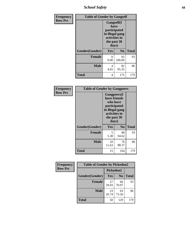*School Safety* **68**

| Frequency      | <b>Table of Gender by Gangself</b> |                                                                                                |                |              |
|----------------|------------------------------------|------------------------------------------------------------------------------------------------|----------------|--------------|
| <b>Row Pct</b> |                                    | Gangself(I<br>have<br>participated<br>in illegal gang<br>activities in<br>the past 30<br>days) |                |              |
|                | Gender(Gender)                     | Yes                                                                                            | N <sub>0</sub> | <b>Total</b> |
|                | <b>Female</b>                      | 0<br>0.00                                                                                      | 93<br>100.00   | 93           |
|                | <b>Male</b>                        | 4<br>4.65                                                                                      | 82<br>95.35    | 86           |
|                | <b>Total</b>                       | 4                                                                                              | 175            | 179          |

| Frequency      | <b>Table of Gender by Gangpeers</b> |                                                                                                                             |                |              |
|----------------|-------------------------------------|-----------------------------------------------------------------------------------------------------------------------------|----------------|--------------|
| <b>Row Pct</b> |                                     | <b>Gangpeers</b> (I<br>have friends<br>who have<br>participated<br>in illegal gang<br>activities in<br>the past 30<br>days) |                |              |
|                | Gender(Gender)                      | <b>Yes</b>                                                                                                                  | N <sub>0</sub> | <b>Total</b> |
|                | <b>Female</b>                       | 5<br>5.38                                                                                                                   | 88<br>94.62    | 93           |
|                | <b>Male</b>                         | 10<br>11.63                                                                                                                 | 76<br>88.37    | 86           |
|                | Total                               | 15                                                                                                                          | 164            | 179          |

| <b>Frequency</b> | <b>Table of Gender by Pickedon2</b> |             |                |              |
|------------------|-------------------------------------|-------------|----------------|--------------|
| <b>Row Pct</b>   |                                     | Pickedon2   |                |              |
|                  | Gender(Gender)                      | Yes         | N <sub>0</sub> | <b>Total</b> |
|                  | <b>Female</b>                       | 27<br>29.03 | 66<br>70.97    | 93           |
|                  | <b>Male</b>                         | 23<br>26.74 | 63<br>73.26    | 86           |
|                  | <b>Total</b>                        | 50          | 129            | 179          |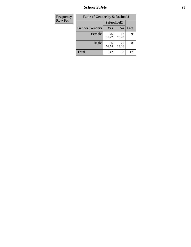*School Safety* **69**

| Frequency      | <b>Table of Gender by Safeschool2</b> |             |                |              |  |
|----------------|---------------------------------------|-------------|----------------|--------------|--|
| <b>Row Pct</b> |                                       | Safeschool2 |                |              |  |
|                | Gender(Gender)                        | Yes         | N <sub>0</sub> | <b>Total</b> |  |
|                | <b>Female</b>                         | 76<br>81.72 | 17<br>18.28    | 93           |  |
|                | <b>Male</b>                           | 66<br>76.74 | 20<br>23.26    | 86           |  |
|                | <b>Total</b>                          | 142         | 37             | 179          |  |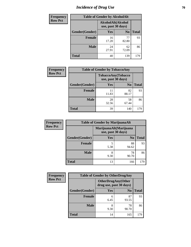# *Incidence of Drug Use* **70**

| <b>Frequency</b> | <b>Table of Gender by AlcoholAlt</b> |                                          |                |              |
|------------------|--------------------------------------|------------------------------------------|----------------|--------------|
| <b>Row Pct</b>   |                                      | AlcoholAlt(Alcohol<br>use, past 30 days) |                |              |
|                  | Gender(Gender)                       | Yes                                      | N <sub>0</sub> | <b>Total</b> |
|                  | <b>Female</b>                        | 16<br>17.20                              | 77<br>82.80    | 93           |
|                  | <b>Male</b>                          | 24<br>27.91                              | 62<br>72.09    | 86           |
|                  | <b>Total</b>                         | 40                                       | 139            | 179          |

| <b>Frequency</b> | <b>Table of Gender by TobaccoAny</b> |             |                                          |              |
|------------------|--------------------------------------|-------------|------------------------------------------|--------------|
| <b>Row Pct</b>   |                                      |             | TobaccoAny(Tobacco<br>use, past 30 days) |              |
|                  | Gender(Gender)                       | Yes         | N <sub>0</sub>                           | <b>Total</b> |
|                  | <b>Female</b>                        | 11<br>11.83 | 82<br>88.17                              | 93           |
|                  | <b>Male</b>                          | 28<br>32.56 | 58<br>67.44                              | 86           |
|                  | <b>Total</b>                         | 39          | 140                                      | 179          |

| <b>Frequency</b> | <b>Table of Gender by MarijuanaAlt</b> |            |                                              |              |
|------------------|----------------------------------------|------------|----------------------------------------------|--------------|
| <b>Row Pct</b>   |                                        |            | MarijuanaAlt(Marijuana<br>use, past 30 days) |              |
|                  | Gender(Gender)                         | <b>Yes</b> | N <sub>0</sub>                               | <b>Total</b> |
|                  | Female                                 | 5<br>5.38  | 88<br>94.62                                  | 93           |
|                  | <b>Male</b>                            | 8<br>9.30  | 78<br>90.70                                  | 86           |
|                  | <b>Total</b>                           | 13         | 166                                          | 179          |

| <b>Frequency</b> | <b>Table of Gender by OtherDrugAny</b> |                                                      |                |              |
|------------------|----------------------------------------|------------------------------------------------------|----------------|--------------|
| <b>Row Pct</b>   |                                        | <b>OtherDrugAny(Other</b><br>drug use, past 30 days) |                |              |
|                  | Gender(Gender)                         | <b>Yes</b>                                           | N <sub>0</sub> | <b>Total</b> |
|                  | <b>Female</b>                          | 6<br>6.45                                            | 87<br>93.55    | 93           |
|                  | <b>Male</b>                            | 8<br>9.30                                            | 78<br>90.70    | 86           |
|                  | <b>Total</b>                           | 14                                                   | 165            | 179          |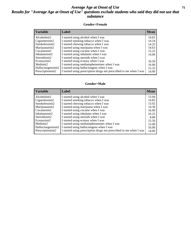### *Average Age at Onset of Use* **71** *Results for "Average Age at Onset of Use" questions exclude students who said they did not use that substance*

#### **Gender=Female**

| Label                                                              | <b>Mean</b>        |
|--------------------------------------------------------------------|--------------------|
| I started using alcohol when I was                                 | 14.65              |
| I started smoking tobacco when I was                               | 14.24              |
| I started chewing tobacco when I was                               | 14.25              |
| I started using marijuana when I was                               | 14.63              |
| I started using cocaine when I was                                 | 15.25              |
| I started using inhalants when I was                               | 14.00              |
| I started using steroids when I was                                |                    |
| I started using ecstasy when I was                                 | 16.50              |
| I started using methamphetamines when I was                        | 16.00              |
| I started using hallucinogens when I was                           | 15.33              |
| I started using prescription drugs not prescribed to me when I was | 14.90              |
|                                                                    | Hallucinogensinit2 |

#### **Gender=Male**

| <b>Variable</b>    | Label                                                              | <b>Mean</b> |
|--------------------|--------------------------------------------------------------------|-------------|
| Alcoholinit2       | I started using alcohol when I was                                 | 13.94       |
| Cigarettesinit2    | I started smoking tobacco when I was                               | 14.82       |
| Smokelessinit2     | I started chewing tobacco when I was                               | 13.92       |
| Marijuanainit2     | I started using marijuana when I was                               | 14.36       |
| Cocaineinit2       | I started using cocaine when I was                                 | 16.00       |
| Inhalantsinit2     | I started using inhalants when I was                               | 16.25       |
| Steroidsinit2      | I started using steroids when I was                                | 8.00        |
| Ecstasyinit2       | I started using ecstasy when I was                                 | 15.50       |
| Methinit2          | I started using methamphetamines when I was                        | 15.00       |
| Hallucinogensinit2 | I started using hallucinogens when I was                           | 16.00       |
| Prescriptioninit2  | I started using prescription drugs not prescribed to me when I was | 14.00       |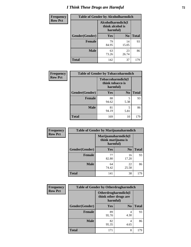# *I Think These Drugs are Harmful* **72**

| <b>Frequency</b> | <b>Table of Gender by Alcoholharmdich</b> |                                                   |                |              |
|------------------|-------------------------------------------|---------------------------------------------------|----------------|--------------|
| <b>Row Pct</b>   |                                           | Alcoholharmdich(I<br>think alcohol is<br>harmful) |                |              |
|                  | Gender(Gender)                            | <b>Yes</b>                                        | N <sub>0</sub> | <b>Total</b> |
|                  | <b>Female</b>                             | 79<br>84.95                                       | 14<br>15.05    | 93           |
|                  | <b>Male</b>                               | 63<br>73.26                                       | 23<br>26.74    | 86           |
|                  | <b>Total</b>                              | 142                                               | 37             | 179          |

| Frequency      | <b>Table of Gender by Tobaccoharmdich</b> |                              |                   |              |  |
|----------------|-------------------------------------------|------------------------------|-------------------|--------------|--|
| <b>Row Pct</b> |                                           | think tobacco is<br>harmful) | Tobaccoharmdich(I |              |  |
|                | Gender(Gender)                            | Yes                          | $\bf N_0$         | <b>Total</b> |  |
|                | <b>Female</b>                             | 88<br>94.62                  | 5<br>5.38         | 93           |  |
|                | <b>Male</b>                               | 81<br>94.19                  | 5<br>5.81         | 86           |  |
|                | <b>Total</b>                              | 169                          | 10                | 179          |  |

| Frequency      | <b>Table of Gender by Marijuanaharmdich</b> |                                                       |                |              |
|----------------|---------------------------------------------|-------------------------------------------------------|----------------|--------------|
| <b>Row Pct</b> |                                             | Marijuanaharmdich(I<br>think marijuana is<br>harmful) |                |              |
|                | Gender(Gender)                              | <b>Yes</b>                                            | N <sub>0</sub> | <b>Total</b> |
|                | <b>Female</b>                               | 77<br>82.80                                           | 16<br>17.20    | 93           |
|                | <b>Male</b>                                 | 64<br>74.42                                           | 22<br>25.58    | 86           |
|                | <b>Total</b>                                | 141                                                   | 38             | 179          |

| Frequency      | <b>Table of Gender by Otherdrugharmdich</b> |                                                          |                |              |  |
|----------------|---------------------------------------------|----------------------------------------------------------|----------------|--------------|--|
| <b>Row Pct</b> |                                             | Otherdrugharmdich(I<br>think other drugs are<br>harmful) |                |              |  |
|                | Gender(Gender)                              | <b>Yes</b>                                               | N <sub>0</sub> | <b>Total</b> |  |
|                | <b>Female</b>                               | 89<br>95.70                                              | 4<br>4.30      | 93           |  |
|                | <b>Male</b>                                 | 82<br>95.35                                              | 4<br>4.65      | 86           |  |
|                | <b>Total</b>                                | 171                                                      | 8              | 179          |  |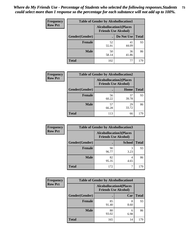| <b>Frequency</b> | <b>Table of Gender by Alcohollocation1</b> |                                                               |             |              |
|------------------|--------------------------------------------|---------------------------------------------------------------|-------------|--------------|
| <b>Row Pct</b>   |                                            | <b>Alcohollocation1(Places</b><br><b>Friends Use Alcohol)</b> |             |              |
|                  | Gender(Gender)                             |                                                               | Do Not Use  | <b>Total</b> |
|                  | <b>Female</b>                              | 52<br>55.91                                                   | 41<br>44.09 | 93           |
|                  | <b>Male</b>                                | 50<br>58.14                                                   | 36<br>41.86 | 86           |
|                  | <b>Total</b>                               | 102                                                           | 77          | 179          |

| <b>Frequency</b> | <b>Table of Gender by Alcohollocation2</b> |             |                                                               |              |
|------------------|--------------------------------------------|-------------|---------------------------------------------------------------|--------------|
| <b>Row Pct</b>   |                                            |             | <b>Alcohollocation2(Places</b><br><b>Friends Use Alcohol)</b> |              |
|                  | Gender(Gender)                             |             | Home                                                          | <b>Total</b> |
|                  | <b>Female</b>                              | 56<br>60.22 | 37<br>39.78                                                   | 93           |
|                  | <b>Male</b>                                | 57<br>66.28 | 29<br>33.72                                                   | 86           |
|                  | <b>Total</b>                               | 113         | 66                                                            | 179          |

| Frequency      | <b>Table of Gender by Alcohollocation3</b> |             |                                                               |              |
|----------------|--------------------------------------------|-------------|---------------------------------------------------------------|--------------|
| <b>Row Pct</b> |                                            |             | <b>Alcohollocation3(Places</b><br><b>Friends Use Alcohol)</b> |              |
|                | Gender(Gender)                             |             | <b>School</b>                                                 | <b>Total</b> |
|                | <b>Female</b>                              | 90<br>96.77 | 3<br>3.23                                                     | 93           |
|                | <b>Male</b>                                | 82<br>95.35 | 4.65                                                          | 86           |
|                | <b>Total</b>                               | 172         |                                                               | 179          |

| <b>Frequency</b> | <b>Table of Gender by Alcohollocation4</b> |                                                               |           |              |
|------------------|--------------------------------------------|---------------------------------------------------------------|-----------|--------------|
| <b>Row Pct</b>   |                                            | <b>Alcohollocation4(Places</b><br><b>Friends Use Alcohol)</b> |           |              |
|                  | Gender(Gender)                             |                                                               | Car       | <b>Total</b> |
|                  | <b>Female</b>                              | 85<br>91.40                                                   | 8<br>8.60 | 93           |
|                  | <b>Male</b>                                | 80<br>93.02                                                   | 6<br>6.98 | 86           |
|                  | <b>Total</b>                               | 165                                                           | 14        | 179          |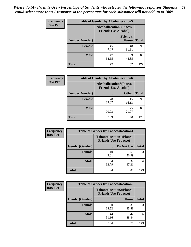| <b>Frequency</b> | <b>Table of Gender by Alcohollocation5</b> |                                                                |                                 |              |
|------------------|--------------------------------------------|----------------------------------------------------------------|---------------------------------|--------------|
| <b>Row Pct</b>   |                                            | <b>Alcohollocation5</b> (Places<br><b>Friends Use Alcohol)</b> |                                 |              |
|                  | Gender(Gender)                             |                                                                | <b>Friend's</b><br><b>House</b> | <b>Total</b> |
|                  | <b>Female</b>                              | 45<br>48.39                                                    | 48<br>51.61                     | 93           |
|                  | <b>Male</b>                                | 47<br>54.65                                                    | 39<br>45.35                     | 86           |
|                  | <b>Total</b>                               | 92                                                             | 87                              | 179          |

| Frequency      | <b>Table of Gender by Alcohollocation6</b> |                                                               |              |              |  |
|----------------|--------------------------------------------|---------------------------------------------------------------|--------------|--------------|--|
| <b>Row Pct</b> |                                            | <b>Alcohollocation6(Places</b><br><b>Friends Use Alcohol)</b> |              |              |  |
|                | Gender(Gender)                             |                                                               | <b>Other</b> | <b>Total</b> |  |
|                | <b>Female</b>                              | 78<br>83.87                                                   | 15<br>16.13  | 93           |  |
|                | <b>Male</b>                                | 61<br>70.93                                                   | 25<br>29.07  | 86           |  |
|                | <b>Total</b>                               | 139                                                           | 40           | 179          |  |

| Frequency      | <b>Table of Gender by Tobaccolocation1</b> |                                                               |             |              |  |
|----------------|--------------------------------------------|---------------------------------------------------------------|-------------|--------------|--|
| <b>Row Pct</b> |                                            | <b>Tobaccolocation1(Places</b><br><b>Friends Use Tobacco)</b> |             |              |  |
|                | <b>Gender</b> (Gender)                     |                                                               | Do Not Use  | <b>Total</b> |  |
|                | Female                                     | 40<br>43.01                                                   | 53<br>56.99 | 93           |  |
|                | <b>Male</b>                                | 54<br>62.79                                                   | 32<br>37.21 | 86           |  |
|                | <b>Total</b>                               | 94                                                            | 85          | 179          |  |

| <b>Frequency</b> | <b>Table of Gender by Tobaccolocation2</b> |                                                               |             |              |
|------------------|--------------------------------------------|---------------------------------------------------------------|-------------|--------------|
| <b>Row Pct</b>   |                                            | <b>Tobaccolocation2(Places</b><br><b>Friends Use Tobacco)</b> |             |              |
|                  | Gender(Gender)                             |                                                               | Home        | <b>Total</b> |
|                  | Female                                     | 60<br>64.52                                                   | 33<br>35.48 | 93           |
|                  | <b>Male</b>                                | 44<br>51.16                                                   | 42<br>48.84 | 86           |
|                  | <b>Total</b>                               | 104                                                           | 75          | 179          |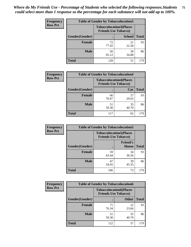| <b>Frequency</b> | <b>Table of Gender by Tobaccolocation3</b> |                             |                                |              |
|------------------|--------------------------------------------|-----------------------------|--------------------------------|--------------|
| <b>Row Pct</b>   |                                            | <b>Friends Use Tobacco)</b> | <b>Tobaccolocation3(Places</b> |              |
|                  | Gender(Gender)                             |                             | <b>School</b>                  | <b>Total</b> |
|                  | Female                                     | 72<br>77.42                 | 21<br>22.58                    | 93           |
|                  | <b>Male</b>                                | 56<br>65.12                 | 30<br>34.88                    | 86           |
|                  | <b>Total</b>                               | 128                         | 51                             | 179          |

| <b>Frequency</b> | <b>Table of Gender by Tobaccolocation4</b> |             |                                                               |              |
|------------------|--------------------------------------------|-------------|---------------------------------------------------------------|--------------|
| <b>Row Pct</b>   |                                            |             | <b>Tobaccolocation4(Places</b><br><b>Friends Use Tobacco)</b> |              |
|                  | Gender(Gender)                             |             | Car                                                           | <b>Total</b> |
|                  | <b>Female</b>                              | 66<br>70.97 | 27<br>29.03                                                   | 93           |
|                  | <b>Male</b>                                | 51<br>59.30 | 35<br>40.70                                                   | 86           |
|                  | <b>Total</b>                               | 117         | 62                                                            | 179          |

| <b>Frequency</b> | <b>Table of Gender by Tobaccolocation5</b> |                                                               |                          |              |
|------------------|--------------------------------------------|---------------------------------------------------------------|--------------------------|--------------|
| <b>Row Pct</b>   |                                            | <b>Tobaccolocation5(Places</b><br><b>Friends Use Tobacco)</b> |                          |              |
|                  | Gender(Gender)                             |                                                               | <b>Friend's</b><br>House | <b>Total</b> |
|                  | Female                                     | 59<br>63.44                                                   | 34<br>36.56              | 93           |
|                  | <b>Male</b>                                | 47<br>54.65                                                   | 39<br>45.35              | 86           |
|                  | <b>Total</b>                               | 106                                                           | 73                       | 179          |

| Frequency      | <b>Table of Gender by Tobaccolocation6</b> |                                                               |              |              |
|----------------|--------------------------------------------|---------------------------------------------------------------|--------------|--------------|
| <b>Row Pct</b> |                                            | <b>Tobaccolocation6(Places</b><br><b>Friends Use Tobacco)</b> |              |              |
|                | Gender(Gender)                             |                                                               | <b>Other</b> | <b>Total</b> |
|                | Female                                     | 71<br>76.34                                                   | 22<br>23.66  | 93           |
|                | <b>Male</b>                                | 51<br>59.30                                                   | 35<br>40.70  | 86           |
|                | <b>Total</b>                               | 122                                                           | 57           | 179          |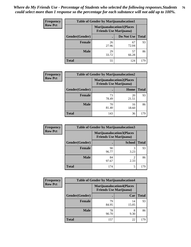| <b>Frequency</b> | <b>Table of Gender by Marijuanalocation1</b> |                                                                    |             |              |
|------------------|----------------------------------------------|--------------------------------------------------------------------|-------------|--------------|
| <b>Row Pct</b>   |                                              | <b>Marijuanalocation1(Places</b><br><b>Friends Use Marijuana</b> ) |             |              |
|                  | Gender(Gender)                               |                                                                    | Do Not Use  | <b>Total</b> |
|                  | <b>Female</b>                                | 26<br>27.96                                                        | 67<br>72.04 | 93           |
|                  | <b>Male</b>                                  | 29<br>33.72                                                        | 57<br>66.28 | 86           |
|                  | Total                                        | 55                                                                 | 124         | 179          |

| <b>Frequency</b> | <b>Table of Gender by Marijuanalocation2</b> |                                                                    |             |              |
|------------------|----------------------------------------------|--------------------------------------------------------------------|-------------|--------------|
| <b>Row Pct</b>   |                                              | <b>Marijuanalocation2(Places</b><br><b>Friends Use Marijuana</b> ) |             |              |
|                  | Gender(Gender)                               |                                                                    | Home        | <b>Total</b> |
|                  | Female                                       | 73<br>78.49                                                        | 20<br>21.51 | 93           |
|                  | <b>Male</b>                                  | 70<br>81.40                                                        | 16<br>18.60 | 86           |
|                  | <b>Total</b>                                 | 143                                                                | 36          | 179          |

| Frequency      | <b>Table of Gender by Marijuanalocation3</b> |                                                                    |               |              |
|----------------|----------------------------------------------|--------------------------------------------------------------------|---------------|--------------|
| <b>Row Pct</b> |                                              | <b>Marijuanalocation3(Places</b><br><b>Friends Use Marijuana</b> ) |               |              |
|                | Gender(Gender)                               |                                                                    | <b>School</b> | <b>Total</b> |
|                | Female                                       | 90<br>96.77                                                        | 3<br>3.23     | 93           |
|                | <b>Male</b>                                  | 84<br>97.67                                                        | ◠<br>2.33     | 86           |
|                | <b>Total</b>                                 | 174                                                                | 5             | 179          |

| <b>Frequency</b> | <b>Table of Gender by Marijuanalocation4</b> |                                                                    |             |              |
|------------------|----------------------------------------------|--------------------------------------------------------------------|-------------|--------------|
| <b>Row Pct</b>   |                                              | <b>Marijuanalocation4(Places</b><br><b>Friends Use Marijuana</b> ) |             |              |
|                  | Gender(Gender)                               |                                                                    | Car         | <b>Total</b> |
|                  | <b>Female</b>                                | 79<br>84.95                                                        | 14<br>15.05 | 93           |
|                  | <b>Male</b>                                  | 78<br>90.70                                                        | 8<br>9.30   | 86           |
|                  | <b>Total</b>                                 | 157                                                                | 22          | 179          |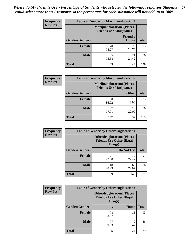| Frequency      | <b>Table of Gender by Marijuanalocation5</b> |                                                                    |                                 |              |
|----------------|----------------------------------------------|--------------------------------------------------------------------|---------------------------------|--------------|
| <b>Row Pct</b> |                                              | <b>Marijuanalocation5(Places</b><br><b>Friends Use Marijuana</b> ) |                                 |              |
|                | Gender(Gender)                               |                                                                    | <b>Friend's</b><br><b>House</b> | <b>Total</b> |
|                | <b>Female</b>                                | 70<br>75.27                                                        | 23<br>24.73                     | 93           |
|                | <b>Male</b>                                  | 65<br>75.58                                                        | 21<br>24.42                     | 86           |
|                | <b>Total</b>                                 | 135                                                                | 44                              | 179          |

| <b>Frequency</b> | <b>Table of Gender by Marijuanalocation6</b> |                                |                                  |              |
|------------------|----------------------------------------------|--------------------------------|----------------------------------|--------------|
| <b>Row Pct</b>   |                                              | <b>Friends Use Marijuana</b> ) | <b>Marijuanalocation6(Places</b> |              |
|                  | <b>Gender</b> (Gender)                       |                                | <b>Other</b>                     | <b>Total</b> |
|                  | <b>Female</b>                                | 80<br>86.02                    | 13<br>13.98                      | 93           |
|                  | <b>Male</b>                                  | 67<br>77.91                    | 19<br>22.09                      | 86           |
|                  | <b>Total</b>                                 | 147                            | 32                               | 179          |

| <b>Frequency</b> | <b>Table of Gender by Otherdruglocation1</b> |                                                                                |             |              |
|------------------|----------------------------------------------|--------------------------------------------------------------------------------|-------------|--------------|
| <b>Row Pct</b>   |                                              | <b>Otherdruglocation1(Places</b><br><b>Friends Use Other Illegal</b><br>Drugs) |             |              |
|                  | <b>Gender</b> (Gender)                       |                                                                                | Do Not Use  | <b>Total</b> |
|                  | <b>Female</b>                                | 21<br>22.58                                                                    | 72<br>77.42 | 93           |
|                  | <b>Male</b>                                  | 18<br>20.93                                                                    | 68<br>79.07 | 86           |
|                  | <b>Total</b>                                 | 39                                                                             | 140         | 179          |

| Frequency      | <b>Table of Gender by Otherdruglocation2</b> |                                                                                |             |              |
|----------------|----------------------------------------------|--------------------------------------------------------------------------------|-------------|--------------|
| <b>Row Pct</b> |                                              | <b>Otherdruglocation2(Places</b><br><b>Friends Use Other Illegal</b><br>Drugs) |             |              |
|                | Gender(Gender)                               |                                                                                | Home        | <b>Total</b> |
|                | <b>Female</b>                                | 78<br>83.87                                                                    | 15<br>16.13 | 93           |
|                | <b>Male</b>                                  | 77<br>89.53                                                                    | Q<br>10.47  | 86           |
|                | <b>Total</b>                                 | 155                                                                            | 24          | 179          |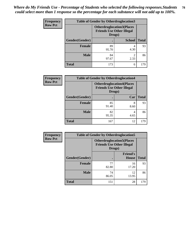| Frequency      | <b>Table of Gender by Otherdruglocation3</b>                                   |             |               |              |
|----------------|--------------------------------------------------------------------------------|-------------|---------------|--------------|
| <b>Row Pct</b> | <b>Otherdruglocation3(Places</b><br><b>Friends Use Other Illegal</b><br>Drugs) |             |               |              |
|                | Gender(Gender)                                                                 |             | <b>School</b> | <b>Total</b> |
|                | <b>Female</b>                                                                  | 89<br>95.70 | 4.30          | 93           |
|                | <b>Male</b>                                                                    | 84<br>97.67 | ↑<br>2.33     | 86           |
|                | <b>Total</b>                                                                   | 173         | 6             | 179          |

| <b>Frequency</b> | <b>Table of Gender by Otherdruglocation4</b> |                                                                                |           |              |
|------------------|----------------------------------------------|--------------------------------------------------------------------------------|-----------|--------------|
| <b>Row Pct</b>   |                                              | <b>Otherdruglocation4(Places</b><br><b>Friends Use Other Illegal</b><br>Drugs) |           |              |
|                  | Gender(Gender)                               |                                                                                | Car       | <b>Total</b> |
|                  | Female                                       | 85<br>91.40                                                                    | 8<br>8.60 | 93           |
|                  | <b>Male</b>                                  | 82<br>95.35                                                                    | 4<br>4.65 | 86           |
|                  | <b>Total</b>                                 | 167                                                                            | 12        | 179          |

| Frequency      | <b>Table of Gender by Otherdruglocation5</b> |                                            |                                  |              |
|----------------|----------------------------------------------|--------------------------------------------|----------------------------------|--------------|
| <b>Row Pct</b> |                                              | <b>Friends Use Other Illegal</b><br>Drugs) | <b>Otherdruglocation5(Places</b> |              |
|                | Gender(Gender)                               |                                            | <b>Friend's</b><br><b>House</b>  | <b>Total</b> |
|                | <b>Female</b>                                | 77<br>82.80                                | 16<br>17.20                      | 93           |
|                | <b>Male</b>                                  | 74<br>86.05                                | 12<br>13.95                      | 86           |
|                | <b>Total</b>                                 | 151                                        | 28                               | 179          |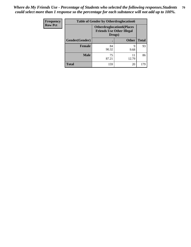| Frequency      | <b>Table of Gender by Otherdruglocation6</b> |                                                                                |              |              |
|----------------|----------------------------------------------|--------------------------------------------------------------------------------|--------------|--------------|
| <b>Row Pct</b> |                                              | <b>Otherdruglocation6(Places</b><br><b>Friends Use Other Illegal</b><br>Drugs) |              |              |
|                | Gender(Gender)                               |                                                                                | <b>Other</b> | <b>Total</b> |
|                | Female                                       | 84<br>90.32                                                                    | q<br>9.68    | 93           |
|                | <b>Male</b>                                  | 75<br>87.21                                                                    | 11<br>12.79  | 86           |
|                | <b>Total</b>                                 | 159                                                                            | 20           | 179          |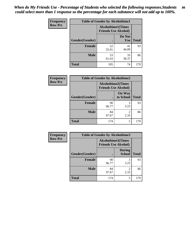| <b>Frequency</b> | <b>Table of Gender by Alcoholtime1</b> |                                                          |                      |              |
|------------------|----------------------------------------|----------------------------------------------------------|----------------------|--------------|
| <b>Row Pct</b>   |                                        | <b>Alcoholtime1(Times</b><br><b>Friends Use Alcohol)</b> |                      |              |
|                  | Gender(Gender)                         | $\bullet$                                                | Do Not<br><b>Use</b> | <b>Total</b> |
|                  | <b>Female</b>                          | 52<br>55.91                                              | 41<br>44.09          | 93           |
|                  | <b>Male</b>                            | 53<br>61.63                                              | 33<br>38.37          | 86           |
|                  | <b>Total</b>                           | 105                                                      | 74                   | 179          |

| Frequency      | <b>Table of Gender by Alcoholtime2</b> |                                                          |                            |              |
|----------------|----------------------------------------|----------------------------------------------------------|----------------------------|--------------|
| <b>Row Pct</b> |                                        | <b>Alcoholtime2(Times</b><br><b>Friends Use Alcohol)</b> |                            |              |
|                | Gender(Gender)                         |                                                          | <b>On Way</b><br>to School | <b>Total</b> |
|                | <b>Female</b>                          | 90<br>96.77                                              | 3<br>3.23                  | 93           |
|                | <b>Male</b>                            | 84<br>97.67                                              | 2<br>2.33                  | 86           |
|                | <b>Total</b>                           | 174                                                      | 5                          | 179          |

| Frequency      | <b>Table of Gender by Alcoholtime3</b> |                                                          |                         |              |
|----------------|----------------------------------------|----------------------------------------------------------|-------------------------|--------------|
| <b>Row Pct</b> |                                        | <b>Alcoholtime3(Times</b><br><b>Friends Use Alcohol)</b> |                         |              |
|                | Gender(Gender)                         |                                                          | <b>During</b><br>School | <b>Total</b> |
|                | Female                                 | 90<br>96.77                                              | 3<br>3.23               | 93           |
|                | <b>Male</b>                            | 84<br>97.67                                              | 2<br>2.33               | 86           |
|                | <b>Total</b>                           | 174                                                      | 5                       | 179          |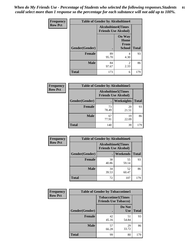*When do My Friends Use - Percentage of Students who selected the following responses.Students could select more than 1 response so the percentage for each substance will not add up to 100%.* **81**

| <b>Frequency</b> | <b>Table of Gender by Alcoholtime4</b> |                                                          |                                                |              |
|------------------|----------------------------------------|----------------------------------------------------------|------------------------------------------------|--------------|
| <b>Row Pct</b>   |                                        | <b>Alcoholtime4(Times</b><br><b>Friends Use Alcohol)</b> |                                                |              |
|                  | Gender(Gender)                         | $\bullet$                                                | <b>On Way</b><br>Home<br>From<br><b>School</b> | <b>Total</b> |
|                  | <b>Female</b>                          | 89<br>95.70                                              | 4<br>4.30                                      | 93           |
|                  | <b>Male</b>                            | 84<br>97.67                                              | 2<br>2.33                                      | 86           |
|                  | <b>Total</b>                           | 173                                                      | 6                                              | 179          |

| <b>Frequency</b> | <b>Table of Gender by Alcoholtime5</b> |                                                           |             |              |
|------------------|----------------------------------------|-----------------------------------------------------------|-------------|--------------|
| <b>Row Pct</b>   |                                        | <b>Alcoholtime5</b> (Times<br><b>Friends Use Alcohol)</b> |             |              |
|                  | Gender(Gender)                         |                                                           | Weeknights  | <b>Total</b> |
|                  | <b>Female</b>                          | 73<br>78.49                                               | 20<br>21.51 | 93           |
|                  | <b>Male</b>                            | 67<br>77.91                                               | 19<br>22.09 | 86           |
|                  | <b>Total</b>                           | 140                                                       | 39          | 179          |

| <b>Frequency</b> | <b>Table of Gender by Alcoholtime6</b> |                                                           |             |              |
|------------------|----------------------------------------|-----------------------------------------------------------|-------------|--------------|
| <b>Row Pct</b>   |                                        | <b>Alcoholtime6</b> (Times<br><b>Friends Use Alcohol)</b> |             |              |
|                  | Gender(Gender)                         |                                                           | Weekends    | <b>Total</b> |
|                  | <b>Female</b>                          | 38<br>40.86                                               | 55<br>59.14 | 93           |
|                  | <b>Male</b>                            | 34<br>39.53                                               | 52<br>60.47 | 86           |
|                  | <b>Total</b>                           | 72                                                        | 107         | 179          |

| Frequency      | <b>Table of Gender by Tobaccotime1</b> |                                                          |                      |              |
|----------------|----------------------------------------|----------------------------------------------------------|----------------------|--------------|
| <b>Row Pct</b> |                                        | <b>Tobaccotime1(Times</b><br><b>Friends Use Tobacco)</b> |                      |              |
|                | Gender(Gender)                         |                                                          | Do Not<br><b>Use</b> | <b>Total</b> |
|                | <b>Female</b>                          | 42<br>45.16                                              | 51<br>54.84          | 93           |
|                | <b>Male</b>                            | 57<br>66.28                                              | 29<br>33.72          | 86           |
|                | <b>Total</b>                           | 99                                                       | 80                   | 179          |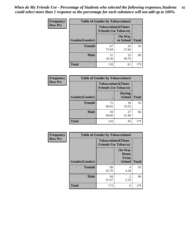| <b>Frequency</b> | <b>Table of Gender by Tobaccotime2</b> |                                                          |                            |              |
|------------------|----------------------------------------|----------------------------------------------------------|----------------------------|--------------|
| <b>Row Pct</b>   |                                        | <b>Tobaccotime2(Times</b><br><b>Friends Use Tobacco)</b> |                            |              |
|                  | Gender(Gender)                         |                                                          | <b>On Way</b><br>to School | <b>Total</b> |
|                  | <b>Female</b>                          | 67<br>72.04                                              | 26<br>27.96                | 93           |
|                  | <b>Male</b>                            | 51<br>59.30                                              | 35<br>40.70                | 86           |
|                  | <b>Total</b>                           | 118                                                      | 61                         | 179          |

| <b>Frequency</b> | <b>Table of Gender by Tobaccotime3</b> |                                                          |                                |              |
|------------------|----------------------------------------|----------------------------------------------------------|--------------------------------|--------------|
| <b>Row Pct</b>   |                                        | <b>Tobaccotime3(Times</b><br><b>Friends Use Tobacco)</b> |                                |              |
|                  | Gender(Gender)                         |                                                          | <b>During</b><br><b>School</b> | <b>Total</b> |
|                  | <b>Female</b>                          | 75<br>80.65                                              | 18<br>19.35                    | 93           |
|                  | <b>Male</b>                            | 59<br>68.60                                              | 27<br>31.40                    | 86           |
|                  | <b>Total</b>                           | 134                                                      | 45                             | 179          |

| <b>Frequency</b> | <b>Table of Gender by Tobaccotime4</b> |                                                          |                                                |              |
|------------------|----------------------------------------|----------------------------------------------------------|------------------------------------------------|--------------|
| <b>Row Pct</b>   |                                        | <b>Tobaccotime4(Times</b><br><b>Friends Use Tobacco)</b> |                                                |              |
|                  | Gender(Gender)                         |                                                          | <b>On Way</b><br>Home<br>From<br><b>School</b> | <b>Total</b> |
|                  | <b>Female</b>                          | 89<br>95.70                                              | 4<br>4.30                                      | 93           |
|                  | <b>Male</b>                            | 84<br>97.67                                              | $\mathfrak{D}$<br>2.33                         | 86           |
|                  | <b>Total</b>                           | 173                                                      | 6                                              | 179          |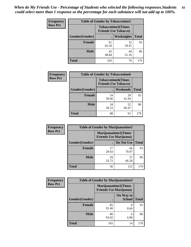| <b>Frequency</b> | <b>Table of Gender by Tobaccotime5</b> |                                                           |             |              |
|------------------|----------------------------------------|-----------------------------------------------------------|-------------|--------------|
| <b>Row Pct</b>   |                                        | <b>Tobaccotime5</b> (Times<br><b>Friends Use Tobacco)</b> |             |              |
|                  | <b>Gender</b> (Gender)                 |                                                           | Weeknights  | <b>Total</b> |
|                  | <b>Female</b>                          | 61<br>65.59                                               | 32<br>34.41 | 93           |
|                  | <b>Male</b>                            | 42<br>48.84                                               | 44<br>51.16 | 86           |
|                  | <b>Total</b>                           | 103                                                       | 76          | 179          |

| <b>Frequency</b> | <b>Table of Gender by Tobaccotime6</b> |                                                          |             |              |
|------------------|----------------------------------------|----------------------------------------------------------|-------------|--------------|
| <b>Row Pct</b>   |                                        | <b>Tobaccotime6(Times</b><br><b>Friends Use Tobacco)</b> |             |              |
|                  | Gender(Gender)                         |                                                          | Weekends    | <b>Total</b> |
|                  | Female                                 | 54<br>58.06                                              | 39<br>41.94 | 93           |
|                  | <b>Male</b>                            | 34<br>39.53                                              | 52<br>60.47 | 86           |
|                  | <b>Total</b>                           | 88                                                       | 91          | 179          |

| Frequency      | <b>Table of Gender by Marijuanatime1</b> |                                |                             |              |
|----------------|------------------------------------------|--------------------------------|-----------------------------|--------------|
| <b>Row Pct</b> |                                          | <b>Friends Use Marijuana</b> ) | <b>Marijuanatime1(Times</b> |              |
|                | Gender(Gender)                           |                                | Do Not Use                  | <b>Total</b> |
|                | <b>Female</b>                            | 27<br>29.03                    | 66<br>70.97                 | 93           |
|                | <b>Male</b>                              | 29<br>33.72                    | 57<br>66.28                 | 86           |
|                | <b>Total</b>                             | 56                             | 123                         | 179          |

| <b>Frequency</b> | <b>Table of Gender by Marijuanatime2</b> |                                                               |                            |              |
|------------------|------------------------------------------|---------------------------------------------------------------|----------------------------|--------------|
| <b>Row Pct</b>   |                                          | <b>Marijuanatime2(Times</b><br><b>Friends Use Marijuana</b> ) |                            |              |
|                  | Gender(Gender)                           |                                                               | On Way to<br><b>School</b> | <b>Total</b> |
|                  | Female                                   | 85<br>91.40                                                   | 8<br>8.60                  | 93           |
|                  | <b>Male</b>                              | 80<br>93.02                                                   | 6<br>6.98                  | 86           |
|                  | <b>Total</b>                             | 165                                                           | 14                         | 179          |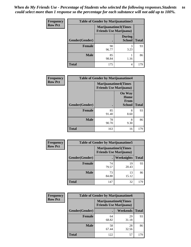| <b>Frequency</b> | <b>Table of Gender by Marijuanatime3</b> |                                                        |                                |              |
|------------------|------------------------------------------|--------------------------------------------------------|--------------------------------|--------------|
| <b>Row Pct</b>   |                                          | Marijuanatime3(Times<br><b>Friends Use Marijuana</b> ) |                                |              |
|                  | Gender(Gender)                           |                                                        | <b>During</b><br><b>School</b> | <b>Total</b> |
|                  | <b>Female</b>                            | 90<br>96.77                                            | 3<br>3.23                      | 93           |
|                  | <b>Male</b>                              | 85<br>98.84                                            | 1.16                           | 86           |
|                  | <b>Total</b>                             | 175                                                    | 4                              | 179          |

| Frequency      | <b>Table of Gender by Marijuanatime4</b> |                                                                |                                                |              |
|----------------|------------------------------------------|----------------------------------------------------------------|------------------------------------------------|--------------|
| <b>Row Pct</b> |                                          | <b>Marijuanatime4</b> (Times<br><b>Friends Use Marijuana</b> ) |                                                |              |
|                | Gender(Gender)                           |                                                                | <b>On Way</b><br>Home<br>From<br><b>School</b> | <b>Total</b> |
|                | <b>Female</b>                            | 85                                                             | 8                                              | 93           |
|                |                                          | 91.40                                                          | 8.60                                           |              |
|                | <b>Male</b>                              | 78<br>90.70                                                    | 8<br>9.30                                      | 86           |
|                | <b>Total</b>                             | 163                                                            | 16                                             | 179          |

| Frequency      |                | <b>Table of Gender by Marijuanatime5</b> |                                                                |              |  |
|----------------|----------------|------------------------------------------|----------------------------------------------------------------|--------------|--|
| <b>Row Pct</b> |                |                                          | <b>Marijuanatime5</b> (Times<br><b>Friends Use Marijuana</b> ) |              |  |
|                | Gender(Gender) |                                          | Weeknights                                                     | <b>Total</b> |  |
|                | <b>Female</b>  | 74<br>79.57                              | 19<br>20.43                                                    | 93           |  |
|                | <b>Male</b>    | 73<br>84.88                              | 13<br>15.12                                                    | 86           |  |
|                | <b>Total</b>   | 147                                      | 32                                                             | 179          |  |

| Frequency      | <b>Table of Gender by Marijuanatime6</b> |                                                               |                 |              |
|----------------|------------------------------------------|---------------------------------------------------------------|-----------------|--------------|
| <b>Row Pct</b> |                                          | <b>Marijuanatime6(Times</b><br><b>Friends Use Marijuana</b> ) |                 |              |
|                | Gender(Gender)                           |                                                               | <b>Weekends</b> | <b>Total</b> |
|                | <b>Female</b>                            | 64<br>68.82                                                   | 29<br>31.18     | 93           |
|                | <b>Male</b>                              | 58<br>67.44                                                   | 28<br>32.56     | 86           |
|                | <b>Total</b>                             | 122                                                           | 57              | 179          |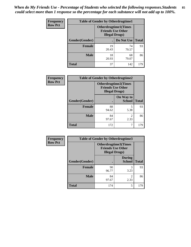| <b>Frequency</b> | <b>Table of Gender by Otherdrugtime1</b> |                       |                                                         |     |
|------------------|------------------------------------------|-----------------------|---------------------------------------------------------|-----|
| <b>Row Pct</b>   |                                          | <b>Illegal Drugs)</b> | <b>Otherdrugtime1(Times</b><br><b>Friends Use Other</b> |     |
|                  | Gender(Gender)                           |                       | Do Not Use   Total                                      |     |
|                  | <b>Female</b>                            | 19<br>20.43           | 74<br>79.57                                             | 93  |
|                  | Male                                     | 18<br>20.93           | 68<br>79.07                                             | 86  |
|                  | <b>Total</b>                             | 37                    | 142                                                     | 179 |

| Frequency      |                | <b>Table of Gender by Otherdrugtime2</b> |                                                         |              |  |
|----------------|----------------|------------------------------------------|---------------------------------------------------------|--------------|--|
| <b>Row Pct</b> |                | <b>Illegal Drugs</b> )                   | <b>Otherdrugtime2(Times</b><br><b>Friends Use Other</b> |              |  |
|                | Gender(Gender) |                                          | On Way to<br><b>School</b>                              | <b>Total</b> |  |
|                | <b>Female</b>  | 88<br>94.62                              | 5<br>5.38                                               | 93           |  |
|                | <b>Male</b>    | 84<br>97.67                              | 2<br>2.33                                               | 86           |  |
|                | <b>Total</b>   | 172                                      | 7                                                       | 179          |  |

| <b>Frequency</b> | <b>Table of Gender by Otherdrugtime3</b> |                                                    |                                |              |
|------------------|------------------------------------------|----------------------------------------------------|--------------------------------|--------------|
| <b>Row Pct</b>   |                                          | <b>Friends Use Other</b><br><b>Illegal Drugs</b> ) | <b>Otherdrugtime3</b> (Times   |              |
|                  | Gender(Gender)                           | $\bullet$                                          | <b>During</b><br><b>School</b> | <b>Total</b> |
|                  | Female                                   | 90<br>96.77                                        | 3<br>3.23                      | 93           |
|                  | <b>Male</b>                              | 84<br>97.67                                        | 2<br>2.33                      | 86           |
|                  | <b>Total</b>                             | 174                                                | 5                              | 179          |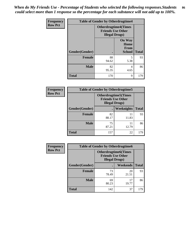*When do My Friends Use - Percentage of Students who selected the following responses.Students could select more than 1 response so the percentage for each substance will not add up to 100%.* **86**

| <b>Frequency</b> | <b>Table of Gender by Otherdrugtime4</b> |                        |                                                         |              |
|------------------|------------------------------------------|------------------------|---------------------------------------------------------|--------------|
| <b>Row Pct</b>   |                                          | <b>Illegal Drugs</b> ) | <b>Otherdrugtime4(Times</b><br><b>Friends Use Other</b> |              |
|                  | Gender(Gender)                           | ٠                      | <b>On Way</b><br>Home<br><b>From</b><br><b>School</b>   | <b>Total</b> |
|                  | <b>Female</b>                            | 88<br>94.62            | 5<br>5.38                                               | 93           |
|                  | <b>Male</b>                              | 82<br>95.35            | 4<br>4.65                                               | 86           |
|                  | <b>Total</b>                             | 170                    | 9                                                       | 179          |

| Frequency      | <b>Table of Gender by Otherdrugtime5</b> |                                                                                    |                   |              |
|----------------|------------------------------------------|------------------------------------------------------------------------------------|-------------------|--------------|
| <b>Row Pct</b> |                                          | <b>Otherdrugtime5</b> (Times<br><b>Friends Use Other</b><br><b>Illegal Drugs</b> ) |                   |              |
|                | Gender(Gender)                           |                                                                                    | <b>Weeknights</b> | <b>Total</b> |
|                | <b>Female</b>                            | 82<br>88.17                                                                        | 11<br>11.83       | 93           |
|                | <b>Male</b>                              | 75<br>87.21                                                                        | 11<br>12.79       | 86           |
|                | <b>Total</b>                             | 157                                                                                | 22                | 179          |

| <b>Frequency</b> | <b>Table of Gender by Otherdrugtime6</b> |                                                                                   |             |              |  |
|------------------|------------------------------------------|-----------------------------------------------------------------------------------|-------------|--------------|--|
| <b>Row Pct</b>   |                                          | <b>Otherdrugtime6(Times</b><br><b>Friends Use Other</b><br><b>Illegal Drugs</b> ) |             |              |  |
|                  | Gender(Gender)                           |                                                                                   | Weekends    | <b>Total</b> |  |
|                  | <b>Female</b>                            | 73<br>78.49                                                                       | 20<br>21.51 | 93           |  |
|                  | <b>Male</b>                              | 69<br>80.23                                                                       | 17<br>19.77 | 86           |  |
|                  | <b>Total</b>                             | 142                                                                               | 37          | 179          |  |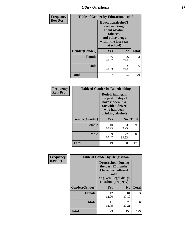# *Other Questions* **87**

| Frequency      | <b>Table of Gender by Educationalcohol</b> |                                                                                                                               |                |              |
|----------------|--------------------------------------------|-------------------------------------------------------------------------------------------------------------------------------|----------------|--------------|
| <b>Row Pct</b> |                                            | Educationalcohol(I<br>have been taught<br>about alcohol,<br>tobacco,<br>and other drugs<br>within the last year<br>at school) |                |              |
|                | Gender(Gender)                             | <b>Yes</b>                                                                                                                    | N <sub>0</sub> | <b>Total</b> |
|                | <b>Female</b>                              | 66<br>70.97                                                                                                                   | 27<br>29.03    | 93           |
|                | <b>Male</b>                                | 61<br>70.93                                                                                                                   | 25<br>29.07    | 86           |
|                | <b>Total</b>                               | 127                                                                                                                           | 52             | 179          |

| Frequency      | <b>Table of Gender by Rodedrinking</b> |                                                                                                                     |                |              |  |
|----------------|----------------------------------------|---------------------------------------------------------------------------------------------------------------------|----------------|--------------|--|
| <b>Row Pct</b> |                                        | Rodedrinking(In<br>the past 30 days I<br>have ridden in a<br>car with a driver<br>who had been<br>drinking alcohol) |                |              |  |
|                | Gender(Gender)                         | Yes                                                                                                                 | N <sub>0</sub> | <b>Total</b> |  |
|                | <b>Female</b>                          | 10<br>10.75                                                                                                         | 83<br>89.25    | 93           |  |
|                | <b>Male</b>                            | 9<br>10.47                                                                                                          | 77<br>89.53    | 86           |  |
|                | <b>Total</b>                           | 19                                                                                                                  | 160            | 179          |  |

| Frequency      | <b>Table of Gender by Drugsschool</b> |                                                                                                                                     |                |              |  |
|----------------|---------------------------------------|-------------------------------------------------------------------------------------------------------------------------------------|----------------|--------------|--|
| <b>Row Pct</b> |                                       | <b>Drugsschool</b> (During<br>the past 12 months,<br>I have been offered,<br>sold,<br>or given illegal drugs<br>on school property) |                |              |  |
|                | Gender(Gender)                        | Yes                                                                                                                                 | N <sub>0</sub> | <b>Total</b> |  |
|                | <b>Female</b>                         | 12<br>12.90                                                                                                                         | 81<br>87.10    | 93           |  |
|                | <b>Male</b>                           | 11<br>12.79                                                                                                                         | 75<br>87.21    | 86           |  |
|                | <b>Total</b>                          | 23                                                                                                                                  | 156            | 179          |  |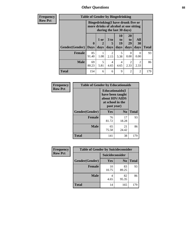*Other Questions* **88**

**Frequency Row Pct**

| <b>Table of Gender by Bingedrinking</b> |              |                                                                                                         |                        |                |                            |                        |              |
|-----------------------------------------|--------------|---------------------------------------------------------------------------------------------------------|------------------------|----------------|----------------------------|------------------------|--------------|
|                                         |              | Bingedrinking(I have drunk five or<br>more drinks of alcohol at one sitting<br>during the last 30 days) |                        |                |                            |                        |              |
|                                         | $\mathbf{0}$ | 1 or<br>2                                                                                               | 3 to<br>5              | 10<br>to<br>19 | 20<br>t <sub>0</sub><br>29 | All<br>30              |              |
| Gender(Gender)                          | <b>Days</b>  | days                                                                                                    | days                   | days           | days                       | days                   | <b>Total</b> |
| <b>Female</b>                           | 85<br>91.40  | 1.08                                                                                                    | $\overline{2}$<br>2.15 | 5<br>5.38      | 0<br>0.00                  | $\theta$<br>0.00       | 93           |
| <b>Male</b>                             | 69<br>80.23  | 5<br>5.81                                                                                               | 4<br>4.65              | 4<br>4.65      | $\mathfrak{D}$<br>2.33     | $\overline{2}$<br>2.33 | 86           |

| Frequency      |                |                                                                                                 | <b>Table of Gender by Educationaids</b> |              |
|----------------|----------------|-------------------------------------------------------------------------------------------------|-----------------------------------------|--------------|
| <b>Row Pct</b> |                | <b>Educationaids</b> (I<br>have been taught<br>about HIV/AIDS<br>at school in the<br>past year) |                                         |              |
|                | Gender(Gender) | Yes                                                                                             | N <sub>0</sub>                          | <b>Total</b> |
|                | <b>Female</b>  | 76<br>81.72                                                                                     | 17<br>18.28                             | 93           |
|                | <b>Male</b>    | 65<br>75.58                                                                                     | 21<br>24.42                             | 86           |
|                | <b>Total</b>   | 141                                                                                             | 38                                      | 179          |

| <b>Frequency</b> | <b>Table of Gender by Suicideconsider</b> |                 |                |              |  |
|------------------|-------------------------------------------|-----------------|----------------|--------------|--|
| <b>Row Pct</b>   |                                           | Suicideconsider |                |              |  |
|                  | Gender(Gender)                            | <b>Yes</b>      | N <sub>0</sub> | <b>Total</b> |  |
|                  | <b>Female</b>                             | 10<br>10.75     | 83<br>89.25    | 93           |  |
|                  | <b>Male</b>                               | 4<br>4.65       | 82<br>95.35    | 86           |  |
|                  | <b>Total</b>                              | 14              | 165            | 179          |  |